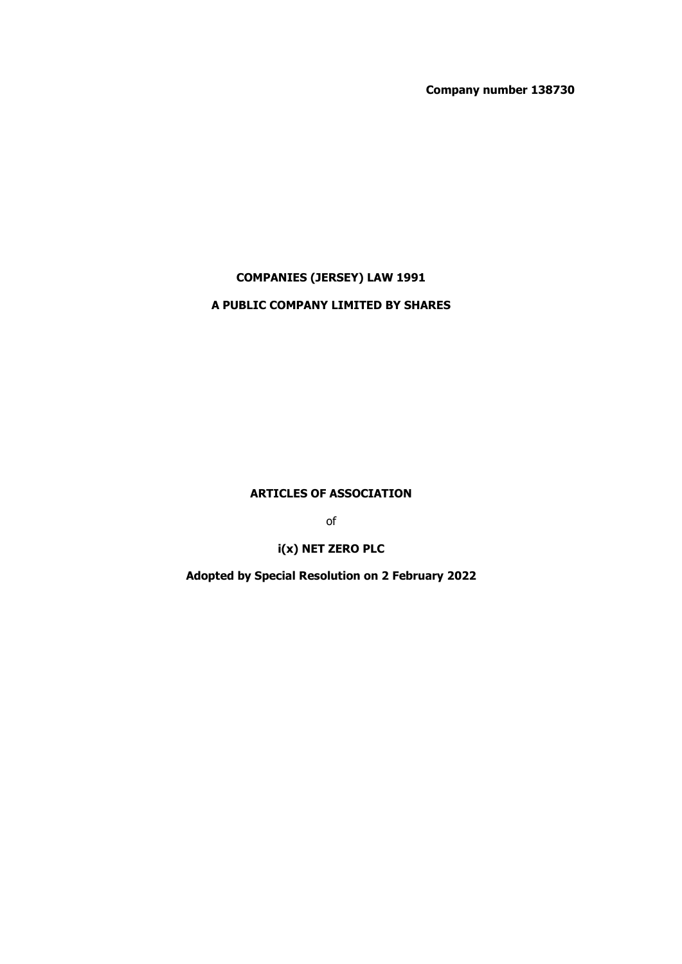**Company number 138730**

# **COMPANIES (JERSEY) LAW 1991**

# **A PUBLIC COMPANY LIMITED BY SHARES**

**ARTICLES OF ASSOCIATION** 

of

**i(x) NET ZERO PLC** 

**Adopted by Special Resolution on 2 February 2022**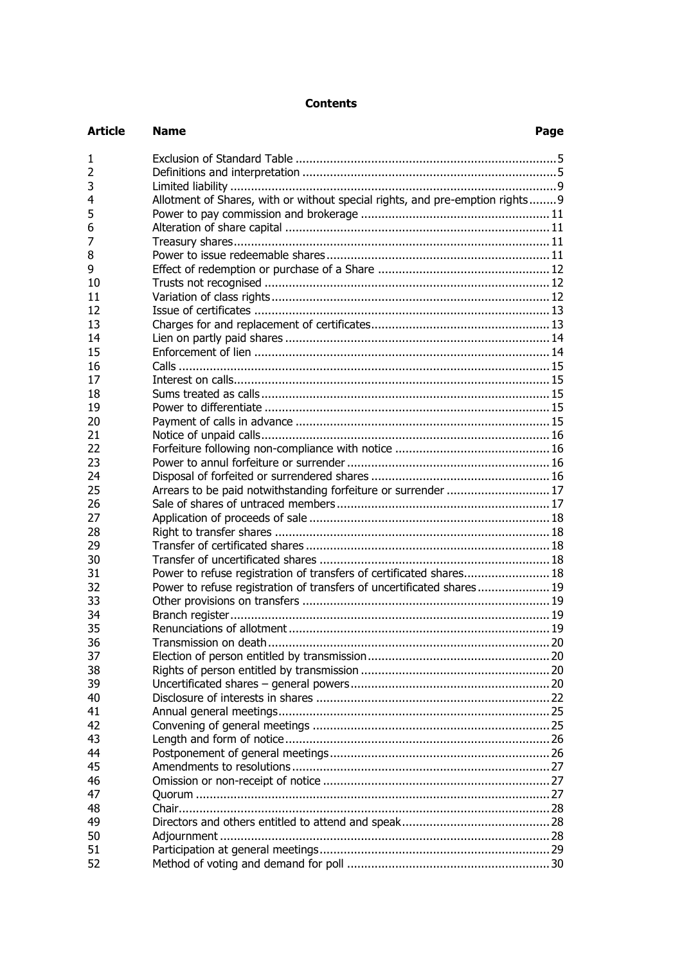# **Contents**

| <b>Article</b> | <b>Name</b><br>Page                                                           |  |
|----------------|-------------------------------------------------------------------------------|--|
| 1              |                                                                               |  |
| $\overline{2}$ |                                                                               |  |
| 3              |                                                                               |  |
| 4              | Allotment of Shares, with or without special rights, and pre-emption rights 9 |  |
| 5              |                                                                               |  |
| 6              |                                                                               |  |
| 7              |                                                                               |  |
| 8              |                                                                               |  |
| 9              |                                                                               |  |
| 10             |                                                                               |  |
| 11             |                                                                               |  |
| 12             |                                                                               |  |
| 13             |                                                                               |  |
| 14             |                                                                               |  |
| 15             |                                                                               |  |
| 16             |                                                                               |  |
| 17             |                                                                               |  |
| 18             |                                                                               |  |
| 19             |                                                                               |  |
| 20             |                                                                               |  |
| 21             |                                                                               |  |
| 22             |                                                                               |  |
| 23             |                                                                               |  |
| 24             |                                                                               |  |
| 25             | Arrears to be paid notwithstanding forfeiture or surrender  17                |  |
| 26             |                                                                               |  |
| 27             |                                                                               |  |
| 28             |                                                                               |  |
| 29             |                                                                               |  |
| 30             |                                                                               |  |
| 31             | Power to refuse registration of transfers of certificated shares 18           |  |
| 32             | Power to refuse registration of transfers of uncertificated shares 19         |  |
| 33             |                                                                               |  |
| 34             |                                                                               |  |
| 35             |                                                                               |  |
| 36             |                                                                               |  |
| 37             |                                                                               |  |
| 38             |                                                                               |  |
| 39             |                                                                               |  |
| 40             |                                                                               |  |
| 41             |                                                                               |  |
| 42             |                                                                               |  |
| 43             |                                                                               |  |
| 44             |                                                                               |  |
|                |                                                                               |  |
| 45             |                                                                               |  |
| 46             |                                                                               |  |
| 47             |                                                                               |  |
| 48             |                                                                               |  |
| 49             |                                                                               |  |
| 50             |                                                                               |  |
| 51             |                                                                               |  |
| 52             |                                                                               |  |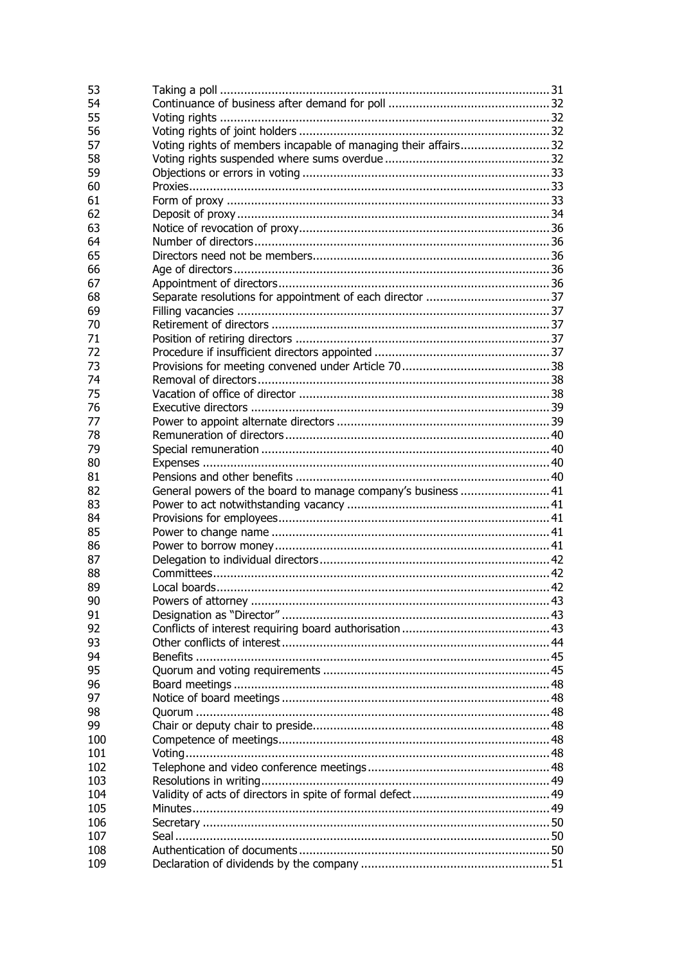| 53  |                                                              |  |
|-----|--------------------------------------------------------------|--|
| 54  |                                                              |  |
| 55  |                                                              |  |
| 56  |                                                              |  |
| 57  |                                                              |  |
| 58  |                                                              |  |
|     |                                                              |  |
| 59  |                                                              |  |
| 60  |                                                              |  |
| 61  |                                                              |  |
| 62  |                                                              |  |
| 63  |                                                              |  |
| 64  |                                                              |  |
| 65  |                                                              |  |
| 66  |                                                              |  |
| 67  |                                                              |  |
| 68  |                                                              |  |
| 69  |                                                              |  |
| 70  |                                                              |  |
|     |                                                              |  |
| 71  |                                                              |  |
| 72  |                                                              |  |
| 73  |                                                              |  |
| 74  |                                                              |  |
| 75  |                                                              |  |
| 76  |                                                              |  |
| 77  |                                                              |  |
| 78  |                                                              |  |
| 79  |                                                              |  |
| 80  |                                                              |  |
| 81  |                                                              |  |
| 82  |                                                              |  |
|     | General powers of the board to manage company's business  41 |  |
| 83  |                                                              |  |
| 84  |                                                              |  |
| 85  |                                                              |  |
| 86  |                                                              |  |
| 87  |                                                              |  |
| 88  |                                                              |  |
| 89  |                                                              |  |
| 90  |                                                              |  |
| 91  |                                                              |  |
| 92  |                                                              |  |
| 93  |                                                              |  |
| 94  |                                                              |  |
| 95  |                                                              |  |
|     |                                                              |  |
| 96  |                                                              |  |
| 97  |                                                              |  |
| 98  |                                                              |  |
| 99  |                                                              |  |
| 100 |                                                              |  |
| 101 |                                                              |  |
| 102 |                                                              |  |
| 103 |                                                              |  |
| 104 |                                                              |  |
| 105 |                                                              |  |
| 106 |                                                              |  |
| 107 |                                                              |  |
| 108 |                                                              |  |
|     |                                                              |  |
| 109 |                                                              |  |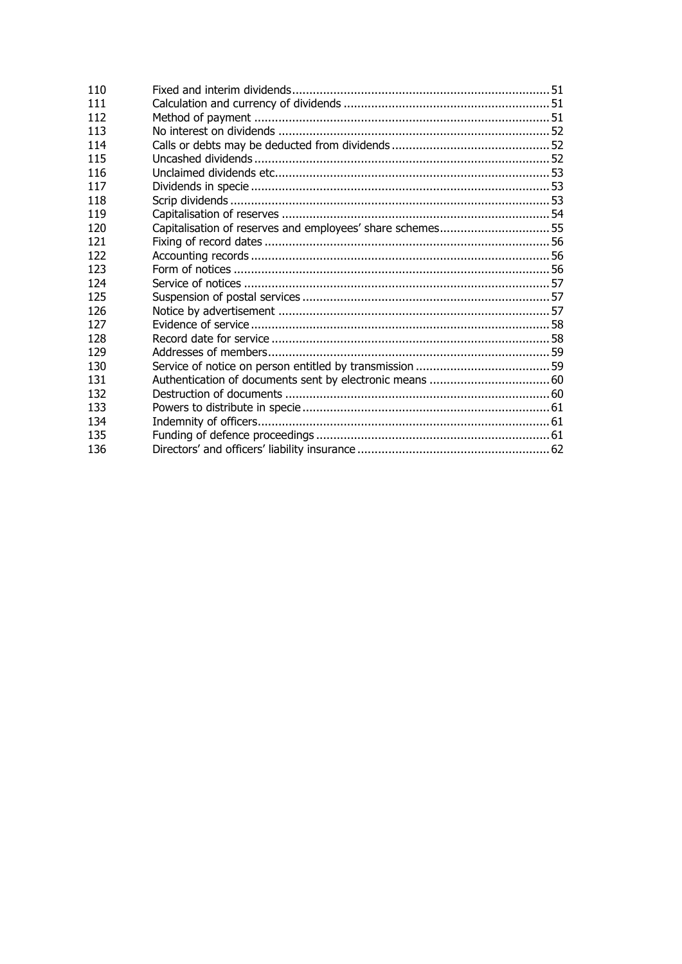| 110 |  |
|-----|--|
| 111 |  |
| 112 |  |
| 113 |  |
| 114 |  |
| 115 |  |
| 116 |  |
| 117 |  |
| 118 |  |
| 119 |  |
| 120 |  |
| 121 |  |
| 122 |  |
| 123 |  |
| 124 |  |
| 125 |  |
| 126 |  |
| 127 |  |
| 128 |  |
| 129 |  |
| 130 |  |
| 131 |  |
| 132 |  |
| 133 |  |
| 134 |  |
| 135 |  |
| 136 |  |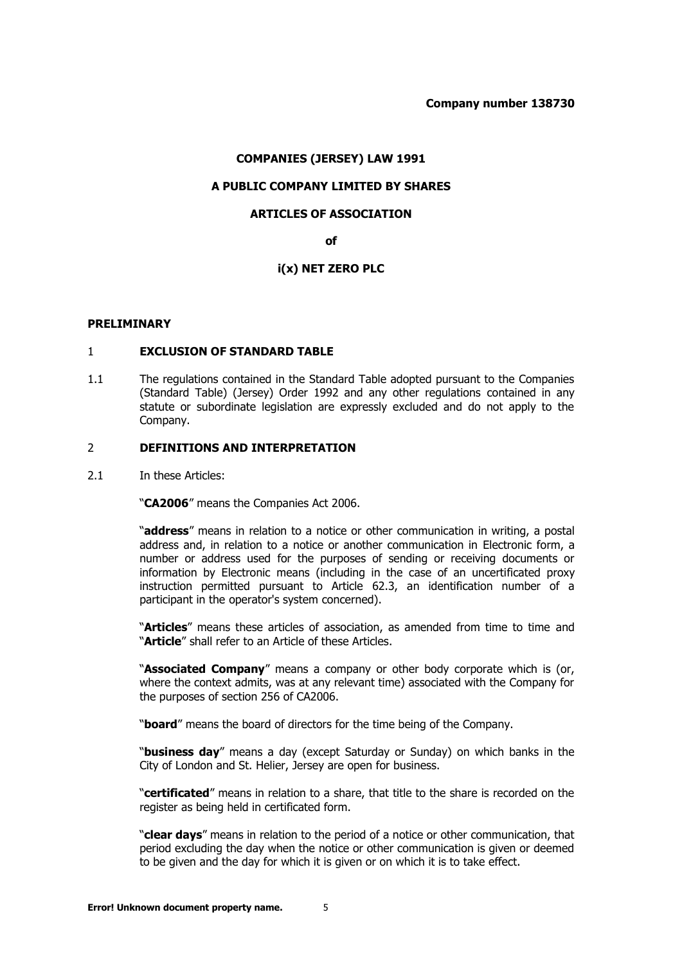## **COMPANIES (JERSEY) LAW 1991**

# **A PUBLIC COMPANY LIMITED BY SHARES**

## **ARTICLES OF ASSOCIATION**

**of** 

# **i(x) NET ZERO PLC**

#### <span id="page-4-0"></span>**PRELIMINARY**

#### 1 **EXCLUSION OF STANDARD TABLE**

1.1 The regulations contained in the Standard Table adopted pursuant to the Companies (Standard Table) (Jersey) Order 1992 and any other regulations contained in any statute or subordinate legislation are expressly excluded and do not apply to the Company.

#### <span id="page-4-1"></span>2 **DEFINITIONS AND INTERPRETATION**

2.1 In these Articles:

"**CA2006**" means the Companies Act 2006.

"**address**" means in relation to a notice or other communication in writing, a postal address and, in relation to a notice or another communication in Electronic form, a number or address used for the purposes of sending or receiving documents or information by Electronic means (including in the case of an uncertificated proxy instruction permitted pursuant to Article [62.3,](#page-33-1) an identification number of a participant in the operator's system concerned).

"**Articles**" means these articles of association, as amended from time to time and "**Article**" shall refer to an Article of these Articles.

"**Associated Company**" means a company or other body corporate which is (or, where the context admits, was at any relevant time) associated with the Company for the purposes of section 256 of CA2006.

"**board**" means the board of directors for the time being of the Company.

"**business day**" means a day (except Saturday or Sunday) on which banks in the City of London and St. Helier, Jersey are open for business.

"**certificated**" means in relation to a share, that title to the share is recorded on the register as being held in certificated form.

"**clear days**" means in relation to the period of a notice or other communication, that period excluding the day when the notice or other communication is given or deemed to be given and the day for which it is given or on which it is to take effect.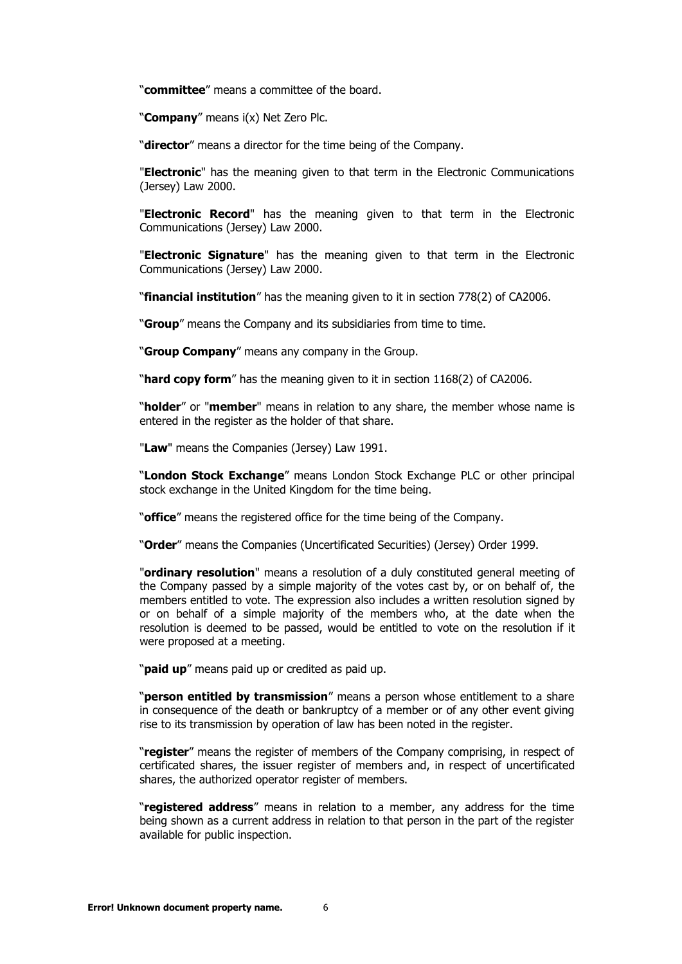"**committee**" means a committee of the board.

"**Company**" means i(x) Net Zero Plc.

"**director**" means a director for the time being of the Company.

"**Electronic**" has the meaning given to that term in the Electronic Communications (Jersey) Law 2000.

"**Electronic Record**" has the meaning given to that term in the Electronic Communications (Jersey) Law 2000.

"**Electronic Signature**" has the meaning given to that term in the Electronic Communications (Jersey) Law 2000.

"**financial institution**" has the meaning given to it in section 778(2) of CA2006.

"**Group**" means the Company and its subsidiaries from time to time.

"**Group Company**" means any company in the Group.

"**hard copy form**" has the meaning given to it in section 1168(2) of CA2006.

"**holder**" or "**member**" means in relation to any share, the member whose name is entered in the register as the holder of that share.

"**Law**" means the Companies (Jersey) Law 1991.

"**London Stock Exchange**" means London Stock Exchange PLC or other principal stock exchange in the United Kingdom for the time being.

"**office**" means the registered office for the time being of the Company.

"**Order**" means the Companies (Uncertificated Securities) (Jersey) Order 1999.

"**ordinary resolution**" means a resolution of a duly constituted general meeting of the Company passed by a simple majority of the votes cast by, or on behalf of, the members entitled to vote. The expression also includes a written resolution signed by or on behalf of a simple majority of the members who, at the date when the resolution is deemed to be passed, would be entitled to vote on the resolution if it were proposed at a meeting.

"**paid up**" means paid up or credited as paid up.

"**person entitled by transmission**" means a person whose entitlement to a share in consequence of the death or bankruptcy of a member or of any other event giving rise to its transmission by operation of law has been noted in the register.

"**register**" means the register of members of the Company comprising, in respect of certificated shares, the issuer register of members and, in respect of uncertificated shares, the authorized operator register of members.

"**registered address**" means in relation to a member, any address for the time being shown as a current address in relation to that person in the part of the register available for public inspection.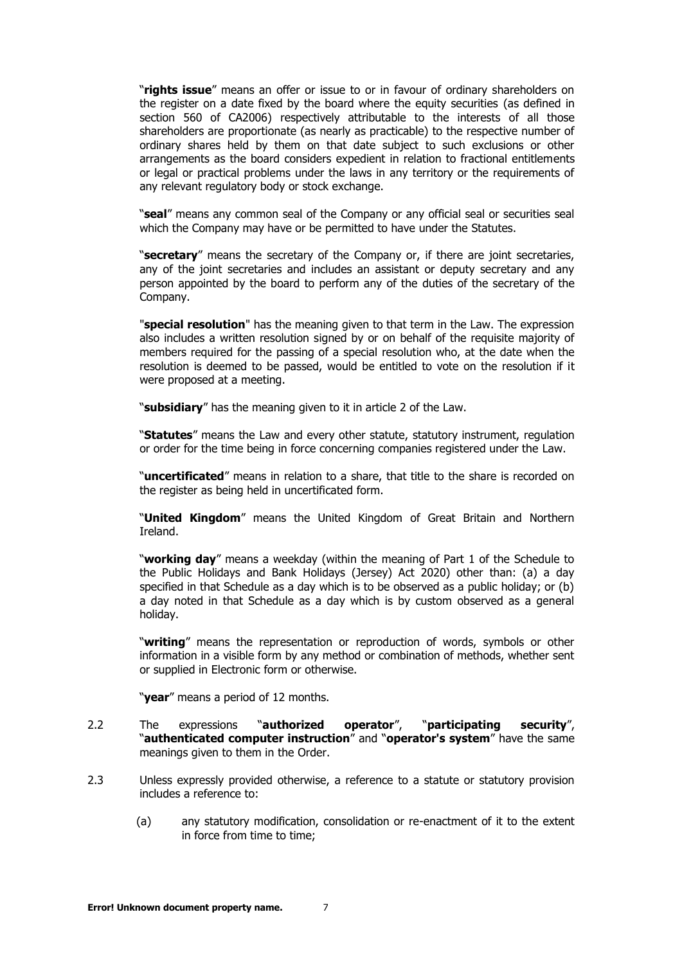"**rights issue**" means an offer or issue to or in favour of ordinary shareholders on the register on a date fixed by the board where the equity securities (as defined in section 560 of CA2006) respectively attributable to the interests of all those shareholders are proportionate (as nearly as practicable) to the respective number of ordinary shares held by them on that date subject to such exclusions or other arrangements as the board considers expedient in relation to fractional entitlements or legal or practical problems under the laws in any territory or the requirements of any relevant regulatory body or stock exchange.

"**seal**" means any common seal of the Company or any official seal or securities seal which the Company may have or be permitted to have under the Statutes.

"**secretary**" means the secretary of the Company or, if there are joint secretaries, any of the joint secretaries and includes an assistant or deputy secretary and any person appointed by the board to perform any of the duties of the secretary of the Company.

"**special resolution**" has the meaning given to that term in the Law. The expression also includes a written resolution signed by or on behalf of the requisite majority of members required for the passing of a special resolution who, at the date when the resolution is deemed to be passed, would be entitled to vote on the resolution if it were proposed at a meeting.

"**subsidiary**" has the meaning given to it in article 2 of the Law.

"**Statutes**" means the Law and every other statute, statutory instrument, regulation or order for the time being in force concerning companies registered under the Law.

"**uncertificated**" means in relation to a share, that title to the share is recorded on the register as being held in uncertificated form.

"**United Kingdom**" means the United Kingdom of Great Britain and Northern Ireland.

"**working day**" means a weekday (within the meaning of Part 1 of the Schedule to the Public Holidays and Bank Holidays (Jersey) Act 2020) other than: (a) a day specified in that Schedule as a day which is to be observed as a public holiday; or (b) a day noted in that Schedule as a day which is by custom observed as a general holiday.

"**writing**" means the representation or reproduction of words, symbols or other information in a visible form by any method or combination of methods, whether sent or supplied in Electronic form or otherwise.

"**year**" means a period of 12 months.

- 2.2 The expressions "**authorized operator**", "**participating security**", "**authenticated computer instruction**" and "**operator's system**" have the same meanings given to them in the Order.
- 2.3 Unless expressly provided otherwise, a reference to a statute or statutory provision includes a reference to:
	- (a) any statutory modification, consolidation or re-enactment of it to the extent in force from time to time;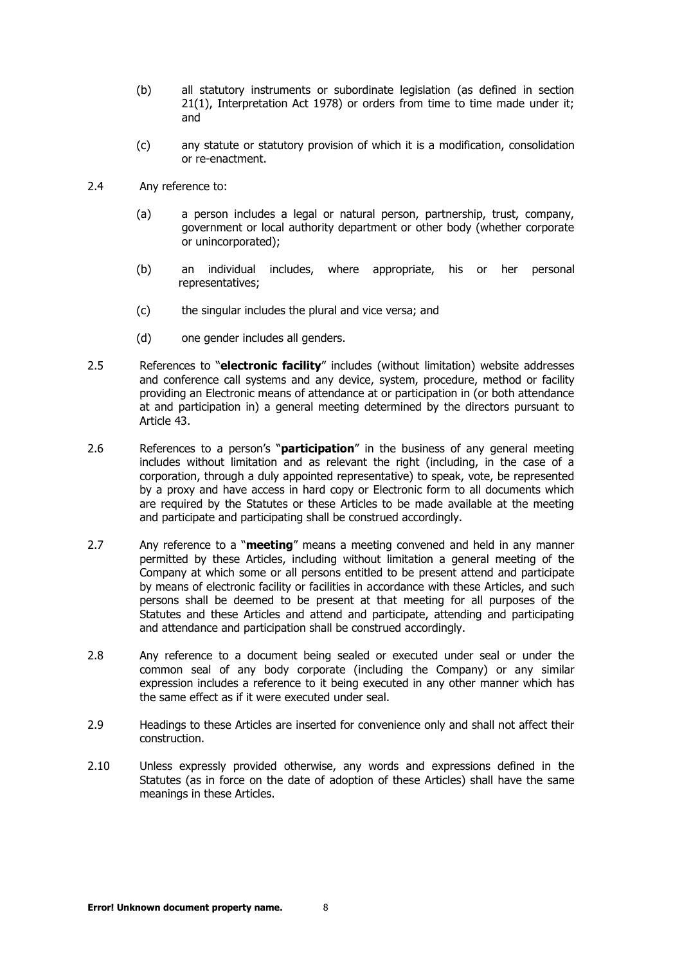- (b) all statutory instruments or subordinate legislation (as defined in section 21(1), Interpretation Act 1978) or orders from time to time made under it; and
- (c) any statute or statutory provision of which it is a modification, consolidation or re-enactment.
- 2.4 Any reference to:
	- (a) a person includes a legal or natural person, partnership, trust, company, government or local authority department or other body (whether corporate or unincorporated);
	- (b) an individual includes, where appropriate, his or her personal representatives;
	- (c) the singular includes the plural and vice versa; and
	- (d) one gender includes all genders.
- 2.5 References to "**electronic facility**" includes (without limitation) website addresses and conference call systems and any device, system, procedure, method or facility providing an Electronic means of attendance at or participation in (or both attendance at and participation in) a general meeting determined by the directors pursuant to Article [43.](#page-25-0)
- 2.6 References to a person's "**participation**" in the business of any general meeting includes without limitation and as relevant the right (including, in the case of a corporation, through a duly appointed representative) to speak, vote, be represented by a proxy and have access in hard copy or Electronic form to all documents which are required by the Statutes or these Articles to be made available at the meeting and participate and participating shall be construed accordingly.
- 2.7 Any reference to a "**meeting**" means a meeting convened and held in any manner permitted by these Articles, including without limitation a general meeting of the Company at which some or all persons entitled to be present attend and participate by means of electronic facility or facilities in accordance with these Articles, and such persons shall be deemed to be present at that meeting for all purposes of the Statutes and these Articles and attend and participate, attending and participating and attendance and participation shall be construed accordingly.
- 2.8 Any reference to a document being sealed or executed under seal or under the common seal of any body corporate (including the Company) or any similar expression includes a reference to it being executed in any other manner which has the same effect as if it were executed under seal.
- 2.9 Headings to these Articles are inserted for convenience only and shall not affect their construction.
- 2.10 Unless expressly provided otherwise, any words and expressions defined in the Statutes (as in force on the date of adoption of these Articles) shall have the same meanings in these Articles.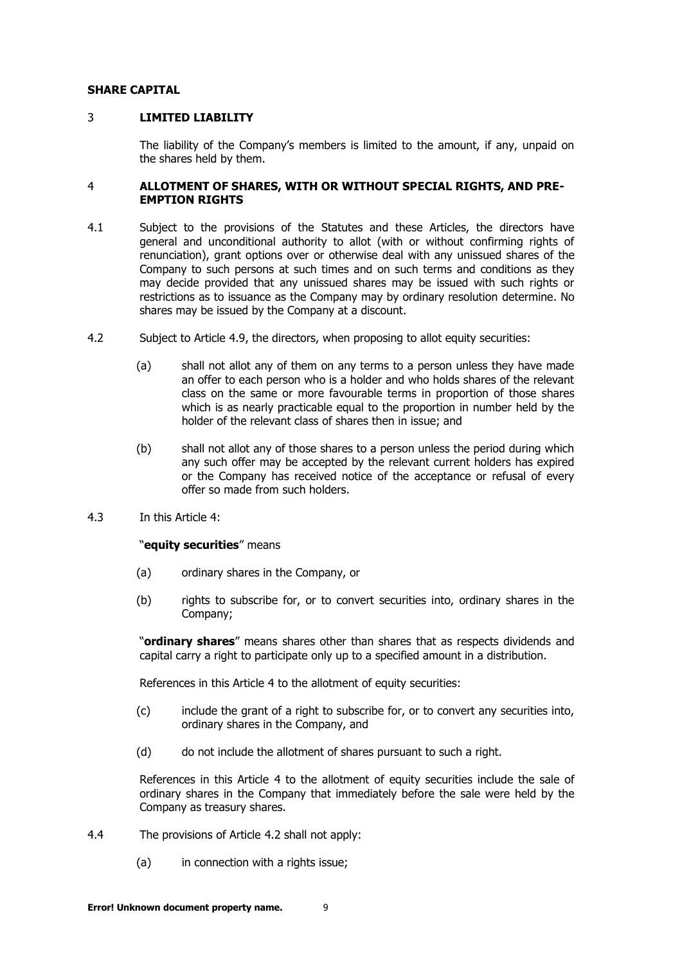#### <span id="page-8-0"></span>**SHARE CAPITAL**

## 3 **LIMITED LIABILITY**

The liability of the Company's members is limited to the amount, if any, unpaid on the shares held by them.

## <span id="page-8-1"></span>4 **ALLOTMENT OF SHARES, WITH OR WITHOUT SPECIAL RIGHTS, AND PRE-EMPTION RIGHTS**

- 4.1 Subject to the provisions of the Statutes and these Articles, the directors have general and unconditional authority to allot (with or without confirming rights of renunciation), grant options over or otherwise deal with any unissued shares of the Company to such persons at such times and on such terms and conditions as they may decide provided that any unissued shares may be issued with such rights or restrictions as to issuance as the Company may by ordinary resolution determine. No shares may be issued by the Company at a discount.
- <span id="page-8-2"></span>4.2 Subject to Article [4.9,](#page-9-0) the directors, when proposing to allot equity securities:
	- (a) shall not allot any of them on any terms to a person unless they have made an offer to each person who is a holder and who holds shares of the relevant class on the same or more favourable terms in proportion of those shares which is as nearly practicable equal to the proportion in number held by the holder of the relevant class of shares then in issue; and
	- (b) shall not allot any of those shares to a person unless the period during which any such offer may be accepted by the relevant current holders has expired or the Company has received notice of the acceptance or refusal of every offer so made from such holders.
- 4.3 In this Article [4:](#page-8-1)

## "**equity securities**" means

- (a) ordinary shares in the Company, or
- (b) rights to subscribe for, or to convert securities into, ordinary shares in the Company;

"**ordinary shares**" means shares other than shares that as respects dividends and capital carry a right to participate only up to a specified amount in a distribution.

References in this Article [4](#page-8-1) to the allotment of equity securities:

- (c) include the grant of a right to subscribe for, or to convert any securities into, ordinary shares in the Company, and
- (d) do not include the allotment of shares pursuant to such a right.

References in this Article [4](#page-8-1) to the allotment of equity securities include the sale of ordinary shares in the Company that immediately before the sale were held by the Company as treasury shares.

- 4.4 The provisions of Article [4.2](#page-8-2) shall not apply:
	- (a) in connection with a rights issue;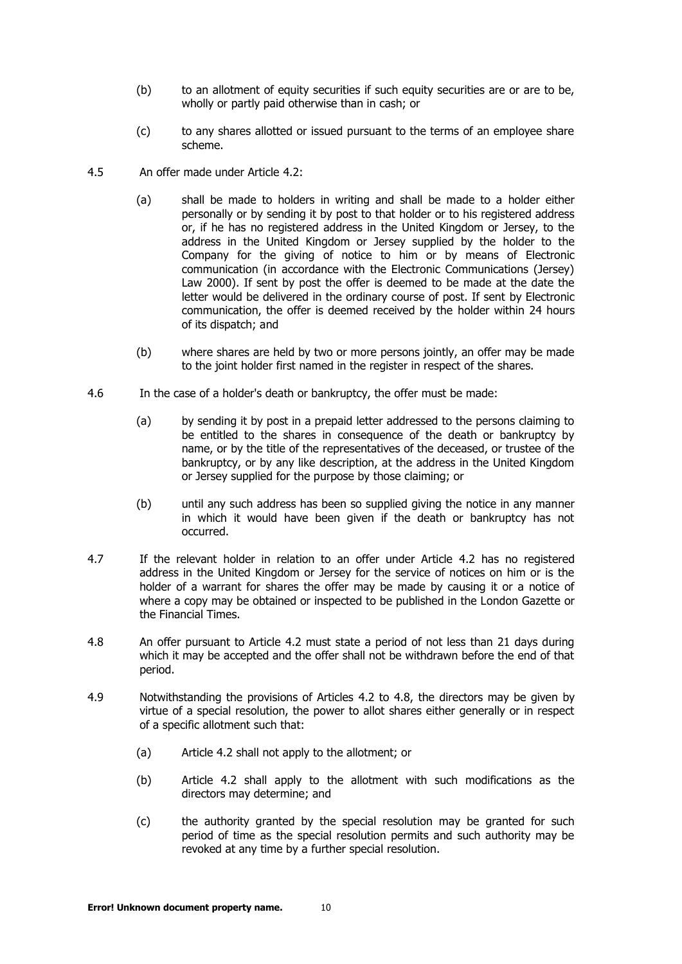- (b) to an allotment of equity securities if such equity securities are or are to be, wholly or partly paid otherwise than in cash; or
- (c) to any shares allotted or issued pursuant to the terms of an employee share scheme.
- 4.5 An offer made under Article [4.2:](#page-8-2)
	- (a) shall be made to holders in writing and shall be made to a holder either personally or by sending it by post to that holder or to his registered address or, if he has no registered address in the United Kingdom or Jersey, to the address in the United Kingdom or Jersey supplied by the holder to the Company for the giving of notice to him or by means of Electronic communication (in accordance with the Electronic Communications (Jersey) Law 2000). If sent by post the offer is deemed to be made at the date the letter would be delivered in the ordinary course of post. If sent by Electronic communication, the offer is deemed received by the holder within 24 hours of its dispatch; and
	- (b) where shares are held by two or more persons jointly, an offer may be made to the joint holder first named in the register in respect of the shares.
- 4.6 In the case of a holder's death or bankruptcy, the offer must be made:
	- (a) by sending it by post in a prepaid letter addressed to the persons claiming to be entitled to the shares in consequence of the death or bankruptcy by name, or by the title of the representatives of the deceased, or trustee of the bankruptcy, or by any like description, at the address in the United Kingdom or Jersey supplied for the purpose by those claiming; or
	- (b) until any such address has been so supplied giving the notice in any manner in which it would have been given if the death or bankruptcy has not occurred.
- 4.7 If the relevant holder in relation to an offer under Article [4.2](#page-8-2) has no registered address in the United Kingdom or Jersey for the service of notices on him or is the holder of a warrant for shares the offer may be made by causing it or a notice of where a copy may be obtained or inspected to be published in the London Gazette or the Financial Times.
- <span id="page-9-1"></span>4.8 An offer pursuant to Article [4.2](#page-8-2) must state a period of not less than 21 days during which it may be accepted and the offer shall not be withdrawn before the end of that period.
- <span id="page-9-0"></span>4.9 Notwithstanding the provisions of Articles [4.2](#page-8-2) to [4.8,](#page-9-1) the directors may be given by virtue of a special resolution, the power to allot shares either generally or in respect of a specific allotment such that:
	- (a) Article [4.2](#page-8-2) shall not apply to the allotment; or
	- (b) Article [4.2](#page-8-2) shall apply to the allotment with such modifications as the directors may determine; and
	- (c) the authority granted by the special resolution may be granted for such period of time as the special resolution permits and such authority may be revoked at any time by a further special resolution.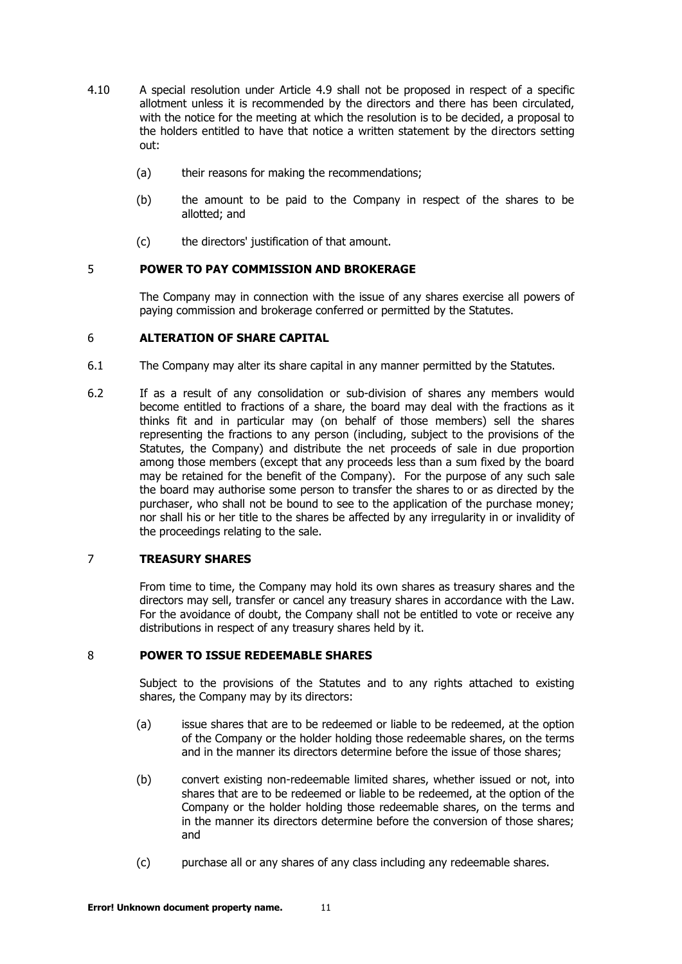- 4.10 A special resolution under Article 4.9 shall not be proposed in respect of a specific allotment unless it is recommend[ed b](#page-9-0)y the directors and there has been circulated, with the notice for the meeting at which the resolution is to be decided, a proposal to the holders entitled to have that notice a written statement by the directors setting out:
	- (a) their reasons for making the recommendations;
	- (b) the amount to be paid to the Company in respect of the shares to be allotted; and
	- (c) the directors' justification of that amount.

# <span id="page-10-0"></span>5 **POWER TO PAY COMMISSION AND BROKERAGE**

The Company may in connection with the issue of any shares exercise all powers of paying commission and brokerage conferred or permitted by the Statutes.

# <span id="page-10-1"></span>6 **ALTERATION OF SHARE CAPITAL**

- 6.1 The Company may alter its share capital in any manner permitted by the Statutes.
- 6.2 If as a result of any consolidation or sub-division of shares any members would become entitled to fractions of a share, the board may deal with the fractions as it thinks fit and in particular may (on behalf of those members) sell the shares representing the fractions to any person (including, subject to the provisions of the Statutes, the Company) and distribute the net proceeds of sale in due proportion among those members (except that any proceeds less than a sum fixed by the board may be retained for the benefit of the Company). For the purpose of any such sale the board may authorise some person to transfer the shares to or as directed by the purchaser, who shall not be bound to see to the application of the purchase money; nor shall his or her title to the shares be affected by any irregularity in or invalidity of the proceedings relating to the sale.

# <span id="page-10-2"></span>7 **TREASURY SHARES**

From time to time, the Company may hold its own shares as treasury shares and the directors may sell, transfer or cancel any treasury shares in accordance with the Law. For the avoidance of doubt, the Company shall not be entitled to vote or receive any distributions in respect of any treasury shares held by it.

## <span id="page-10-3"></span>8 **POWER TO ISSUE REDEEMABLE SHARES**

Subject to the provisions of the Statutes and to any rights attached to existing shares, the Company may by its directors:

- (a) issue shares that are to be redeemed or liable to be redeemed, at the option of the Company or the holder holding those redeemable shares, on the terms and in the manner its directors determine before the issue of those shares;
- (b) convert existing non-redeemable limited shares, whether issued or not, into shares that are to be redeemed or liable to be redeemed, at the option of the Company or the holder holding those redeemable shares, on the terms and in the manner its directors determine before the conversion of those shares; and
- (c) purchase all or any shares of any class including any redeemable shares.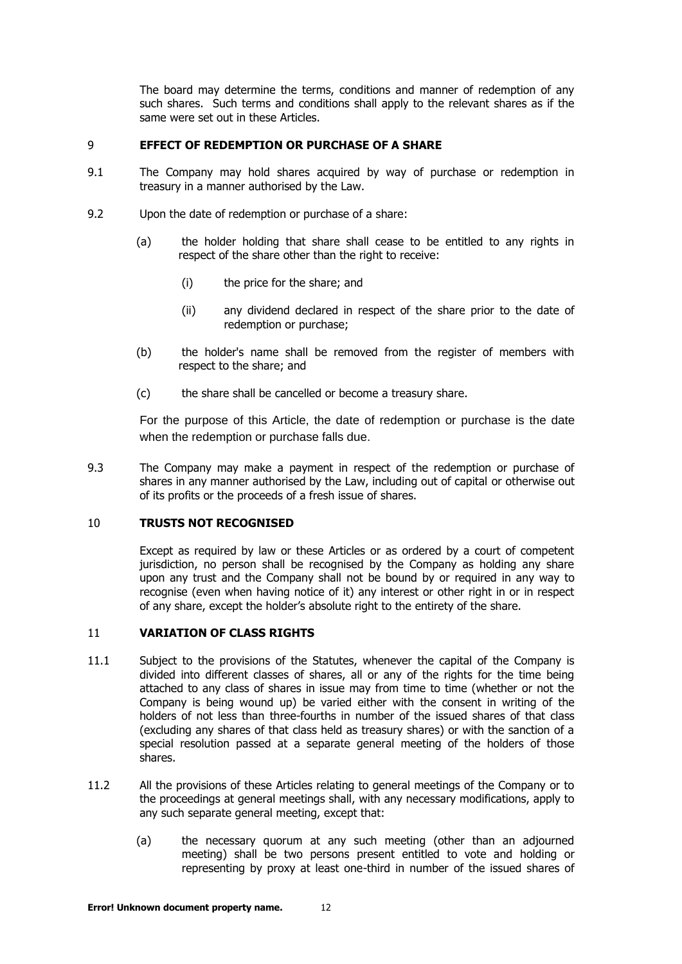The board may determine the terms, conditions and manner of redemption of any such shares. Such terms and conditions shall apply to the relevant shares as if the same were set out in these Articles.

#### <span id="page-11-0"></span>9 **EFFECT OF REDEMPTION OR PURCHASE OF A SHARE**

- 9.1 The Company may hold shares acquired by way of purchase or redemption in treasury in a manner authorised by the Law.
- 9.2 Upon the date of redemption or purchase of a share:
	- (a) the holder holding that share shall cease to be entitled to any rights in respect of the share other than the right to receive:
		- (i) the price for the share; and
		- (ii) any dividend declared in respect of the share prior to the date of redemption or purchase;
	- (b) the holder's name shall be removed from the register of members with respect to the share; and
	- (c) the share shall be cancelled or become a treasury share.

For the purpose of this Article, the date of redemption or purchase is the date when the redemption or purchase falls due.

9.3 The Company may make a payment in respect of the redemption or purchase of shares in any manner authorised by the Law, including out of capital or otherwise out of its profits or the proceeds of a fresh issue of shares.

## <span id="page-11-1"></span>10 **TRUSTS NOT RECOGNISED**

Except as required by law or these Articles or as ordered by a court of competent jurisdiction, no person shall be recognised by the Company as holding any share upon any trust and the Company shall not be bound by or required in any way to recognise (even when having notice of it) any interest or other right in or in respect of any share, except the holder's absolute right to the entirety of the share.

## <span id="page-11-2"></span>11 **VARIATION OF CLASS RIGHTS**

- 11.1 Subject to the provisions of the Statutes, whenever the capital of the Company is divided into different classes of shares, all or any of the rights for the time being attached to any class of shares in issue may from time to time (whether or not the Company is being wound up) be varied either with the consent in writing of the holders of not less than three-fourths in number of the issued shares of that class (excluding any shares of that class held as treasury shares) or with the sanction of a special resolution passed at a separate general meeting of the holders of those shares.
- 11.2 All the provisions of these Articles relating to general meetings of the Company or to the proceedings at general meetings shall, with any necessary modifications, apply to any such separate general meeting, except that:
	- (a) the necessary quorum at any such meeting (other than an adjourned meeting) shall be two persons present entitled to vote and holding or representing by proxy at least one-third in number of the issued shares of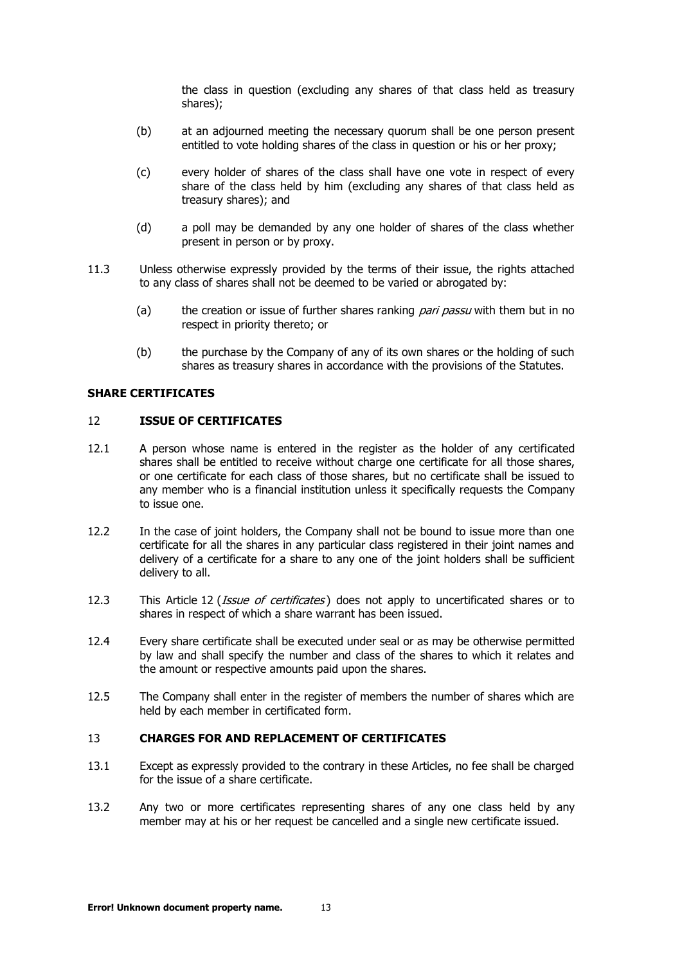the class in question (excluding any shares of that class held as treasury shares);

- (b) at an adjourned meeting the necessary quorum shall be one person present entitled to vote holding shares of the class in question or his or her proxy;
- (c) every holder of shares of the class shall have one vote in respect of every share of the class held by him (excluding any shares of that class held as treasury shares); and
- (d) a poll may be demanded by any one holder of shares of the class whether present in person or by proxy.
- 11.3 Unless otherwise expressly provided by the terms of their issue, the rights attached to any class of shares shall not be deemed to be varied or abrogated by:
	- (a) the creation or issue of further shares ranking *pari passu* with them but in no respect in priority thereto; or
	- (b) the purchase by the Company of any of its own shares or the holding of such shares as treasury shares in accordance with the provisions of the Statutes.

#### <span id="page-12-0"></span>**SHARE CERTIFICATES**

# 12 **ISSUE OF CERTIFICATES**

- 12.1 A person whose name is entered in the register as the holder of any certificated shares shall be entitled to receive without charge one certificate for all those shares, or one certificate for each class of those shares, but no certificate shall be issued to any member who is a financial institution unless it specifically requests the Company to issue one.
- 12.2 In the case of joint holders, the Company shall not be bound to issue more than one certificate for all the shares in any particular class registered in their joint names and delivery of a certificate for a share to any one of the joint holders shall be sufficient delivery to all.
- [12](#page-12-0).3 This Article 12 (*[Issue of certificates](#page-12-0)*) does not apply to uncertificated shares or to shares in respect of which a share warrant has been issued.
- 12.4 Every share certificate shall be executed under seal or as may be otherwise permitted by law and shall specify the number and class of the shares to which it relates and the amount or respective amounts paid upon the shares.
- 12.5 The Company shall enter in the register of members the number of shares which are held by each member in certificated form.

# <span id="page-12-1"></span>13 **CHARGES FOR AND REPLACEMENT OF CERTIFICATES**

- 13.1 Except as expressly provided to the contrary in these Articles, no fee shall be charged for the issue of a share certificate.
- 13.2 Any two or more certificates representing shares of any one class held by any member may at his or her request be cancelled and a single new certificate issued.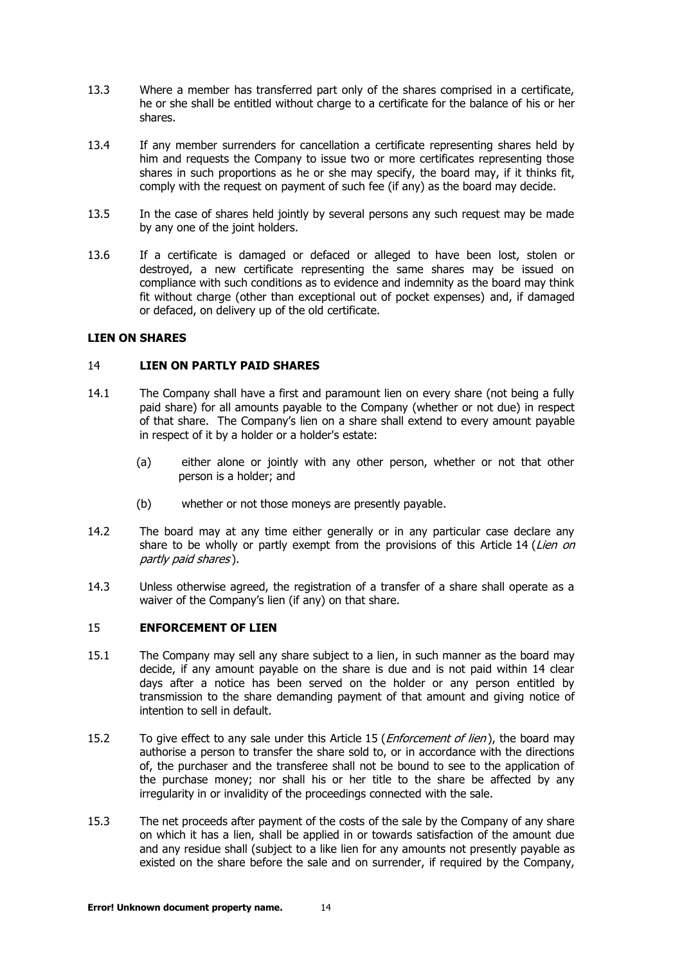- 13.3 Where a member has transferred part only of the shares comprised in a certificate, he or she shall be entitled without charge to a certificate for the balance of his or her shares.
- 13.4 If any member surrenders for cancellation a certificate representing shares held by him and requests the Company to issue two or more certificates representing those shares in such proportions as he or she may specify, the board may, if it thinks fit, comply with the request on payment of such fee (if any) as the board may decide.
- 13.5 In the case of shares held jointly by several persons any such request may be made by any one of the joint holders.
- 13.6 If a certificate is damaged or defaced or alleged to have been lost, stolen or destroyed, a new certificate representing the same shares may be issued on compliance with such conditions as to evidence and indemnity as the board may think fit without charge (other than exceptional out of pocket expenses) and, if damaged or defaced, on delivery up of the old certificate.

#### <span id="page-13-0"></span>**LIEN ON SHARES**

# 14 **LIEN ON PARTLY PAID SHARES**

- 14.1 The Company shall have a first and paramount lien on every share (not being a fully paid share) for all amounts payable to the Company (whether or not due) in respect of that share. The Company's lien on a share shall extend to every amount payable in respect of it by a holder or a holder's estate:
	- (a) either alone or jointly with any other person, whether or not that other person is a holder; and
	- (b) whether or not those moneys are presently payable.
- 14.2 The board may at any time either generally or in any particular case declare any share to be wholly or partly exempt from the provisions of this Article [14](#page-13-0) (*Lien on* [partly paid shares](#page-13-0) ).
- 14.3 Unless otherwise agreed, the registration of a transfer of a share shall operate as a waiver of the Company's lien (if any) on that share.

## <span id="page-13-1"></span>15 **ENFORCEMENT OF LIEN**

- 15.1 The Company may sell any share subject to a lien, in such manner as the board may decide, if any amount payable on the share is due and is not paid within 14 clear days after a notice has been served on the holder or any person entitled by transmission to the share demanding payment of that amount and giving notice of intention to sell in default.
- [15](#page-13-1).2 To give effect to any sale under this Article 15 (*[Enforcement of lien](#page-13-1)*), the board may authorise a person to transfer the share sold to, or in accordance with the directions of, the purchaser and the transferee shall not be bound to see to the application of the purchase money; nor shall his or her title to the share be affected by any irregularity in or invalidity of the proceedings connected with the sale.
- 15.3 The net proceeds after payment of the costs of the sale by the Company of any share on which it has a lien, shall be applied in or towards satisfaction of the amount due and any residue shall (subject to a like lien for any amounts not presently payable as existed on the share before the sale and on surrender, if required by the Company,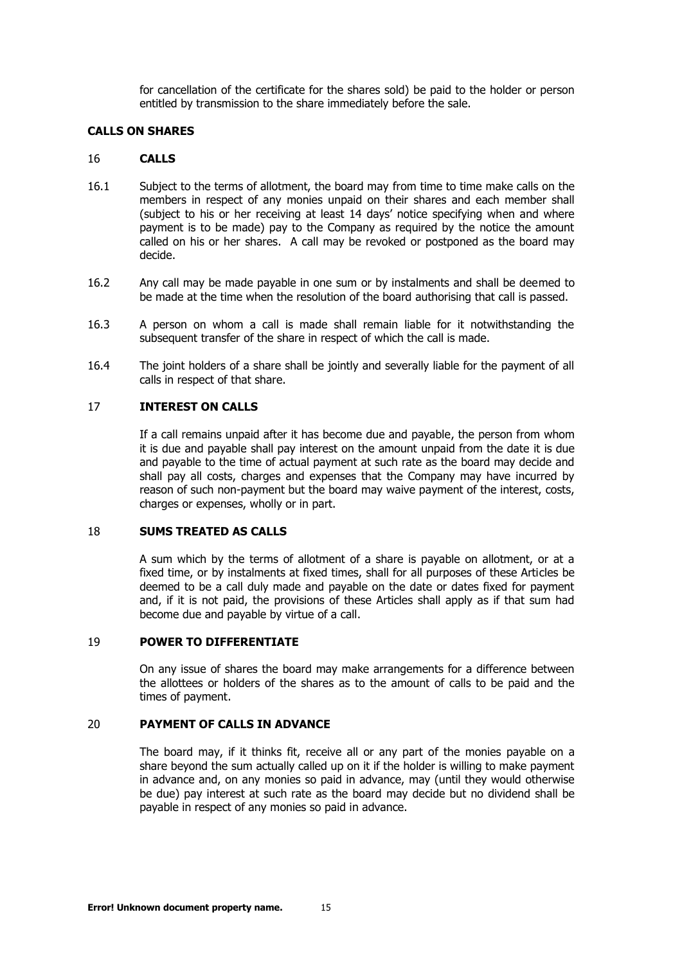for cancellation of the certificate for the shares sold) be paid to the holder or person entitled by transmission to the share immediately before the sale.

## <span id="page-14-0"></span>**CALLS ON SHARES**

#### 16 **CALLS**

- 16.1 Subject to the terms of allotment, the board may from time to time make calls on the members in respect of any monies unpaid on their shares and each member shall (subject to his or her receiving at least 14 days' notice specifying when and where payment is to be made) pay to the Company as required by the notice the amount called on his or her shares. A call may be revoked or postponed as the board may decide.
- 16.2 Any call may be made payable in one sum or by instalments and shall be deemed to be made at the time when the resolution of the board authorising that call is passed.
- 16.3 A person on whom a call is made shall remain liable for it notwithstanding the subsequent transfer of the share in respect of which the call is made.
- 16.4 The joint holders of a share shall be jointly and severally liable for the payment of all calls in respect of that share.

# <span id="page-14-1"></span>17 **INTEREST ON CALLS**

If a call remains unpaid after it has become due and payable, the person from whom it is due and payable shall pay interest on the amount unpaid from the date it is due and payable to the time of actual payment at such rate as the board may decide and shall pay all costs, charges and expenses that the Company may have incurred by reason of such non-payment but the board may waive payment of the interest, costs, charges or expenses, wholly or in part.

## <span id="page-14-2"></span>18 **SUMS TREATED AS CALLS**

A sum which by the terms of allotment of a share is payable on allotment, or at a fixed time, or by instalments at fixed times, shall for all purposes of these Articles be deemed to be a call duly made and payable on the date or dates fixed for payment and, if it is not paid, the provisions of these Articles shall apply as if that sum had become due and payable by virtue of a call.

#### <span id="page-14-3"></span>19 **POWER TO DIFFERENTIATE**

On any issue of shares the board may make arrangements for a difference between the allottees or holders of the shares as to the amount of calls to be paid and the times of payment.

# <span id="page-14-4"></span>20 **PAYMENT OF CALLS IN ADVANCE**

The board may, if it thinks fit, receive all or any part of the monies payable on a share beyond the sum actually called up on it if the holder is willing to make payment in advance and, on any monies so paid in advance, may (until they would otherwise be due) pay interest at such rate as the board may decide but no dividend shall be payable in respect of any monies so paid in advance.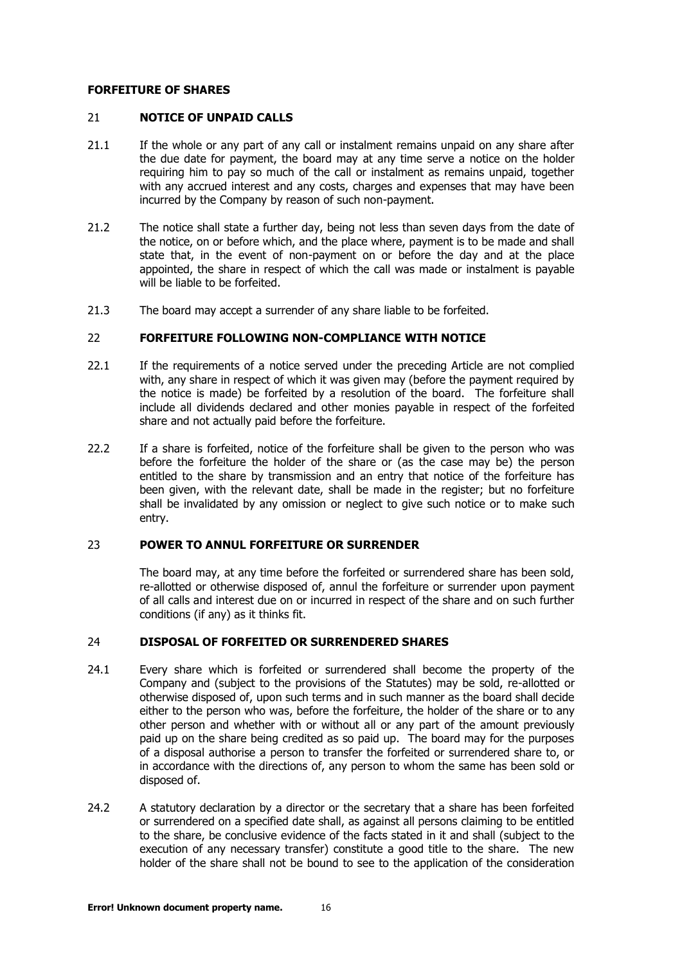#### <span id="page-15-0"></span>**FORFEITURE OF SHARES**

#### 21 **NOTICE OF UNPAID CALLS**

- 21.1 If the whole or any part of any call or instalment remains unpaid on any share after the due date for payment, the board may at any time serve a notice on the holder requiring him to pay so much of the call or instalment as remains unpaid, together with any accrued interest and any costs, charges and expenses that may have been incurred by the Company by reason of such non-payment.
- 21.2 The notice shall state a further day, being not less than seven days from the date of the notice, on or before which, and the place where, payment is to be made and shall state that, in the event of non-payment on or before the day and at the place appointed, the share in respect of which the call was made or instalment is payable will be liable to be forfeited.
- <span id="page-15-1"></span>21.3 The board may accept a surrender of any share liable to be forfeited.

## 22 **FORFEITURE FOLLOWING NON-COMPLIANCE WITH NOTICE**

- 22.1 If the requirements of a notice served under the preceding Article are not complied with, any share in respect of which it was given may (before the payment required by the notice is made) be forfeited by a resolution of the board. The forfeiture shall include all dividends declared and other monies payable in respect of the forfeited share and not actually paid before the forfeiture.
- 22.2 If a share is forfeited, notice of the forfeiture shall be given to the person who was before the forfeiture the holder of the share or (as the case may be) the person entitled to the share by transmission and an entry that notice of the forfeiture has been given, with the relevant date, shall be made in the register; but no forfeiture shall be invalidated by any omission or neglect to give such notice or to make such entry.

# <span id="page-15-2"></span>23 **POWER TO ANNUL FORFEITURE OR SURRENDER**

The board may, at any time before the forfeited or surrendered share has been sold, re-allotted or otherwise disposed of, annul the forfeiture or surrender upon payment of all calls and interest due on or incurred in respect of the share and on such further conditions (if any) as it thinks fit.

## <span id="page-15-3"></span>24 **DISPOSAL OF FORFEITED OR SURRENDERED SHARES**

- 24.1 Every share which is forfeited or surrendered shall become the property of the Company and (subject to the provisions of the Statutes) may be sold, re-allotted or otherwise disposed of, upon such terms and in such manner as the board shall decide either to the person who was, before the forfeiture, the holder of the share or to any other person and whether with or without all or any part of the amount previously paid up on the share being credited as so paid up. The board may for the purposes of a disposal authorise a person to transfer the forfeited or surrendered share to, or in accordance with the directions of, any person to whom the same has been sold or disposed of.
- 24.2 A statutory declaration by a director or the secretary that a share has been forfeited or surrendered on a specified date shall, as against all persons claiming to be entitled to the share, be conclusive evidence of the facts stated in it and shall (subject to the execution of any necessary transfer) constitute a good title to the share. The new holder of the share shall not be bound to see to the application of the consideration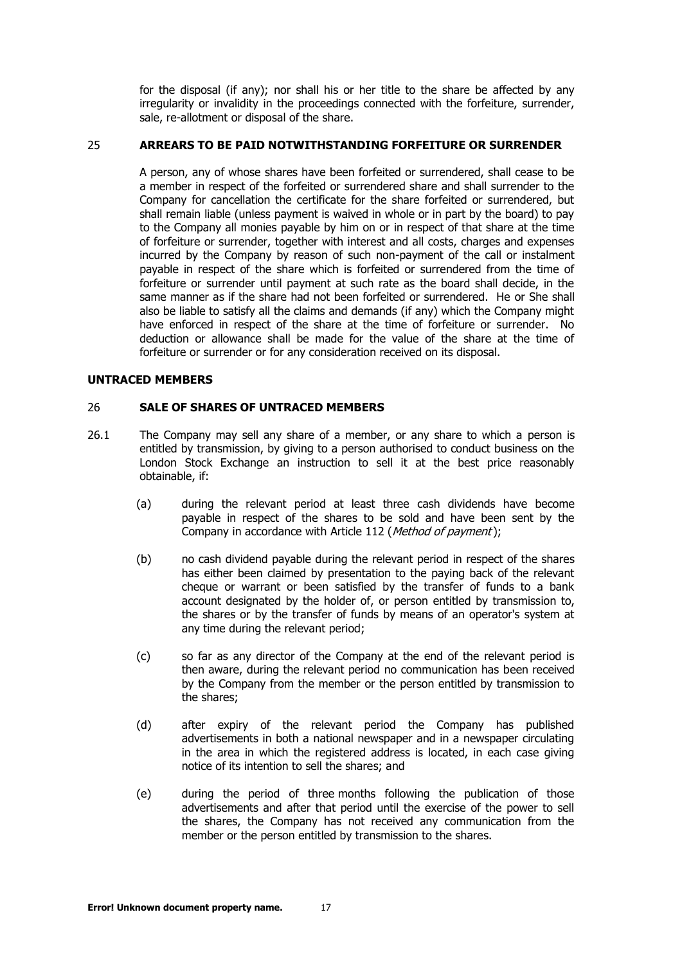for the disposal (if any); nor shall his or her title to the share be affected by any irregularity or invalidity in the proceedings connected with the forfeiture, surrender, sale, re-allotment or disposal of the share.

#### <span id="page-16-0"></span>25 **ARREARS TO BE PAID NOTWITHSTANDING FORFEITURE OR SURRENDER**

A person, any of whose shares have been forfeited or surrendered, shall cease to be a member in respect of the forfeited or surrendered share and shall surrender to the Company for cancellation the certificate for the share forfeited or surrendered, but shall remain liable (unless payment is waived in whole or in part by the board) to pay to the Company all monies payable by him on or in respect of that share at the time of forfeiture or surrender, together with interest and all costs, charges and expenses incurred by the Company by reason of such non-payment of the call or instalment payable in respect of the share which is forfeited or surrendered from the time of forfeiture or surrender until payment at such rate as the board shall decide, in the same manner as if the share had not been forfeited or surrendered. He or She shall also be liable to satisfy all the claims and demands (if any) which the Company might have enforced in respect of the share at the time of forfeiture or surrender. No deduction or allowance shall be made for the value of the share at the time of forfeiture or surrender or for any consideration received on its disposal.

#### <span id="page-16-1"></span>**UNTRACED MEMBERS**

#### <span id="page-16-2"></span>26 **SALE OF SHARES OF UNTRACED MEMBERS**

- <span id="page-16-5"></span><span id="page-16-4"></span><span id="page-16-3"></span>26.1 The Company may sell any share of a member, or any share to which a person is entitled by transmission, by giving to a person authorised to conduct business on the London Stock Exchange an instruction to sell it at the best price reasonably obtainable, if:
	- (a) during the relevant period at least three cash dividends have become payable in respect of the shares to be sold and have been sent by the Company in accordance with Article [112](#page-50-3) ([Method of payment](#page-50-3));
	- (b) no cash dividend payable during the relevant period in respect of the shares has either been claimed by presentation to the paying back of the relevant cheque or warrant or been satisfied by the transfer of funds to a bank account designated by the holder of, or person entitled by transmission to, the shares or by the transfer of funds by means of an operator's system at any time during the relevant period;
	- (c) so far as any director of the Company at the end of the relevant period is then aware, during the relevant period no communication has been received by the Company from the member or the person entitled by transmission to the shares;
	- (d) after expiry of the relevant period the Company has published advertisements in both a national newspaper and in a newspaper circulating in the area in which the registered address is located, in each case giving notice of its intention to sell the shares; and
	- (e) during the period of three months following the publication of those advertisements and after that period until the exercise of the power to sell the shares, the Company has not received any communication from the member or the person entitled by transmission to the shares.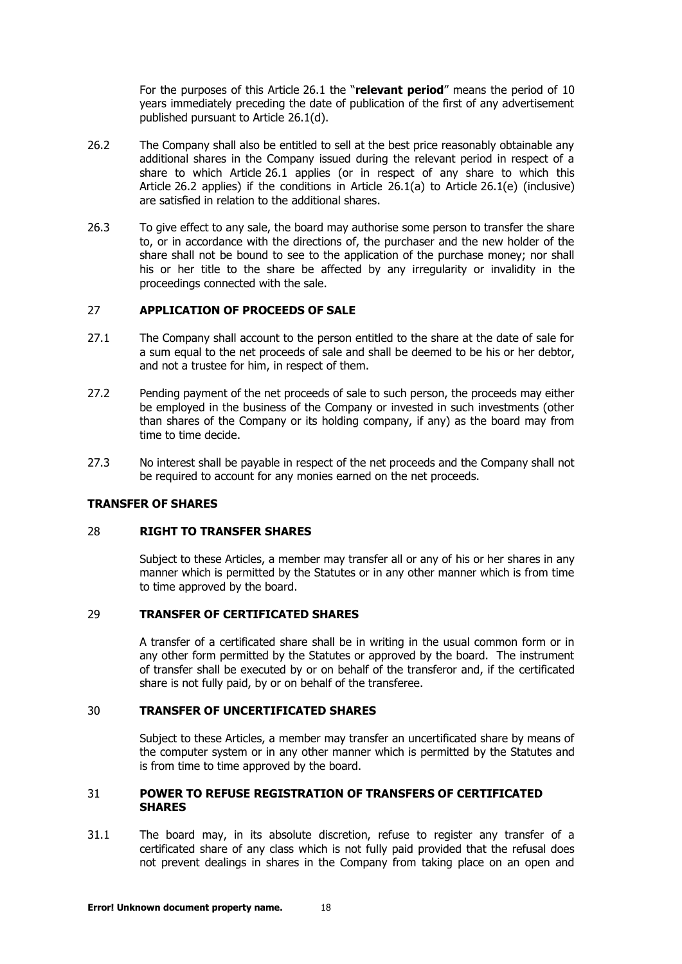For the purposes of this Article 26.1 the "**relevant period**" means the period of 10 years immediately preceding th[e date](#page-16-2) of publication of the first of any advertisement published pursuant to Article [26.1\(d\).](#page-16-3)

- <span id="page-17-5"></span>26.2 The Company shall also be entitled to sell at the best price reasonably obtainable any additional shares in the Company issued during the relevant period in respect of a share to which Article [26.1](#page-16-2) applies (or in respect of any share to which this Article [26.2](#page-17-5) applies) if the conditions in Article [26.1\(a\)](#page-16-4) to Article [26.1\(e\)](#page-16-5) (inclusive) are satisfied in relation to the additional shares.
- 26.3 To give effect to any sale, the board may authorise some person to transfer the share to, or in accordance with the directions of, the purchaser and the new holder of the share shall not be bound to see to the application of the purchase money; nor shall his or her title to the share be affected by any irregularity or invalidity in the proceedings connected with the sale.

# <span id="page-17-0"></span>27 **APPLICATION OF PROCEEDS OF SALE**

- 27.1 The Company shall account to the person entitled to the share at the date of sale for a sum equal to the net proceeds of sale and shall be deemed to be his or her debtor, and not a trustee for him, in respect of them.
- 27.2 Pending payment of the net proceeds of sale to such person, the proceeds may either be employed in the business of the Company or invested in such investments (other than shares of the Company or its holding company, if any) as the board may from time to time decide.
- 27.3 No interest shall be payable in respect of the net proceeds and the Company shall not be required to account for any monies earned on the net proceeds.

#### <span id="page-17-1"></span>**TRANSFER OF SHARES**

#### 28 **RIGHT TO TRANSFER SHARES**

Subject to these Articles, a member may transfer all or any of his or her shares in any manner which is permitted by the Statutes or in any other manner which is from time to time approved by the board.

#### <span id="page-17-2"></span>29 **TRANSFER OF CERTIFICATED SHARES**

A transfer of a certificated share shall be in writing in the usual common form or in any other form permitted by the Statutes or approved by the board. The instrument of transfer shall be executed by or on behalf of the transferor and, if the certificated share is not fully paid, by or on behalf of the transferee.

## <span id="page-17-3"></span>30 **TRANSFER OF UNCERTIFICATED SHARES**

Subject to these Articles, a member may transfer an uncertificated share by means of the computer system or in any other manner which is permitted by the Statutes and is from time to time approved by the board.

#### <span id="page-17-4"></span>31 **POWER TO REFUSE REGISTRATION OF TRANSFERS OF CERTIFICATED SHARES**

31.1 The board may, in its absolute discretion, refuse to register any transfer of a certificated share of any class which is not fully paid provided that the refusal does not prevent dealings in shares in the Company from taking place on an open and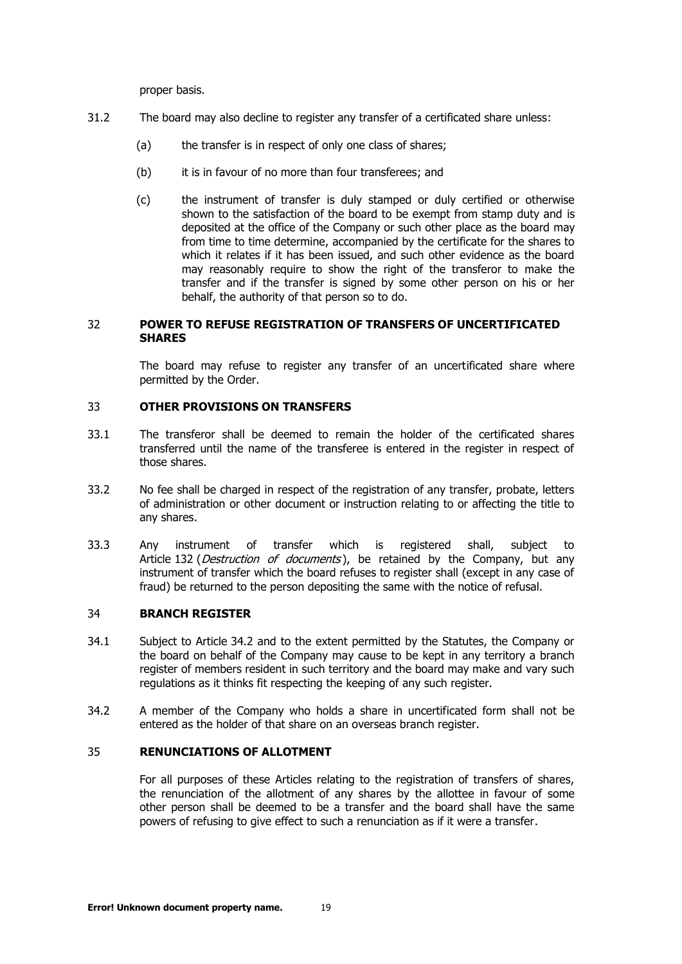proper basis.

- 31.2 The board may also decline to register any transfer of a certificated share unless:
	- (a) the transfer is in respect of only one class of shares;
	- (b) it is in favour of no more than four transferees; and
	- (c) the instrument of transfer is duly stamped or duly certified or otherwise shown to the satisfaction of the board to be exempt from stamp duty and is deposited at the office of the Company or such other place as the board may from time to time determine, accompanied by the certificate for the shares to which it relates if it has been issued, and such other evidence as the board may reasonably require to show the right of the transferor to make the transfer and if the transfer is signed by some other person on his or her behalf, the authority of that person so to do.

## <span id="page-18-0"></span>32 **POWER TO REFUSE REGISTRATION OF TRANSFERS OF UNCERTIFICATED SHARES**

The board may refuse to register any transfer of an uncertificated share where permitted by the Order.

# <span id="page-18-1"></span>33 **OTHER PROVISIONS ON TRANSFERS**

- 33.1 The transferor shall be deemed to remain the holder of the certificated shares transferred until the name of the transferee is entered in the register in respect of those shares.
- 33.2 No fee shall be charged in respect of the registration of any transfer, probate, letters of administration or other document or instruction relating to or affecting the title to any shares.
- 33.3 Any instrument of transfer which is registered shall, subject to Article [132](#page-59-1) ([Destruction of documents](#page-59-1)), be retained by the Company, but any instrument of transfer which the board refuses to register shall (except in any case of fraud) be returned to the person depositing the same with the notice of refusal.

#### <span id="page-18-2"></span>34 **BRANCH REGISTER**

- 34.1 Subject to Article [34.2](#page-18-4) and to the extent permitted by the Statutes, the Company or the board on behalf of the Company may cause to be kept in any territory a branch register of members resident in such territory and the board may make and vary such regulations as it thinks fit respecting the keeping of any such register.
- <span id="page-18-4"></span>34.2 A member of the Company who holds a share in uncertificated form shall not be entered as the holder of that share on an overseas branch register.

## <span id="page-18-3"></span>35 **RENUNCIATIONS OF ALLOTMENT**

For all purposes of these Articles relating to the registration of transfers of shares, the renunciation of the allotment of any shares by the allottee in favour of some other person shall be deemed to be a transfer and the board shall have the same powers of refusing to give effect to such a renunciation as if it were a transfer.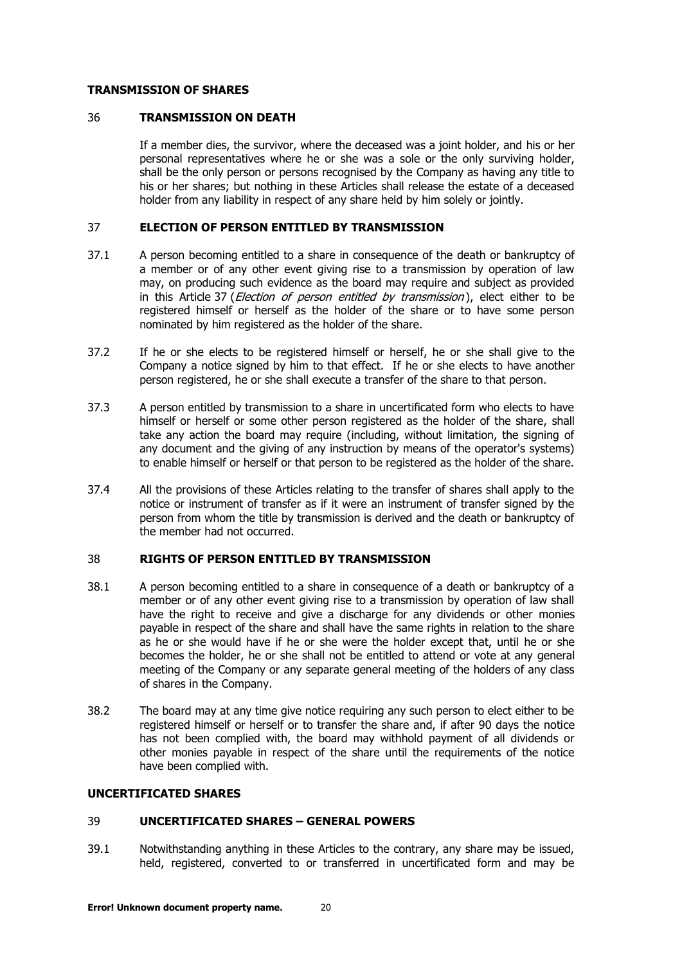#### <span id="page-19-0"></span>**TRANSMISSION OF SHARES**

#### 36 **TRANSMISSION ON DEATH**

If a member dies, the survivor, where the deceased was a joint holder, and his or her personal representatives where he or she was a sole or the only surviving holder, shall be the only person or persons recognised by the Company as having any title to his or her shares; but nothing in these Articles shall release the estate of a deceased holder from any liability in respect of any share held by him solely or jointly.

#### <span id="page-19-1"></span>37 **ELECTION OF PERSON ENTITLED BY TRANSMISSION**

- 37.1 A person becoming entitled to a share in consequence of the death or bankruptcy of a member or of any other event giving rise to a transmission by operation of law may, on producing such evidence as the board may require and subject as provided in this Article [37](#page-19-1) (*[Election of person entitled by transmission](#page-19-1)*), elect either to be registered himself or herself as the holder of the share or to have some person nominated by him registered as the holder of the share.
- 37.2 If he or she elects to be registered himself or herself, he or she shall give to the Company a notice signed by him to that effect. If he or she elects to have another person registered, he or she shall execute a transfer of the share to that person.
- 37.3 A person entitled by transmission to a share in uncertificated form who elects to have himself or herself or some other person registered as the holder of the share, shall take any action the board may require (including, without limitation, the signing of any document and the giving of any instruction by means of the operator's systems) to enable himself or herself or that person to be registered as the holder of the share.
- 37.4 All the provisions of these Articles relating to the transfer of shares shall apply to the notice or instrument of transfer as if it were an instrument of transfer signed by the person from whom the title by transmission is derived and the death or bankruptcy of the member had not occurred.

# <span id="page-19-2"></span>38 **RIGHTS OF PERSON ENTITLED BY TRANSMISSION**

- 38.1 A person becoming entitled to a share in consequence of a death or bankruptcy of a member or of any other event giving rise to a transmission by operation of law shall have the right to receive and give a discharge for any dividends or other monies payable in respect of the share and shall have the same rights in relation to the share as he or she would have if he or she were the holder except that, until he or she becomes the holder, he or she shall not be entitled to attend or vote at any general meeting of the Company or any separate general meeting of the holders of any class of shares in the Company.
- 38.2 The board may at any time give notice requiring any such person to elect either to be registered himself or herself or to transfer the share and, if after 90 days the notice has not been complied with, the board may withhold payment of all dividends or other monies payable in respect of the share until the requirements of the notice have been complied with.

## <span id="page-19-3"></span>**UNCERTIFICATED SHARES**

# 39 **UNCERTIFICATED SHARES – GENERAL POWERS**

39.1 Notwithstanding anything in these Articles to the contrary, any share may be issued, held, registered, converted to or transferred in uncertificated form and may be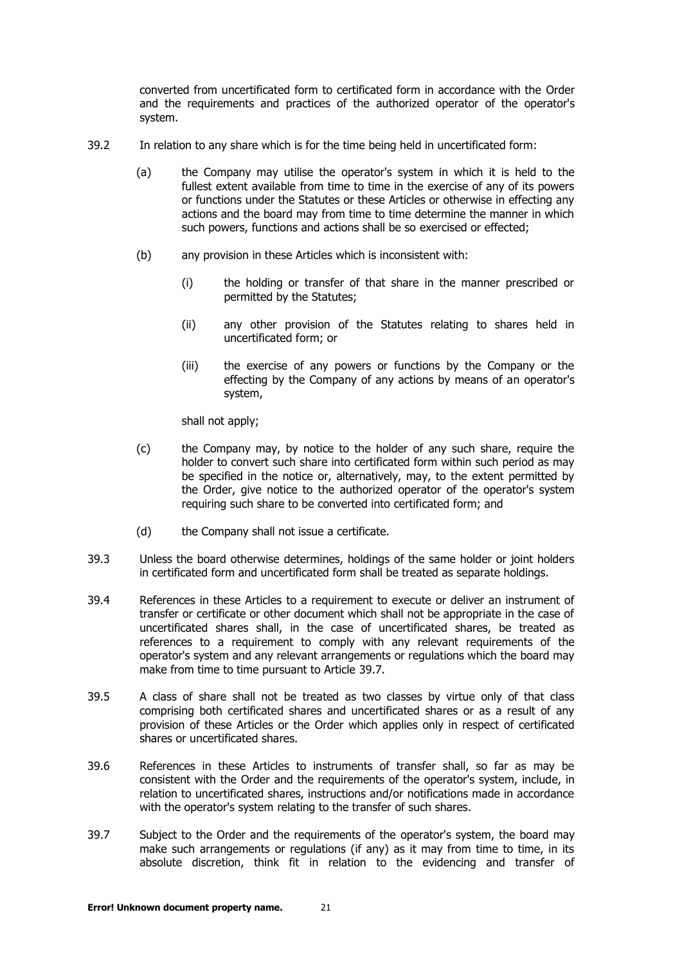converted from uncertificated form to certificated form in accordance with the Order and the requirements and practices of the authorized operator of the operator's system.

- 39.2 In relation to any share which is for the time being held in uncertificated form:
	- (a) the Company may utilise the operator's system in which it is held to the fullest extent available from time to time in the exercise of any of its powers or functions under the Statutes or these Articles or otherwise in effecting any actions and the board may from time to time determine the manner in which such powers, functions and actions shall be so exercised or effected;
	- (b) any provision in these Articles which is inconsistent with:
		- (i) the holding or transfer of that share in the manner prescribed or permitted by the Statutes;
		- (ii) any other provision of the Statutes relating to shares held in uncertificated form; or
		- (iii) the exercise of any powers or functions by the Company or the effecting by the Company of any actions by means of an operator's system,

shall not apply:

- (c) the Company may, by notice to the holder of any such share, require the holder to convert such share into certificated form within such period as may be specified in the notice or, alternatively, may, to the extent permitted by the Order, give notice to the authorized operator of the operator's system requiring such share to be converted into certificated form; and
- (d) the Company shall not issue a certificate.
- 39.3 Unless the board otherwise determines, holdings of the same holder or joint holders in certificated form and uncertificated form shall be treated as separate holdings.
- 39.4 References in these Articles to a requirement to execute or deliver an instrument of transfer or certificate or other document which shall not be appropriate in the case of uncertificated shares shall, in the case of uncertificated shares, be treated as references to a requirement to comply with any relevant requirements of the operator's system and any relevant arrangements or regulations which the board may make from time to time pursuant to Article [39.7.](#page-20-0)
- 39.5 A class of share shall not be treated as two classes by virtue only of that class comprising both certificated shares and uncertificated shares or as a result of any provision of these Articles or the Order which applies only in respect of certificated shares or uncertificated shares.
- 39.6 References in these Articles to instruments of transfer shall, so far as may be consistent with the Order and the requirements of the operator's system, include, in relation to uncertificated shares, instructions and/or notifications made in accordance with the operator's system relating to the transfer of such shares.
- <span id="page-20-0"></span>39.7 Subject to the Order and the requirements of the operator's system, the board may make such arrangements or regulations (if any) as it may from time to time, in its absolute discretion, think fit in relation to the evidencing and transfer of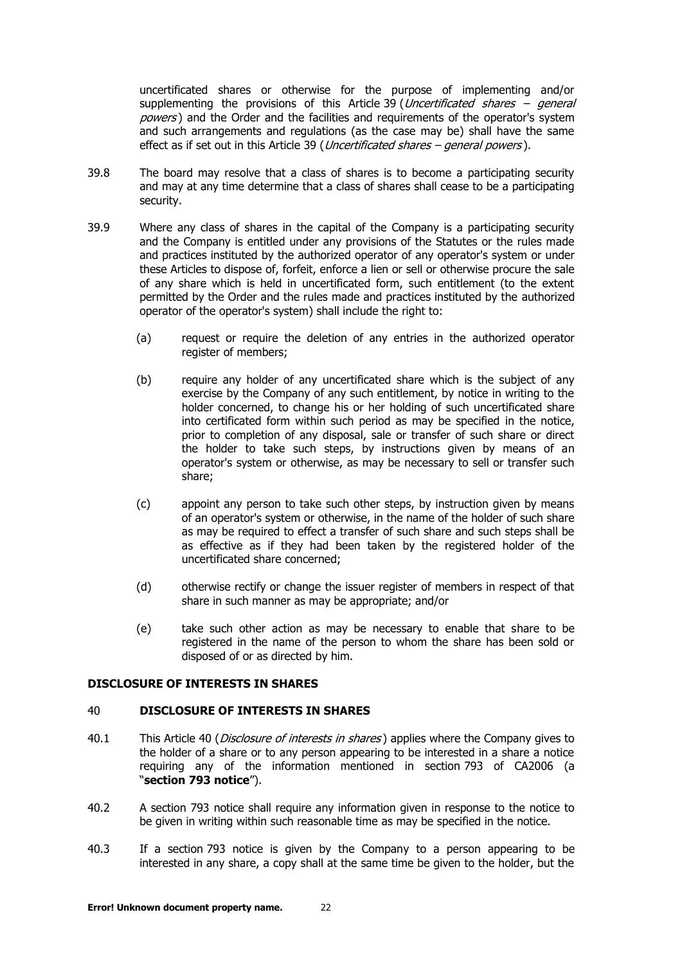uncertificated shares or otherwise for the purpose of implementing and/or supplementing the provisions of this Article [39](#page-19-3) (*[Uncertificated shares](#page-19-3) – general* [powers](#page-19-3)) and the Order and the facilities and requirements of the operator's system and such arrangements and regulations (as the case may be) shall have the same effect as if set out in this Article [39](#page-19-3) (*[Uncertificated shares](#page-19-3) – general powers*).

- 39.8 The board may resolve that a class of shares is to become a participating security and may at any time determine that a class of shares shall cease to be a participating security.
- 39.9 Where any class of shares in the capital of the Company is a participating security and the Company is entitled under any provisions of the Statutes or the rules made and practices instituted by the authorized operator of any operator's system or under these Articles to dispose of, forfeit, enforce a lien or sell or otherwise procure the sale of any share which is held in uncertificated form, such entitlement (to the extent permitted by the Order and the rules made and practices instituted by the authorized operator of the operator's system) shall include the right to:
	- (a) request or require the deletion of any entries in the authorized operator register of members;
	- (b) require any holder of any uncertificated share which is the subject of any exercise by the Company of any such entitlement, by notice in writing to the holder concerned, to change his or her holding of such uncertificated share into certificated form within such period as may be specified in the notice, prior to completion of any disposal, sale or transfer of such share or direct the holder to take such steps, by instructions given by means of an operator's system or otherwise, as may be necessary to sell or transfer such share;
	- (c) appoint any person to take such other steps, by instruction given by means of an operator's system or otherwise, in the name of the holder of such share as may be required to effect a transfer of such share and such steps shall be as effective as if they had been taken by the registered holder of the uncertificated share concerned;
	- (d) otherwise rectify or change the issuer register of members in respect of that share in such manner as may be appropriate; and/or
	- (e) take such other action as may be necessary to enable that share to be registered in the name of the person to whom the share has been sold or disposed of or as directed by him.

# <span id="page-21-0"></span>**DISCLOSURE OF INTERESTS IN SHARES**

#### 40 **DISCLOSURE OF INTERESTS IN SHARES**

- [40](#page-21-0).1 This Article 40 (*[Disclosure of interests in shares](#page-21-0)*) applies where the Company gives to the holder of a share or to any person appearing to be interested in a share a notice requiring any of the information mentioned in section 793 of CA2006 (a "**section 793 notice**").
- 40.2 A section 793 notice shall require any information given in response to the notice to be given in writing within such reasonable time as may be specified in the notice.
- 40.3 If a section 793 notice is given by the Company to a person appearing to be interested in any share, a copy shall at the same time be given to the holder, but the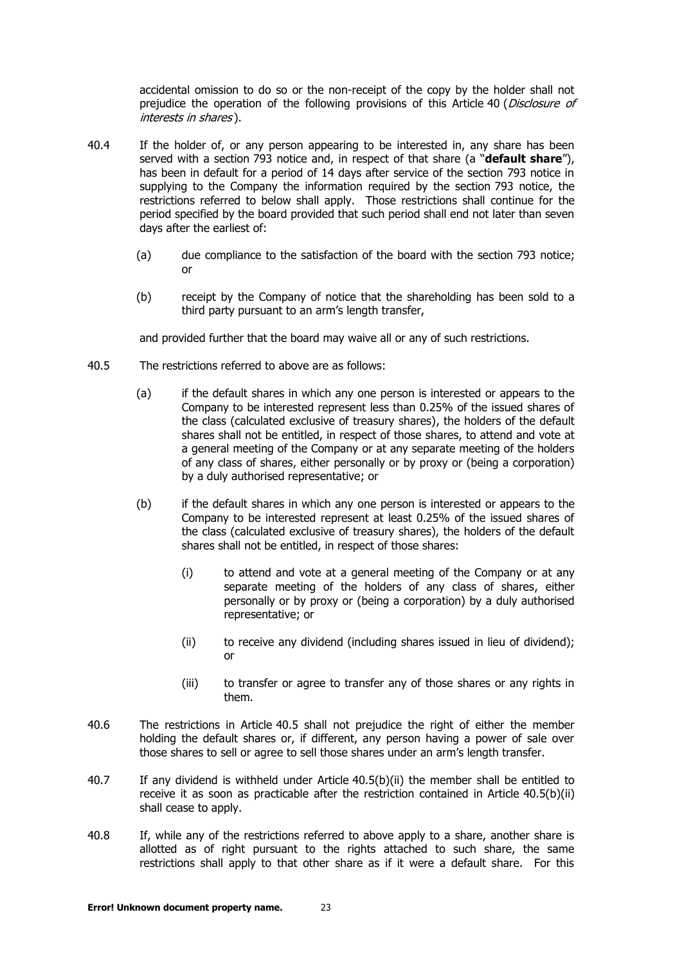accidental omission to do so or the non-receipt of the copy by the holder shall not prejudice the operation of the following provisions of this Article [40](#page-21-0) (*Disclosure of* [interests in shares](#page-21-0) ).

- <span id="page-22-2"></span>40.4 If the holder of, or any person appearing to be interested in, any share has been served with a section 793 notice and, in respect of that share (a "**default share**"), has been in default for a period of 14 days after service of the section 793 notice in supplying to the Company the information required by the section 793 notice, the restrictions referred to below shall apply. Those restrictions shall continue for the period specified by the board provided that such period shall end not later than seven days after the earliest of:
	- (a) due compliance to the satisfaction of the board with the section 793 notice; or
	- (b) receipt by the Company of notice that the shareholding has been sold to a third party pursuant to an arm's length transfer,

and provided further that the board may waive all or any of such restrictions.

- <span id="page-22-0"></span>40.5 The restrictions referred to above are as follows:
	- (a) if the default shares in which any one person is interested or appears to the Company to be interested represent less than 0.25% of the issued shares of the class (calculated exclusive of treasury shares), the holders of the default shares shall not be entitled, in respect of those shares, to attend and vote at a general meeting of the Company or at any separate meeting of the holders of any class of shares, either personally or by proxy or (being a corporation) by a duly authorised representative; or
	- (b) if the default shares in which any one person is interested or appears to the Company to be interested represent at least 0.25% of the issued shares of the class (calculated exclusive of treasury shares), the holders of the default shares shall not be entitled, in respect of those shares:
		- (i) to attend and vote at a general meeting of the Company or at any separate meeting of the holders of any class of shares, either personally or by proxy or (being a corporation) by a duly authorised representative; or
		- (ii) to receive any dividend (including shares issued in lieu of dividend); or
		- (iii) to transfer or agree to transfer any of those shares or any rights in them.
- <span id="page-22-1"></span>40.6 The restrictions in Article [40.5](#page-22-0) shall not prejudice the right of either the member holding the default shares or, if different, any person having a power of sale over those shares to sell or agree to sell those shares under an arm's length transfer.
- 40.7 If any dividend is withheld under Article [40.5\(b\)\(ii\)](#page-22-1) the member shall be entitled to receive it as soon as practicable after the restriction contained in Article [40.5\(b\)\(ii\)](#page-22-1) shall cease to apply.
- 40.8 If, while any of the restrictions referred to above apply to a share, another share is allotted as of right pursuant to the rights attached to such share, the same restrictions shall apply to that other share as if it were a default share. For this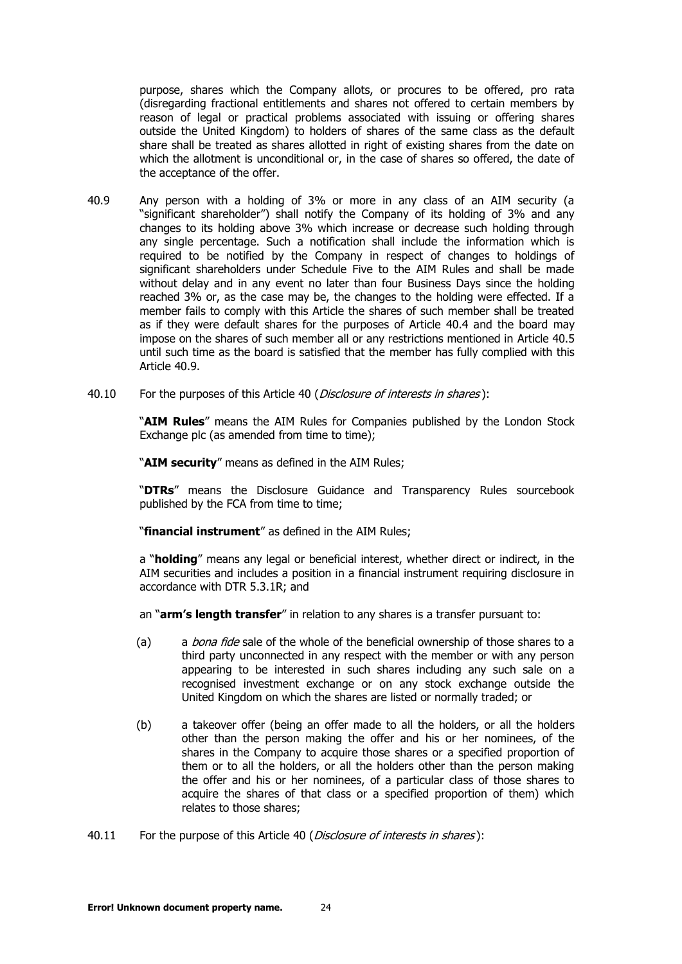purpose, shares which the Company allots, or procures to be offered, pro rata (disregarding fractional entitlements and shares not offered to certain members by reason of legal or practical problems associated with issuing or offering shares outside the United Kingdom) to holders of shares of the same class as the default share shall be treated as shares allotted in right of existing shares from the date on which the allotment is unconditional or, in the case of shares so offered, the date of the acceptance of the offer.

- <span id="page-23-0"></span>40.9 Any person with a holding of 3% or more in any class of an AIM security (a "significant shareholder") shall notify the Company of its holding of 3% and any changes to its holding above 3% which increase or decrease such holding through any single percentage. Such a notification shall include the information which is required to be notified by the Company in respect of changes to holdings of significant shareholders under Schedule Five to the AIM Rules and shall be made without delay and in any event no later than four Business Days since the holding reached 3% or, as the case may be, the changes to the holding were effected. If a member fails to comply with this Article the shares of such member shall be treated as if they were default shares for the purposes of Article [40.4](#page-22-2) and the board may impose on the shares of such member all or any restrictions mentioned in Article [40.5](#page-22-0) until such time as the board is satisfied that the member has fully complied with this Article [40.9.](#page-23-0)
- [40](#page-21-0).10 For the purposes of this Article 40 (*[Disclosure of interests in shares](#page-21-0)*):

"**AIM Rules**" means the AIM Rules for Companies published by the London Stock Exchange plc (as amended from time to time);

"**AIM security**" means as defined in the AIM Rules;

"**DTRs**" means the Disclosure Guidance and Transparency Rules sourcebook published by the FCA from time to time;

"**financial instrument**" as defined in the AIM Rules;

a "**holding**" means any legal or beneficial interest, whether direct or indirect, in the AIM securities and includes a position in a financial instrument requiring disclosure in accordance with DTR 5.3.1R; and

an "**arm's length transfer**" in relation to any shares is a transfer pursuant to:

- (a) a *bona fide* sale of the whole of the beneficial ownership of those shares to a third party unconnected in any respect with the member or with any person appearing to be interested in such shares including any such sale on a recognised investment exchange or on any stock exchange outside the United Kingdom on which the shares are listed or normally traded; or
- (b) a takeover offer (being an offer made to all the holders, or all the holders other than the person making the offer and his or her nominees, of the shares in the Company to acquire those shares or a specified proportion of them or to all the holders, or all the holders other than the person making the offer and his or her nominees, of a particular class of those shares to acquire the shares of that class or a specified proportion of them) which relates to those shares;
- [40](#page-21-0).11 For the purpose of this Article 40 (*[Disclosure of interests in shares](#page-21-0)*):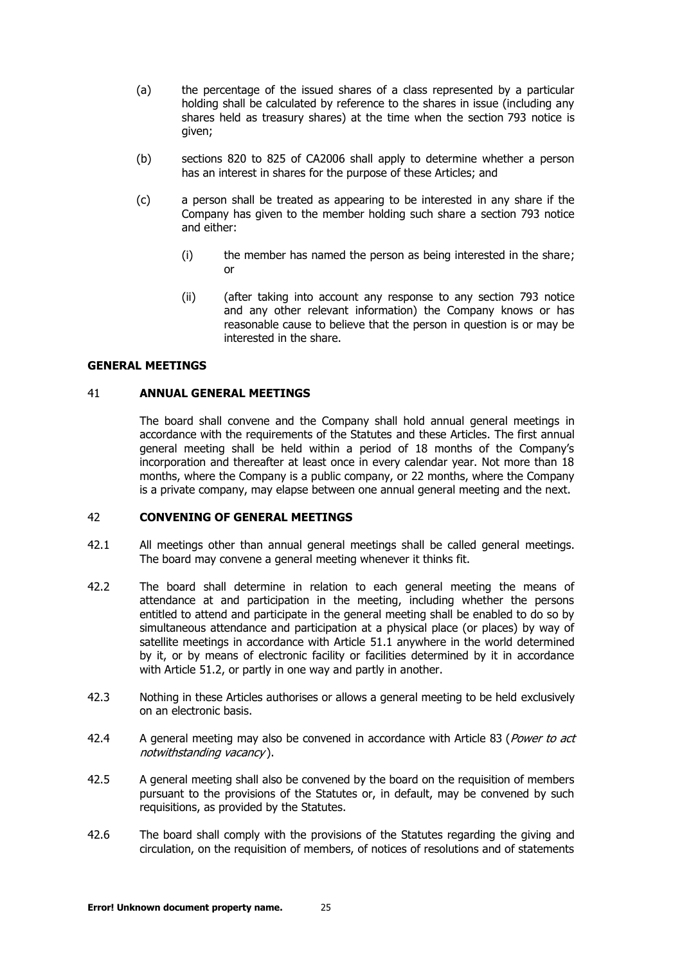- (a) the percentage of the issued shares of a class represented by a particular holding shall be calculated by reference to the shares in issue (including any shares held as treasury shares) at the time when the section 793 notice is given;
- (b) sections 820 to 825 of CA2006 shall apply to determine whether a person has an interest in shares for the purpose of these Articles; and
- (c) a person shall be treated as appearing to be interested in any share if the Company has given to the member holding such share a section 793 notice and either:
	- (i) the member has named the person as being interested in the share; or
	- (ii) (after taking into account any response to any section 793 notice and any other relevant information) the Company knows or has reasonable cause to believe that the person in question is or may be interested in the share.

#### <span id="page-24-0"></span>**GENERAL MEETINGS**

#### 41 **ANNUAL GENERAL MEETINGS**

The board shall convene and the Company shall hold annual general meetings in accordance with the requirements of the Statutes and these Articles. The first annual general meeting shall be held within a period of 18 months of the Company's incorporation and thereafter at least once in every calendar year. Not more than 18 months, where the Company is a public company, or 22 months, where the Company is a private company, may elapse between one annual general meeting and the next.

#### <span id="page-24-1"></span>42 **CONVENING OF GENERAL MEETINGS**

- 42.1 All meetings other than annual general meetings shall be called general meetings. The board may convene a general meeting whenever it thinks fit.
- 42.2 The board shall determine in relation to each general meeting the means of attendance at and participation in the meeting, including whether the persons entitled to attend and participate in the general meeting shall be enabled to do so by simultaneous attendance and participation at a physical place (or places) by way of satellite meetings in accordance with Article [51.1](#page-28-1) anywhere in the world determined by it, or by means of electronic facility or facilities determined by it in accordance with Article [51.2,](#page-28-2) or partly in one way and partly in another.
- 42.3 Nothing in these Articles authorises or allows a general meeting to be held exclusively on an electronic basis.
- 42.4 A general meeting may also be convened in accordance with Article [83](#page-40-1) (Power to act [notwithstanding vacancy](#page-40-1) ).
- 42.5 A general meeting shall also be convened by the board on the requisition of members pursuant to the provisions of the Statutes or, in default, may be convened by such requisitions, as provided by the Statutes.
- 42.6 The board shall comply with the provisions of the Statutes regarding the giving and circulation, on the requisition of members, of notices of resolutions and of statements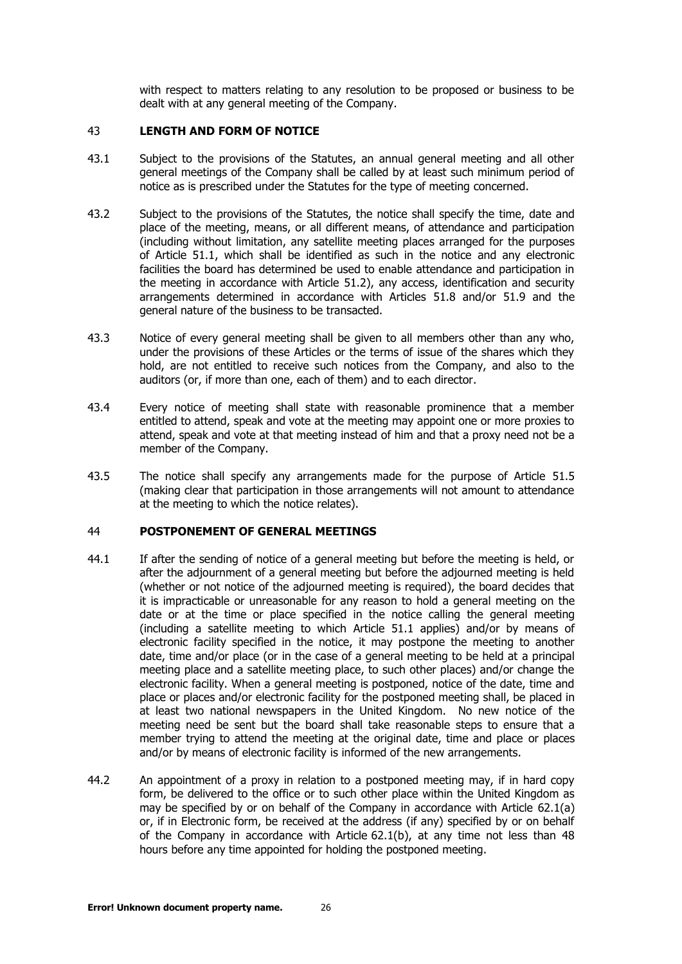with respect to matters relating to any resolution to be proposed or business to be dealt with at any general meeting of the Company.

# <span id="page-25-0"></span>43 **LENGTH AND FORM OF NOTICE**

- 43.1 Subject to the provisions of the Statutes, an annual general meeting and all other general meetings of the Company shall be called by at least such minimum period of notice as is prescribed under the Statutes for the type of meeting concerned.
- 43.2 Subject to the provisions of the Statutes, the notice shall specify the time, date and place of the meeting, means, or all different means, of attendance and participation (including without limitation, any satellite meeting places arranged for the purposes of Article [51.1,](#page-28-1) which shall be identified as such in the notice and any electronic facilities the board has determined be used to enable attendance and participation in the meeting in accordance with Article [51.2\)](#page-28-2), any access, identification and security arrangements determined in accordance with Articles [51.8](#page-29-1) and/or [51.9](#page-29-2) and the general nature of the business to be transacted.
- 43.3 Notice of every general meeting shall be given to all members other than any who, under the provisions of these Articles or the terms of issue of the shares which they hold, are not entitled to receive such notices from the Company, and also to the auditors (or, if more than one, each of them) and to each director.
- 43.4 Every notice of meeting shall state with reasonable prominence that a member entitled to attend, speak and vote at the meeting may appoint one or more proxies to attend, speak and vote at that meeting instead of him and that a proxy need not be a member of the Company.
- 43.5 The notice shall specify any arrangements made for the purpose of Article [51.5](#page-29-3) (making clear that participation in those arrangements will not amount to attendance at the meeting to which the notice relates).

## <span id="page-25-2"></span><span id="page-25-1"></span>44 **POSTPONEMENT OF GENERAL MEETINGS**

- 44.1 If after the sending of notice of a general meeting but before the meeting is held, or after the adjournment of a general meeting but before the adjourned meeting is held (whether or not notice of the adjourned meeting is required), the board decides that it is impracticable or unreasonable for any reason to hold a general meeting on the date or at the time or place specified in the notice calling the general meeting (including a satellite meeting to which Article [51.1](#page-28-1) applies) and/or by means of electronic facility specified in the notice, it may postpone the meeting to another date, time and/or place (or in the case of a general meeting to be held at a principal meeting place and a satellite meeting place, to such other places) and/or change the electronic facility. When a general meeting is postponed, notice of the date, time and place or places and/or electronic facility for the postponed meeting shall, be placed in at least two national newspapers in the United Kingdom. No new notice of the meeting need be sent but the board shall take reasonable steps to ensure that a member trying to attend the meeting at the original date, time and place or places and/or by means of electronic facility is informed of the new arrangements.
- 44.2 An appointment of a proxy in relation to a postponed meeting may, if in hard copy form, be delivered to the office or to such other place within the United Kingdom as may be specified by or on behalf of the Company in accordance with Article [62.1\(a\)](#page-33-2) or, if in Electronic form, be received at the address (if any) specified by or on behalf of the Company in accordance with Article [62.1\(b\),](#page-33-3) at any time not less than 48 hours before any time appointed for holding the postponed meeting.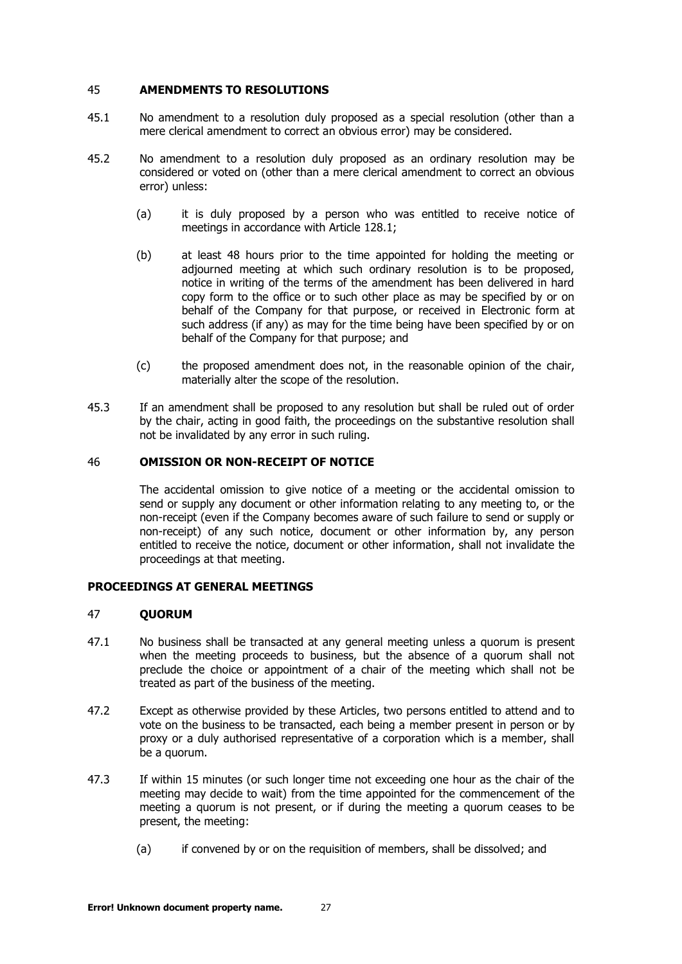#### <span id="page-26-0"></span>45 **AMENDMENTS TO RESOLUTIONS**

- 45.1 No amendment to a resolution duly proposed as a special resolution (other than a mere clerical amendment to correct an obvious error) may be considered.
- 45.2 No amendment to a resolution duly proposed as an ordinary resolution may be considered or voted on (other than a mere clerical amendment to correct an obvious error) unless:
	- (a) it is duly proposed by a person who was entitled to receive notice of meetings in accordance with Article [128.1;](#page-57-2)
	- (b) at least 48 hours prior to the time appointed for holding the meeting or adiourned meeting at which such ordinary resolution is to be proposed, notice in writing of the terms of the amendment has been delivered in hard copy form to the office or to such other place as may be specified by or on behalf of the Company for that purpose, or received in Electronic form at such address (if any) as may for the time being have been specified by or on behalf of the Company for that purpose; and
	- (c) the proposed amendment does not, in the reasonable opinion of the chair, materially alter the scope of the resolution.
- 45.3 If an amendment shall be proposed to any resolution but shall be ruled out of order by the chair, acting in good faith, the proceedings on the substantive resolution shall not be invalidated by any error in such ruling.

## <span id="page-26-1"></span>46 **OMISSION OR NON-RECEIPT OF NOTICE**

The accidental omission to give notice of a meeting or the accidental omission to send or supply any document or other information relating to any meeting to, or the non-receipt (even if the Company becomes aware of such failure to send or supply or non-receipt) of any such notice, document or other information by, any person entitled to receive the notice, document or other information, shall not invalidate the proceedings at that meeting.

## **PROCEEDINGS AT GENERAL MEETINGS**

#### <span id="page-26-2"></span>47 **QUORUM**

- 47.1 No business shall be transacted at any general meeting unless a quorum is present when the meeting proceeds to business, but the absence of a quorum shall not preclude the choice or appointment of a chair of the meeting which shall not be treated as part of the business of the meeting.
- 47.2 Except as otherwise provided by these Articles, two persons entitled to attend and to vote on the business to be transacted, each being a member present in person or by proxy or a duly authorised representative of a corporation which is a member, shall be a quorum.
- 47.3 If within 15 minutes (or such longer time not exceeding one hour as the chair of the meeting may decide to wait) from the time appointed for the commencement of the meeting a quorum is not present, or if during the meeting a quorum ceases to be present, the meeting:
	- (a) if convened by or on the requisition of members, shall be dissolved; and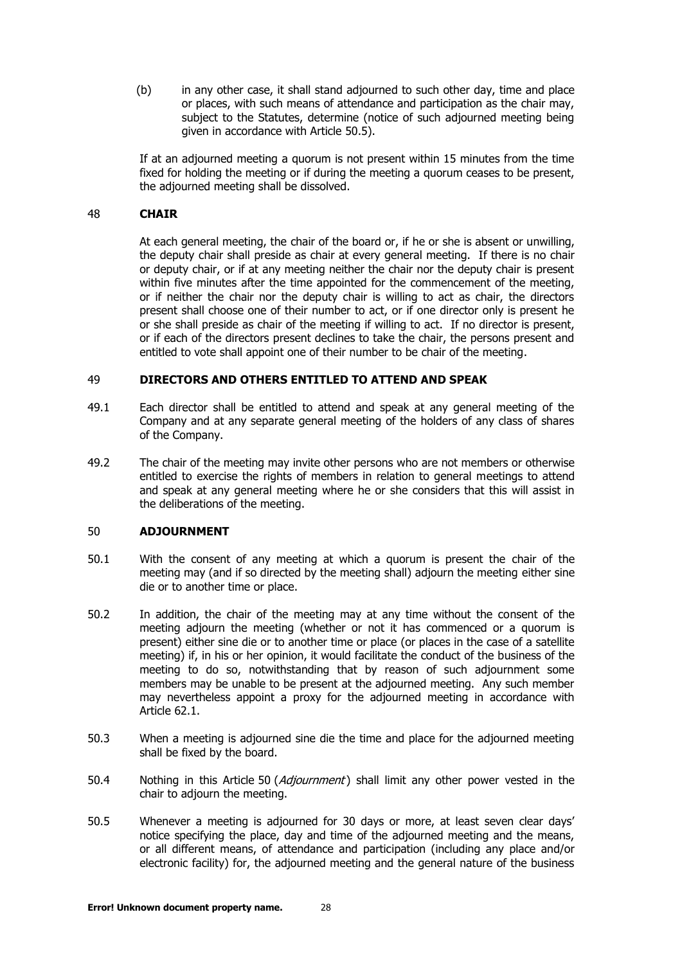(b) in any other case, it shall stand adjourned to such other day, time and place or places, with such means of attendance and participation as the chair may, subject to the Statutes, determine (notice of such adjourned meeting being given in accordance with Article [50.5\)](#page-27-3).

If at an adjourned meeting a quorum is not present within 15 minutes from the time fixed for holding the meeting or if during the meeting a quorum ceases to be present, the adjourned meeting shall be dissolved.

## <span id="page-27-0"></span>48 **CHAIR**

At each general meeting, the chair of the board or, if he or she is absent or unwilling, the deputy chair shall preside as chair at every general meeting. If there is no chair or deputy chair, or if at any meeting neither the chair nor the deputy chair is present within five minutes after the time appointed for the commencement of the meeting, or if neither the chair nor the deputy chair is willing to act as chair, the directors present shall choose one of their number to act, or if one director only is present he or she shall preside as chair of the meeting if willing to act. If no director is present, or if each of the directors present declines to take the chair, the persons present and entitled to vote shall appoint one of their number to be chair of the meeting.

#### <span id="page-27-1"></span>49 **DIRECTORS AND OTHERS ENTITLED TO ATTEND AND SPEAK**

- 49.1 Each director shall be entitled to attend and speak at any general meeting of the Company and at any separate general meeting of the holders of any class of shares of the Company.
- 49.2 The chair of the meeting may invite other persons who are not members or otherwise entitled to exercise the rights of members in relation to general meetings to attend and speak at any general meeting where he or she considers that this will assist in the deliberations of the meeting.

#### <span id="page-27-2"></span>50 **ADJOURNMENT**

- 50.1 With the consent of any meeting at which a quorum is present the chair of the meeting may (and if so directed by the meeting shall) adjourn the meeting either sine die or to another time or place.
- 50.2 In addition, the chair of the meeting may at any time without the consent of the meeting adjourn the meeting (whether or not it has commenced or a quorum is present) either sine die or to another time or place (or places in the case of a satellite meeting) if, in his or her opinion, it would facilitate the conduct of the business of the meeting to do so, notwithstanding that by reason of such adjournment some members may be unable to be present at the adjourned meeting. Any such member may nevertheless appoint a proxy for the adjourned meeting in accordance with Article [62.1.](#page-33-4)
- 50.3 When a meeting is adjourned sine die the time and place for the adjourned meeting shall be fixed by the board.
- [50](#page-27-2).4 Nothing in this Article 50 (*[Adjournment](#page-27-2)*) shall limit any other power vested in the chair to adjourn the meeting.
- <span id="page-27-3"></span>50.5 Whenever a meeting is adjourned for 30 days or more, at least seven clear days' notice specifying the place, day and time of the adjourned meeting and the means, or all different means, of attendance and participation (including any place and/or electronic facility) for, the adjourned meeting and the general nature of the business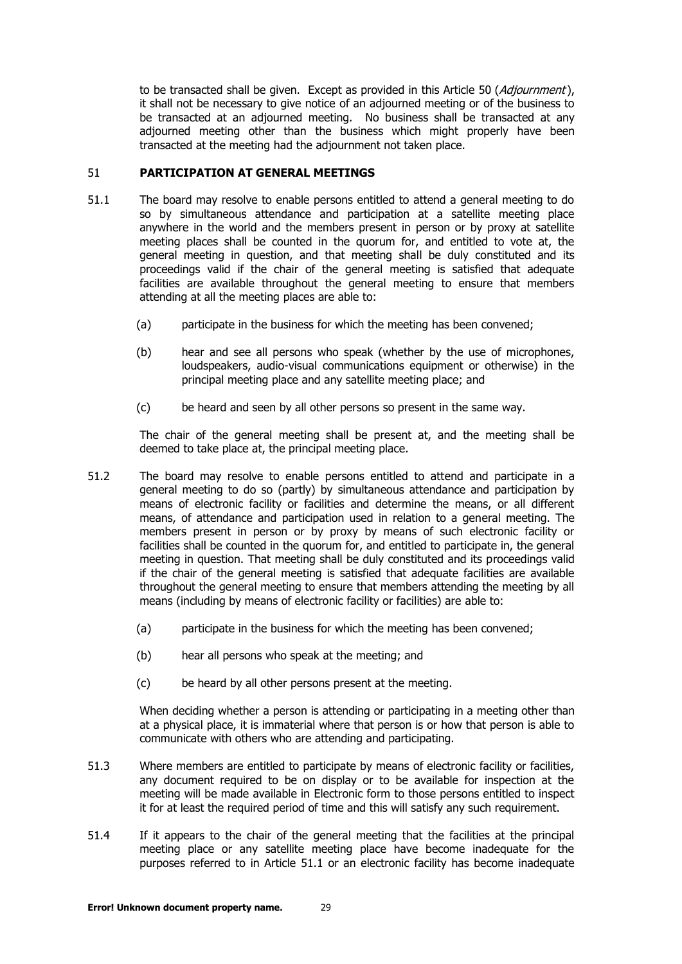to be transacted shall be given. Except as provided in this Article [50](#page-27-2) ([Adjournment](#page-27-2)), it shall not be necessary to give notice of an adjourned meeting or of the business to be transacted at an adjourned meeting. No business shall be transacted at any adjourned meeting other than the business which might properly have been transacted at the meeting had the adjournment not taken place.

# <span id="page-28-1"></span><span id="page-28-0"></span>51 **PARTICIPATION AT GENERAL MEETINGS**

- 51.1 The board may resolve to enable persons entitled to attend a general meeting to do so by simultaneous attendance and participation at a satellite meeting place anywhere in the world and the members present in person or by proxy at satellite meeting places shall be counted in the quorum for, and entitled to vote at, the general meeting in question, and that meeting shall be duly constituted and its proceedings valid if the chair of the general meeting is satisfied that adequate facilities are available throughout the general meeting to ensure that members attending at all the meeting places are able to:
	- (a) participate in the business for which the meeting has been convened;
	- (b) hear and see all persons who speak (whether by the use of microphones, loudspeakers, audio-visual communications equipment or otherwise) in the principal meeting place and any satellite meeting place; and
	- (c) be heard and seen by all other persons so present in the same way.

The chair of the general meeting shall be present at, and the meeting shall be deemed to take place at, the principal meeting place.

- <span id="page-28-2"></span>51.2 The board may resolve to enable persons entitled to attend and participate in a general meeting to do so (partly) by simultaneous attendance and participation by means of electronic facility or facilities and determine the means, or all different means, of attendance and participation used in relation to a general meeting. The members present in person or by proxy by means of such electronic facility or facilities shall be counted in the quorum for, and entitled to participate in, the general meeting in question. That meeting shall be duly constituted and its proceedings valid if the chair of the general meeting is satisfied that adequate facilities are available throughout the general meeting to ensure that members attending the meeting by all means (including by means of electronic facility or facilities) are able to:
	- (a) participate in the business for which the meeting has been convened;
	- (b) hear all persons who speak at the meeting; and
	- (c) be heard by all other persons present at the meeting.

When deciding whether a person is attending or participating in a meeting other than at a physical place, it is immaterial where that person is or how that person is able to communicate with others who are attending and participating.

- 51.3 Where members are entitled to participate by means of electronic facility or facilities. any document required to be on display or to be available for inspection at the meeting will be made available in Electronic form to those persons entitled to inspect it for at least the required period of time and this will satisfy any such requirement.
- 51.4 If it appears to the chair of the general meeting that the facilities at the principal meeting place or any satellite meeting place have become inadequate for the purposes referred to in Article [51.1](#page-28-1) or an electronic facility has become inadequate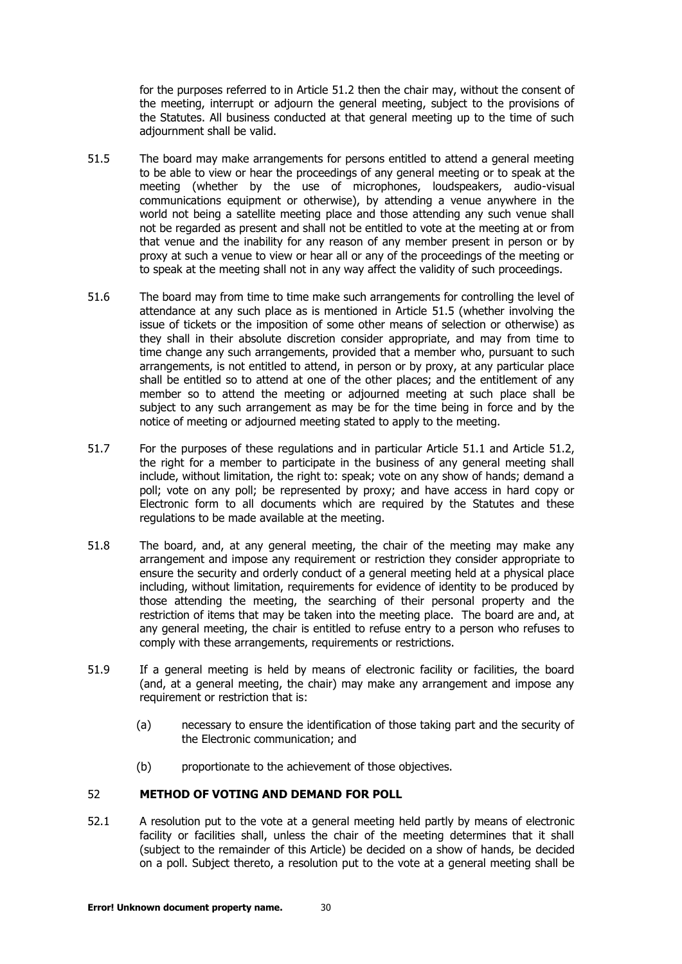for the purposes referred to in Article [51.2](#page-28-2) then the chair may, without the consent of the meeting, interrupt or adjourn the general meeting, subject to the provisions of the Statutes. All business conducted at that general meeting up to the time of such adjournment shall be valid.

- <span id="page-29-3"></span>51.5 The board may make arrangements for persons entitled to attend a general meeting to be able to view or hear the proceedings of any general meeting or to speak at the meeting (whether by the use of microphones, loudspeakers, audio-visual communications equipment or otherwise), by attending a venue anywhere in the world not being a satellite meeting place and those attending any such venue shall not be regarded as present and shall not be entitled to vote at the meeting at or from that venue and the inability for any reason of any member present in person or by proxy at such a venue to view or hear all or any of the proceedings of the meeting or to speak at the meeting shall not in any way affect the validity of such proceedings.
- 51.6 The board may from time to time make such arrangements for controlling the level of attendance at any such place as is mentioned in Article [51.5](#page-29-3) (whether involving the issue of tickets or the imposition of some other means of selection or otherwise) as they shall in their absolute discretion consider appropriate, and may from time to time change any such arrangements, provided that a member who, pursuant to such arrangements, is not entitled to attend, in person or by proxy, at any particular place shall be entitled so to attend at one of the other places; and the entitlement of any member so to attend the meeting or adjourned meeting at such place shall be subject to any such arrangement as may be for the time being in force and by the notice of meeting or adjourned meeting stated to apply to the meeting.
- 51.7 For the purposes of these regulations and in particular Article [51.1](#page-28-1) and Article [51.2,](#page-28-2) the right for a member to participate in the business of any general meeting shall include, without limitation, the right to: speak; vote on any show of hands; demand a poll; vote on any poll; be represented by proxy; and have access in hard copy or Electronic form to all documents which are required by the Statutes and these regulations to be made available at the meeting.
- <span id="page-29-1"></span>51.8 The board, and, at any general meeting, the chair of the meeting may make any arrangement and impose any requirement or restriction they consider appropriate to ensure the security and orderly conduct of a general meeting held at a physical place including, without limitation, requirements for evidence of identity to be produced by those attending the meeting, the searching of their personal property and the restriction of items that may be taken into the meeting place. The board are and, at any general meeting, the chair is entitled to refuse entry to a person who refuses to comply with these arrangements, requirements or restrictions.
- <span id="page-29-2"></span>51.9 If a general meeting is held by means of electronic facility or facilities, the board (and, at a general meeting, the chair) may make any arrangement and impose any requirement or restriction that is:
	- (a) necessary to ensure the identification of those taking part and the security of the Electronic communication; and
	- (b) proportionate to the achievement of those objectives.

# <span id="page-29-0"></span>52 **METHOD OF VOTING AND DEMAND FOR POLL**

52.1 A resolution put to the vote at a general meeting held partly by means of electronic facility or facilities shall, unless the chair of the meeting determines that it shall (subject to the remainder of this Article) be decided on a show of hands, be decided on a poll. Subject thereto, a resolution put to the vote at a general meeting shall be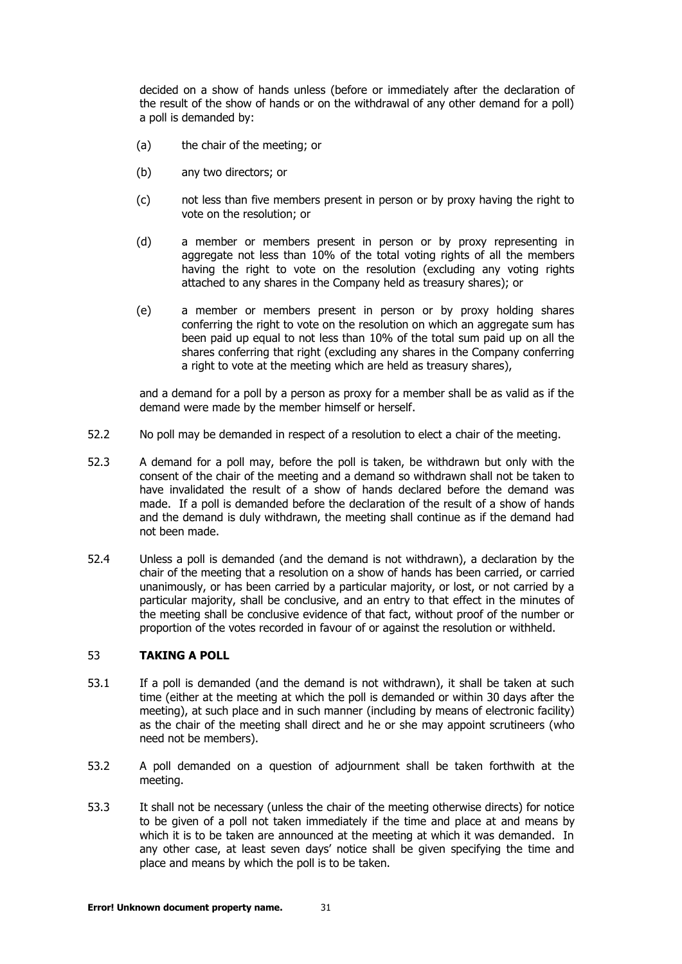decided on a show of hands unless (before or immediately after the declaration of the result of the show of hands or on the withdrawal of any other demand for a poll) a poll is demanded by:

- (a) the chair of the meeting; or
- (b) any two directors; or
- (c) not less than five members present in person or by proxy having the right to vote on the resolution; or
- (d) a member or members present in person or by proxy representing in aggregate not less than 10% of the total voting rights of all the members having the right to vote on the resolution (excluding any voting rights attached to any shares in the Company held as treasury shares); or
- (e) a member or members present in person or by proxy holding shares conferring the right to vote on the resolution on which an aggregate sum has been paid up equal to not less than 10% of the total sum paid up on all the shares conferring that right (excluding any shares in the Company conferring a right to vote at the meeting which are held as treasury shares),

and a demand for a poll by a person as proxy for a member shall be as valid as if the demand were made by the member himself or herself.

- 52.2 No poll may be demanded in respect of a resolution to elect a chair of the meeting.
- 52.3 A demand for a poll may, before the poll is taken, be withdrawn but only with the consent of the chair of the meeting and a demand so withdrawn shall not be taken to have invalidated the result of a show of hands declared before the demand was made. If a poll is demanded before the declaration of the result of a show of hands and the demand is duly withdrawn, the meeting shall continue as if the demand had not been made.
- 52.4 Unless a poll is demanded (and the demand is not withdrawn), a declaration by the chair of the meeting that a resolution on a show of hands has been carried, or carried unanimously, or has been carried by a particular majority, or lost, or not carried by a particular majority, shall be conclusive, and an entry to that effect in the minutes of the meeting shall be conclusive evidence of that fact, without proof of the number or proportion of the votes recorded in favour of or against the resolution or withheld.

## <span id="page-30-0"></span>53 **TAKING A POLL**

- 53.1 If a poll is demanded (and the demand is not withdrawn), it shall be taken at such time (either at the meeting at which the poll is demanded or within 30 days after the meeting), at such place and in such manner (including by means of electronic facility) as the chair of the meeting shall direct and he or she may appoint scrutineers (who need not be members).
- 53.2 A poll demanded on a question of adjournment shall be taken forthwith at the meeting.
- 53.3 It shall not be necessary (unless the chair of the meeting otherwise directs) for notice to be given of a poll not taken immediately if the time and place at and means by which it is to be taken are announced at the meeting at which it was demanded. In any other case, at least seven days' notice shall be given specifying the time and place and means by which the poll is to be taken.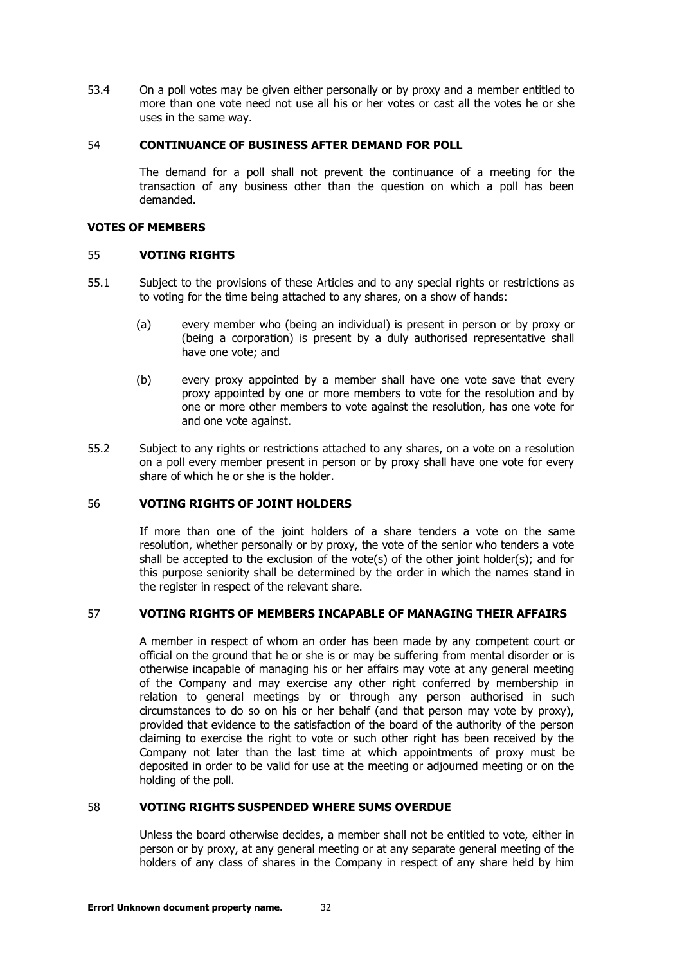53.4 On a poll votes may be given either personally or by proxy and a member entitled to more than one vote need not use all his or her votes or cast all the votes he or she uses in the same way.

#### <span id="page-31-0"></span>54 **CONTINUANCE OF BUSINESS AFTER DEMAND FOR POLL**

The demand for a poll shall not prevent the continuance of a meeting for the transaction of any business other than the question on which a poll has been demanded.

## <span id="page-31-1"></span>**VOTES OF MEMBERS**

#### 55 **VOTING RIGHTS**

- 55.1 Subject to the provisions of these Articles and to any special rights or restrictions as to voting for the time being attached to any shares, on a show of hands:
	- (a) every member who (being an individual) is present in person or by proxy or (being a corporation) is present by a duly authorised representative shall have one vote; and
	- (b) every proxy appointed by a member shall have one vote save that every proxy appointed by one or more members to vote for the resolution and by one or more other members to vote against the resolution, has one vote for and one vote against.
- 55.2 Subject to any rights or restrictions attached to any shares, on a vote on a resolution on a poll every member present in person or by proxy shall have one vote for every share of which he or she is the holder.

# <span id="page-31-2"></span>56 **VOTING RIGHTS OF JOINT HOLDERS**

If more than one of the joint holders of a share tenders a vote on the same resolution, whether personally or by proxy, the vote of the senior who tenders a vote shall be accepted to the exclusion of the vote(s) of the other joint holder(s); and for this purpose seniority shall be determined by the order in which the names stand in the register in respect of the relevant share.

## <span id="page-31-3"></span>57 **VOTING RIGHTS OF MEMBERS INCAPABLE OF MANAGING THEIR AFFAIRS**

A member in respect of whom an order has been made by any competent court or official on the ground that he or she is or may be suffering from mental disorder or is otherwise incapable of managing his or her affairs may vote at any general meeting of the Company and may exercise any other right conferred by membership in relation to general meetings by or through any person authorised in such circumstances to do so on his or her behalf (and that person may vote by proxy), provided that evidence to the satisfaction of the board of the authority of the person claiming to exercise the right to vote or such other right has been received by the Company not later than the last time at which appointments of proxy must be deposited in order to be valid for use at the meeting or adjourned meeting or on the holding of the poll.

#### <span id="page-31-4"></span>58 **VOTING RIGHTS SUSPENDED WHERE SUMS OVERDUE**

Unless the board otherwise decides, a member shall not be entitled to vote, either in person or by proxy, at any general meeting or at any separate general meeting of the holders of any class of shares in the Company in respect of any share held by him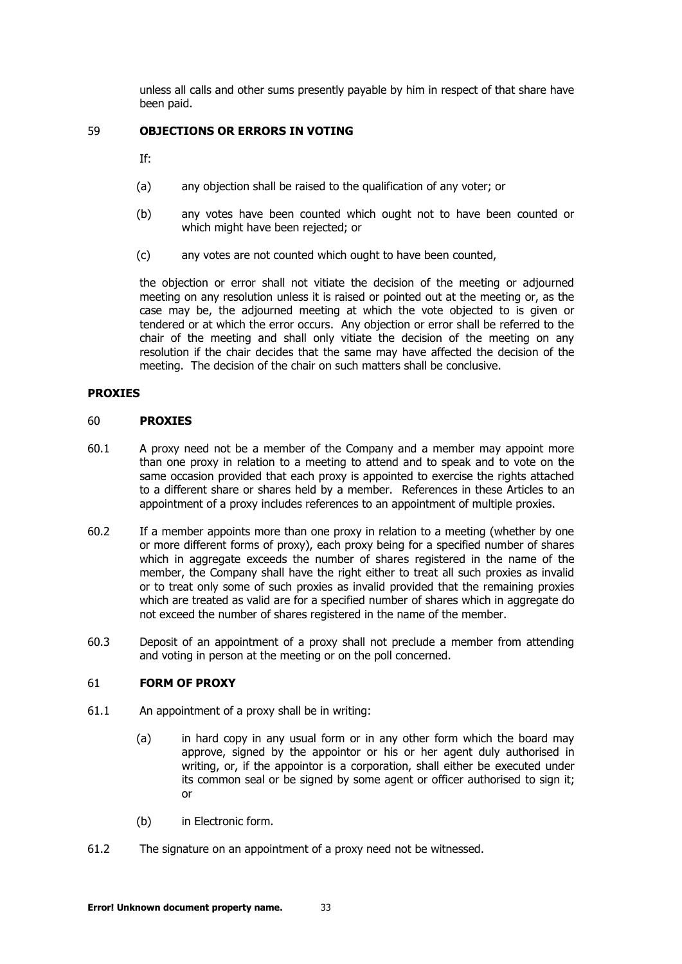unless all calls and other sums presently payable by him in respect of that share have been paid.

# <span id="page-32-0"></span>59 **OBJECTIONS OR ERRORS IN VOTING**

If:

- (a) any objection shall be raised to the qualification of any voter; or
- (b) any votes have been counted which ought not to have been counted or which might have been rejected; or
- (c) any votes are not counted which ought to have been counted,

the objection or error shall not vitiate the decision of the meeting or adjourned meeting on any resolution unless it is raised or pointed out at the meeting or, as the case may be, the adjourned meeting at which the vote objected to is given or tendered or at which the error occurs. Any objection or error shall be referred to the chair of the meeting and shall only vitiate the decision of the meeting on any resolution if the chair decides that the same may have affected the decision of the meeting. The decision of the chair on such matters shall be conclusive.

#### <span id="page-32-1"></span>**PROXIES**

#### 60 **PROXIES**

- 60.1 A proxy need not be a member of the Company and a member may appoint more than one proxy in relation to a meeting to attend and to speak and to vote on the same occasion provided that each proxy is appointed to exercise the rights attached to a different share or shares held by a member. References in these Articles to an appointment of a proxy includes references to an appointment of multiple proxies.
- 60.2 If a member appoints more than one proxy in relation to a meeting (whether by one or more different forms of proxy), each proxy being for a specified number of shares which in aggregate exceeds the number of shares registered in the name of the member, the Company shall have the right either to treat all such proxies as invalid or to treat only some of such proxies as invalid provided that the remaining proxies which are treated as valid are for a specified number of shares which in aggregate do not exceed the number of shares registered in the name of the member.
- 60.3 Deposit of an appointment of a proxy shall not preclude a member from attending and voting in person at the meeting or on the poll concerned.

## <span id="page-32-2"></span>61 **FORM OF PROXY**

- 61.1 An appointment of a proxy shall be in writing:
	- (a) in hard copy in any usual form or in any other form which the board may approve, signed by the appointor or his or her agent duly authorised in writing, or, if the appointor is a corporation, shall either be executed under its common seal or be signed by some agent or officer authorised to sign it; or
	- (b) in Electronic form.
- 61.2 The signature on an appointment of a proxy need not be witnessed.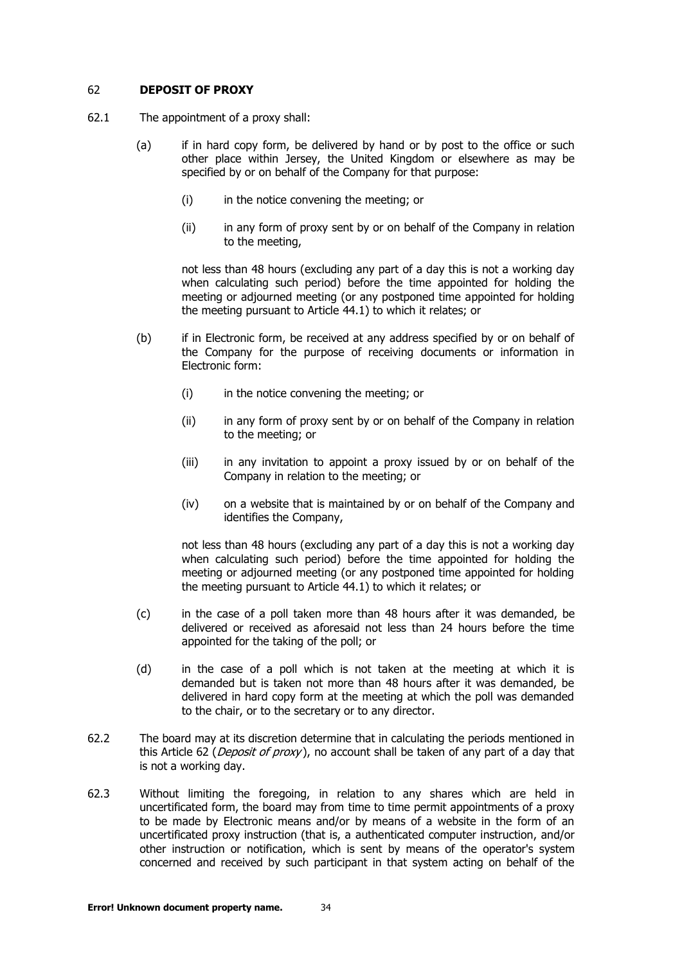## <span id="page-33-4"></span><span id="page-33-0"></span>62 **DEPOSIT OF PROXY**

- <span id="page-33-2"></span>62.1 The appointment of a proxy shall:
	- (a) if in hard copy form, be delivered by hand or by post to the office or such other place within Jersey, the United Kingdom or elsewhere as may be specified by or on behalf of the Company for that purpose:
		- (i) in the notice convening the meeting; or
		- (ii) in any form of proxy sent by or on behalf of the Company in relation to the meeting,

not less than 48 hours (excluding any part of a day this is not a working day when calculating such period) before the time appointed for holding the meeting or adjourned meeting (or any postponed time appointed for holding the meeting pursuant to Article [44.1\)](#page-25-2) to which it relates; or

- <span id="page-33-3"></span>(b) if in Electronic form, be received at any address specified by or on behalf of the Company for the purpose of receiving documents or information in Electronic form:
	- (i) in the notice convening the meeting; or
	- (ii) in any form of proxy sent by or on behalf of the Company in relation to the meeting; or
	- (iii) in any invitation to appoint a proxy issued by or on behalf of the Company in relation to the meeting; or
	- (iv) on a website that is maintained by or on behalf of the Company and identifies the Company,

not less than 48 hours (excluding any part of a day this is not a working day when calculating such period) before the time appointed for holding the meeting or adjourned meeting (or any postponed time appointed for holding the meeting pursuant to Article [44.1\)](#page-25-2) to which it relates; or

- (c) in the case of a poll taken more than 48 hours after it was demanded, be delivered or received as aforesaid not less than 24 hours before the time appointed for the taking of the poll; or
- (d) in the case of a poll which is not taken at the meeting at which it is demanded but is taken not more than 48 hours after it was demanded, be delivered in hard copy form at the meeting at which the poll was demanded to the chair, or to the secretary or to any director.
- 62.2 The board may at its discretion determine that in calculating the periods mentioned in this Article [62](#page-33-0) (*[Deposit of proxy](#page-33-0)*), no account shall be taken of any part of a day that is not a working day.
- <span id="page-33-1"></span>62.3 Without limiting the foregoing, in relation to any shares which are held in uncertificated form, the board may from time to time permit appointments of a proxy to be made by Electronic means and/or by means of a website in the form of an uncertificated proxy instruction (that is, a authenticated computer instruction, and/or other instruction or notification, which is sent by means of the operator's system concerned and received by such participant in that system acting on behalf of the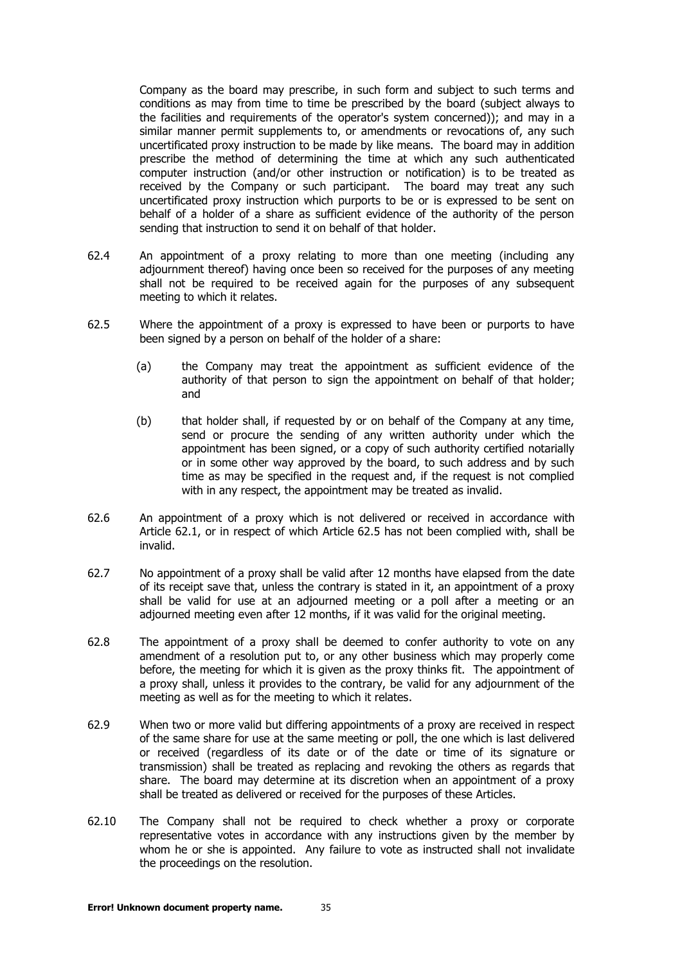Company as the board may prescribe, in such form and subject to such terms and conditions as may from time to time be prescribed by the board (subject always to the facilities and requirements of the operator's system concerned)); and may in a similar manner permit supplements to, or amendments or revocations of, any such uncertificated proxy instruction to be made by like means. The board may in addition prescribe the method of determining the time at which any such authenticated computer instruction (and/or other instruction or notification) is to be treated as received by the Company or such participant. The board may treat any such uncertificated proxy instruction which purports to be or is expressed to be sent on behalf of a holder of a share as sufficient evidence of the authority of the person sending that instruction to send it on behalf of that holder.

- 62.4 An appointment of a proxy relating to more than one meeting (including any adjournment thereof) having once been so received for the purposes of any meeting shall not be required to be received again for the purposes of any subsequent meeting to which it relates.
- <span id="page-34-0"></span>62.5 Where the appointment of a proxy is expressed to have been or purports to have been signed by a person on behalf of the holder of a share:
	- (a) the Company may treat the appointment as sufficient evidence of the authority of that person to sign the appointment on behalf of that holder; and
	- (b) that holder shall, if requested by or on behalf of the Company at any time, send or procure the sending of any written authority under which the appointment has been signed, or a copy of such authority certified notarially or in some other way approved by the board, to such address and by such time as may be specified in the request and, if the request is not complied with in any respect, the appointment may be treated as invalid.
- 62.6 An appointment of a proxy which is not delivered or received in accordance with Article [62.1,](#page-33-4) or in respect of which Article [62.5](#page-34-0) has not been complied with, shall be invalid.
- 62.7 No appointment of a proxy shall be valid after 12 months have elapsed from the date of its receipt save that, unless the contrary is stated in it, an appointment of a proxy shall be valid for use at an adjourned meeting or a poll after a meeting or an adjourned meeting even after 12 months, if it was valid for the original meeting.
- 62.8 The appointment of a proxy shall be deemed to confer authority to vote on any amendment of a resolution put to, or any other business which may properly come before, the meeting for which it is given as the proxy thinks fit. The appointment of a proxy shall, unless it provides to the contrary, be valid for any adjournment of the meeting as well as for the meeting to which it relates.
- 62.9 When two or more valid but differing appointments of a proxy are received in respect of the same share for use at the same meeting or poll, the one which is last delivered or received (regardless of its date or of the date or time of its signature or transmission) shall be treated as replacing and revoking the others as regards that share. The board may determine at its discretion when an appointment of a proxy shall be treated as delivered or received for the purposes of these Articles.
- 62.10 The Company shall not be required to check whether a proxy or corporate representative votes in accordance with any instructions given by the member by whom he or she is appointed. Any failure to vote as instructed shall not invalidate the proceedings on the resolution.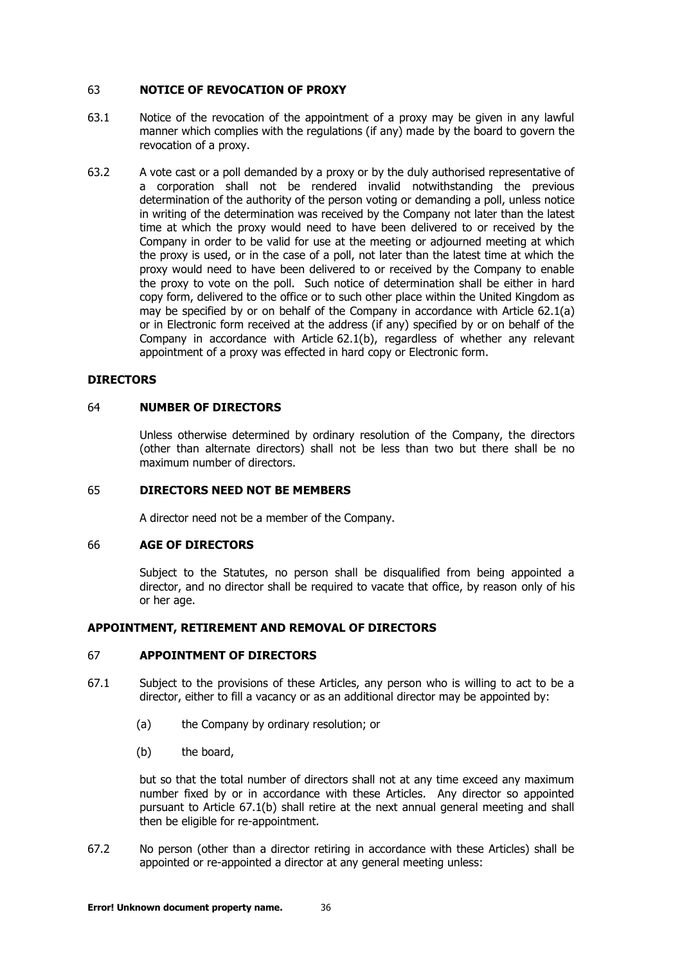## <span id="page-35-0"></span>63 **NOTICE OF REVOCATION OF PROXY**

- 63.1 Notice of the revocation of the appointment of a proxy may be given in any lawful manner which complies with the regulations (if any) made by the board to govern the revocation of a proxy.
- 63.2 A vote cast or a poll demanded by a proxy or by the duly authorised representative of a corporation shall not be rendered invalid notwithstanding the previous determination of the authority of the person voting or demanding a poll, unless notice in writing of the determination was received by the Company not later than the latest time at which the proxy would need to have been delivered to or received by the Company in order to be valid for use at the meeting or adjourned meeting at which the proxy is used, or in the case of a poll, not later than the latest time at which the proxy would need to have been delivered to or received by the Company to enable the proxy to vote on the poll. Such notice of determination shall be either in hard copy form, delivered to the office or to such other place within the United Kingdom as may be specified by or on behalf of the Company in accordance with Article [62.1\(a\)](#page-33-2) or in Electronic form received at the address (if any) specified by or on behalf of the Company in accordance with Article [62.1\(b\),](#page-33-3) regardless of whether any relevant appointment of a proxy was effected in hard copy or Electronic form.

#### **DIRECTORS**

# <span id="page-35-1"></span>64 **NUMBER OF DIRECTORS**

Unless otherwise determined by ordinary resolution of the Company, the directors (other than alternate directors) shall not be less than two but there shall be no maximum number of directors.

#### <span id="page-35-2"></span>65 **DIRECTORS NEED NOT BE MEMBERS**

A director need not be a member of the Company.

#### <span id="page-35-3"></span>66 **AGE OF DIRECTORS**

Subject to the Statutes, no person shall be disqualified from being appointed a director, and no director shall be required to vacate that office, by reason only of his or her age.

## <span id="page-35-4"></span>**APPOINTMENT, RETIREMENT AND REMOVAL OF DIRECTORS**

#### 67 **APPOINTMENT OF DIRECTORS**

- <span id="page-35-5"></span>67.1 Subject to the provisions of these Articles, any person who is willing to act to be a director, either to fill a vacancy or as an additional director may be appointed by:
	- (a) the Company by ordinary resolution; or
	- (b) the board,

but so that the total number of directors shall not at any time exceed any maximum number fixed by or in accordance with these Articles. Any director so appointed pursuant to Article [67.1\(b\)](#page-35-5) shall retire at the next annual general meeting and shall then be eligible for re-appointment.

67.2 No person (other than a director retiring in accordance with these Articles) shall be appointed or re-appointed a director at any general meeting unless: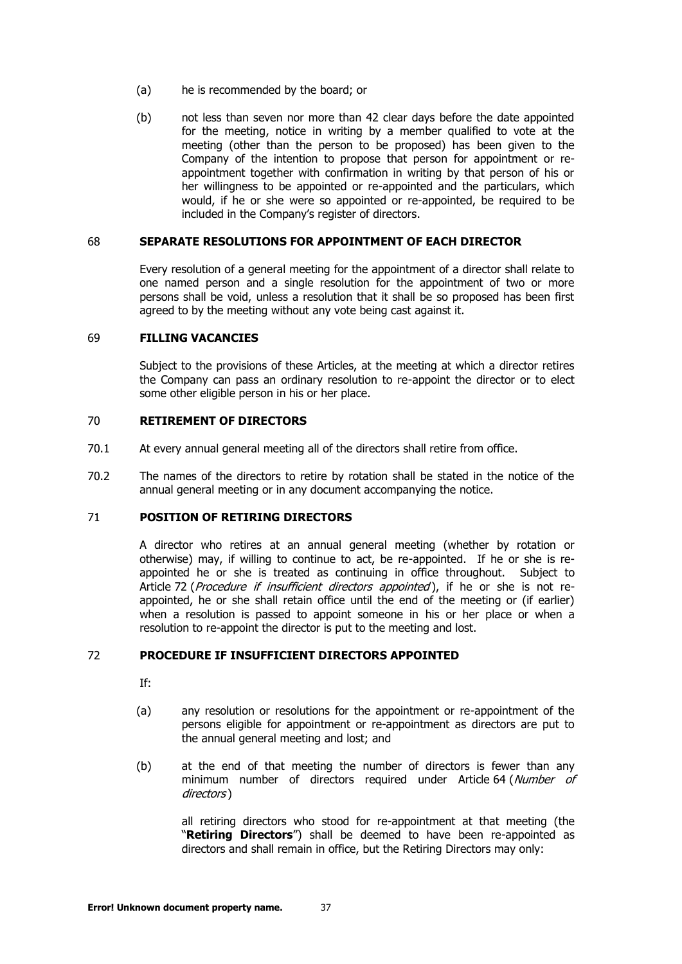- (a) he is recommended by the board; or
- (b) not less than seven nor more than 42 clear days before the date appointed for the meeting, notice in writing by a member qualified to vote at the meeting (other than the person to be proposed) has been given to the Company of the intention to propose that person for appointment or reappointment together with confirmation in writing by that person of his or her willingness to be appointed or re-appointed and the particulars, which would, if he or she were so appointed or re-appointed, be required to be included in the Company's register of directors.

#### <span id="page-36-0"></span>68 **SEPARATE RESOLUTIONS FOR APPOINTMENT OF EACH DIRECTOR**

Every resolution of a general meeting for the appointment of a director shall relate to one named person and a single resolution for the appointment of two or more persons shall be void, unless a resolution that it shall be so proposed has been first agreed to by the meeting without any vote being cast against it.

#### <span id="page-36-1"></span>69 **FILLING VACANCIES**

Subject to the provisions of these Articles, at the meeting at which a director retires the Company can pass an ordinary resolution to re-appoint the director or to elect some other eligible person in his or her place.

# <span id="page-36-2"></span>70 **RETIREMENT OF DIRECTORS**

- 70.1 At every annual general meeting all of the directors shall retire from office.
- 70.2 The names of the directors to retire by rotation shall be stated in the notice of the annual general meeting or in any document accompanying the notice.

## <span id="page-36-3"></span>71 **POSITION OF RETIRING DIRECTORS**

A director who retires at an annual general meeting (whether by rotation or otherwise) may, if willing to continue to act, be re-appointed. If he or she is reappointed he or she is treated as continuing in office throughout. Subject to Article [72](#page-36-4) ([Procedure if insufficient directors appointed](#page-36-4)), if he or she is not reappointed, he or she shall retain office until the end of the meeting or (if earlier) when a resolution is passed to appoint someone in his or her place or when a resolution to re-appoint the director is put to the meeting and lost.

# <span id="page-36-4"></span>72 **PROCEDURE IF INSUFFICIENT DIRECTORS APPOINTED**

- If:
- (a) any resolution or resolutions for the appointment or re-appointment of the persons eligible for appointment or re-appointment as directors are put to the annual general meeting and lost; and
- (b) at the end of that meeting the number of directors is fewer than any minimum number of directors required under Article [64](#page-35-1) (Number of [directors](#page-35-1) )

all retiring directors who stood for re-appointment at that meeting (the "**Retiring Directors**") shall be deemed to have been re-appointed as directors and shall remain in office, but the Retiring Directors may only: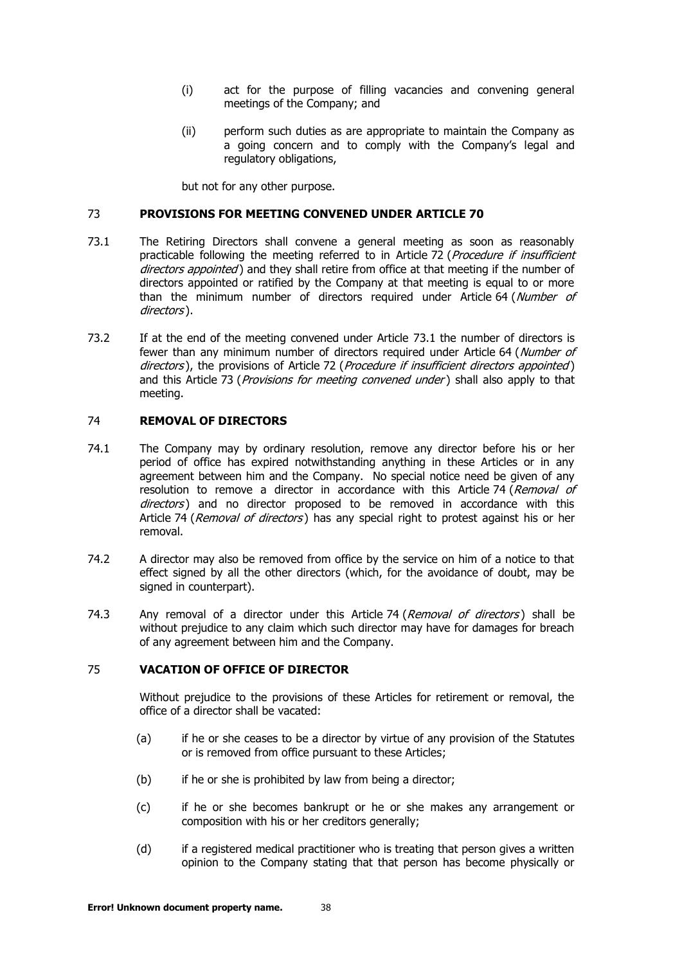- (i) act for the purpose of filling vacancies and convening general meetings of the Company; and
- (ii) perform such duties as are appropriate to maintain the Company as a going concern and to comply with the Company's legal and regulatory obligations,

but not for any other purpose.

## <span id="page-37-3"></span><span id="page-37-0"></span>73 **PROVISIONS FOR MEETING CONVENED UNDER ARTICLE 70**

- 73.1 The Retiring Directors shall convene a general meeting as soon as reasonably practicable following the meeting referred to in Article [72](#page-36-4) (Procedure if insufficient [directors appointed](#page-36-4)) and they shall retire from office at that meeting if the number of directors appointed or ratified by the Company at that meeting is equal to or more than the minimum number of directors required under Article [64](#page-35-1) (Number of [directors](#page-35-1) ).
- 73.2 If at the end of the meeting convened under Article [73.1](#page-37-3) the number of directors is fewer than any minimum number of directors required under Article [64](#page-35-1) (Number of [directors](#page-35-1)), the provisions of Article [72](#page-36-4) (*[Procedure if insufficient directors appointed](#page-36-4)*) and this Article [73](#page-37-0) ([Provisions for meeting convened under](#page-37-0)) shall also apply to that meeting.

# <span id="page-37-1"></span>74 **REMOVAL OF DIRECTORS**

- 74.1 The Company may by ordinary resolution, remove any director before his or her period of office has expired notwithstanding anything in these Articles or in any agreement between him and the Company. No special notice need be given of any resolution to remove a director in accordance with this Article [74](#page-37-1) (Removal of [directors](#page-37-1)) and no director proposed to be removed in accordance with this Article [74](#page-37-1) (*[Removal of directors](#page-37-1)*) has any special right to protest against his or her removal.
- 74.2 A director may also be removed from office by the service on him of a notice to that effect signed by all the other directors (which, for the avoidance of doubt, may be signed in counterpart).
- [74](#page-37-1).3 Any removal of a director under this Article 74 ([Removal of directors](#page-37-1)) shall be without prejudice to any claim which such director may have for damages for breach of any agreement between him and the Company.

# <span id="page-37-2"></span>75 **VACATION OF OFFICE OF DIRECTOR**

Without prejudice to the provisions of these Articles for retirement or removal, the office of a director shall be vacated:

- (a) if he or she ceases to be a director by virtue of any provision of the Statutes or is removed from office pursuant to these Articles;
- (b) if he or she is prohibited by law from being a director;
- (c) if he or she becomes bankrupt or he or she makes any arrangement or composition with his or her creditors generally;
- (d) if a registered medical practitioner who is treating that person gives a written opinion to the Company stating that that person has become physically or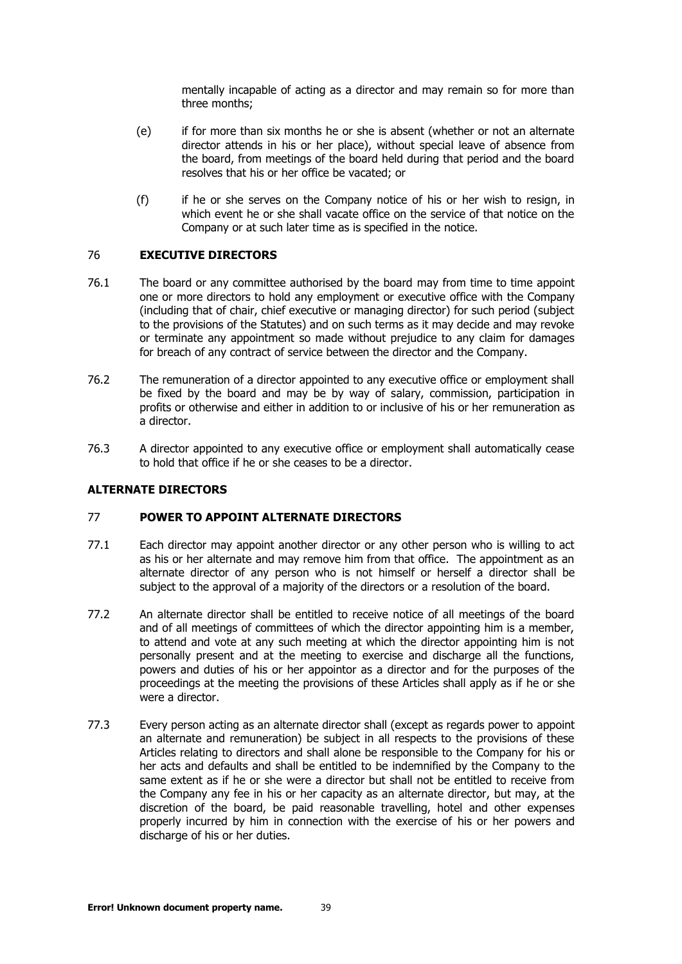mentally incapable of acting as a director and may remain so for more than three months;

- (e) if for more than six months he or she is absent (whether or not an alternate director attends in his or her place), without special leave of absence from the board, from meetings of the board held during that period and the board resolves that his or her office be vacated; or
- (f) if he or she serves on the Company notice of his or her wish to resign, in which event he or she shall vacate office on the service of that notice on the Company or at such later time as is specified in the notice.

## <span id="page-38-0"></span>76 **EXECUTIVE DIRECTORS**

- 76.1 The board or any committee authorised by the board may from time to time appoint one or more directors to hold any employment or executive office with the Company (including that of chair, chief executive or managing director) for such period (subject to the provisions of the Statutes) and on such terms as it may decide and may revoke or terminate any appointment so made without prejudice to any claim for damages for breach of any contract of service between the director and the Company.
- 76.2 The remuneration of a director appointed to any executive office or employment shall be fixed by the board and may be by way of salary, commission, participation in profits or otherwise and either in addition to or inclusive of his or her remuneration as a director.
- 76.3 A director appointed to any executive office or employment shall automatically cease to hold that office if he or she ceases to be a director.

## <span id="page-38-1"></span>**ALTERNATE DIRECTORS**

#### <span id="page-38-2"></span>77 **POWER TO APPOINT ALTERNATE DIRECTORS**

- 77.1 Each director may appoint another director or any other person who is willing to act as his or her alternate and may remove him from that office. The appointment as an alternate director of any person who is not himself or herself a director shall be subject to the approval of a majority of the directors or a resolution of the board.
- 77.2 An alternate director shall be entitled to receive notice of all meetings of the board and of all meetings of committees of which the director appointing him is a member, to attend and vote at any such meeting at which the director appointing him is not personally present and at the meeting to exercise and discharge all the functions, powers and duties of his or her appointor as a director and for the purposes of the proceedings at the meeting the provisions of these Articles shall apply as if he or she were a director.
- 77.3 Every person acting as an alternate director shall (except as regards power to appoint an alternate and remuneration) be subject in all respects to the provisions of these Articles relating to directors and shall alone be responsible to the Company for his or her acts and defaults and shall be entitled to be indemnified by the Company to the same extent as if he or she were a director but shall not be entitled to receive from the Company any fee in his or her capacity as an alternate director, but may, at the discretion of the board, be paid reasonable travelling, hotel and other expenses properly incurred by him in connection with the exercise of his or her powers and discharge of his or her duties.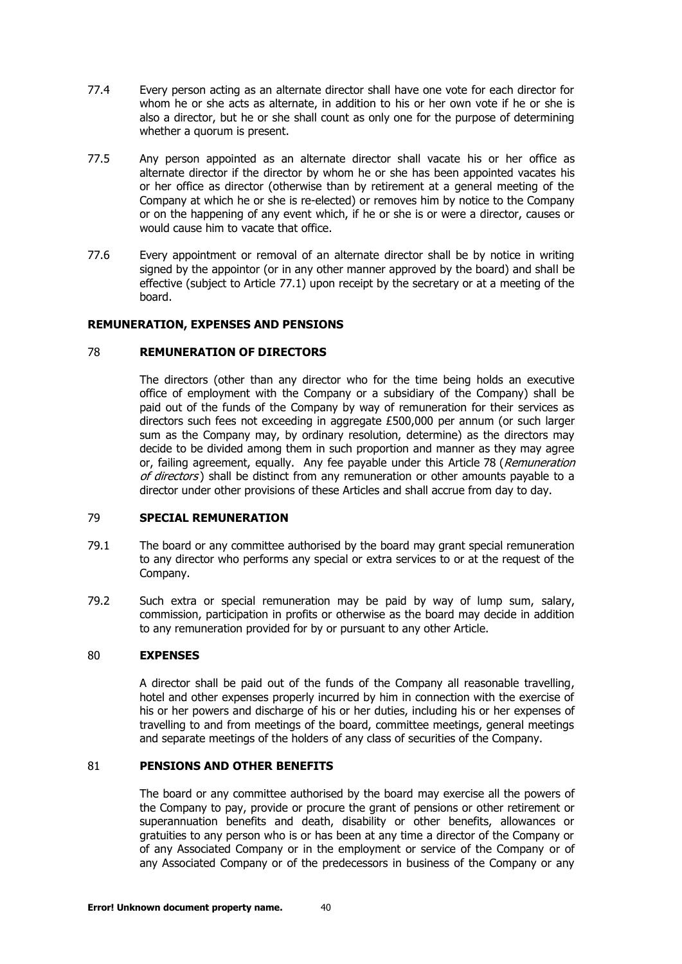- 77.4 Every person acting as an alternate director shall have one vote for each director for whom he or she acts as alternate, in addition to his or her own vote if he or she is also a director, but he or she shall count as only one for the purpose of determining whether a quorum is present.
- 77.5 Any person appointed as an alternate director shall vacate his or her office as alternate director if the director by whom he or she has been appointed vacates his or her office as director (otherwise than by retirement at a general meeting of the Company at which he or she is re-elected) or removes him by notice to the Company or on the happening of any event which, if he or she is or were a director, causes or would cause him to vacate that office.
- 77.6 Every appointment or removal of an alternate director shall be by notice in writing signed by the appointor (or in any other manner approved by the board) and shall be effective (subject to Article [77.1\)](#page-38-2) upon receipt by the secretary or at a meeting of the board.

## <span id="page-39-0"></span>**REMUNERATION, EXPENSES AND PENSIONS**

#### 78 **REMUNERATION OF DIRECTORS**

The directors (other than any director who for the time being holds an executive office of employment with the Company or a subsidiary of the Company) shall be paid out of the funds of the Company by way of remuneration for their services as directors such fees not exceeding in aggregate £500,000 per annum (or such larger sum as the Company may, by ordinary resolution, determine) as the directors may decide to be divided among them in such proportion and manner as they may agree or, failing agreement, equally. Any fee payable under this Article [78](#page-39-0) (Remuneration [of directors](#page-39-0)) shall be distinct from any remuneration or other amounts payable to a director under other provisions of these Articles and shall accrue from day to day.

#### <span id="page-39-1"></span>79 **SPECIAL REMUNERATION**

- 79.1 The board or any committee authorised by the board may grant special remuneration to any director who performs any special or extra services to or at the request of the Company.
- 79.2 Such extra or special remuneration may be paid by way of lump sum, salary, commission, participation in profits or otherwise as the board may decide in addition to any remuneration provided for by or pursuant to any other Article.

#### <span id="page-39-2"></span>80 **EXPENSES**

A director shall be paid out of the funds of the Company all reasonable travelling, hotel and other expenses properly incurred by him in connection with the exercise of his or her powers and discharge of his or her duties, including his or her expenses of travelling to and from meetings of the board, committee meetings, general meetings and separate meetings of the holders of any class of securities of the Company.

## <span id="page-39-3"></span>81 **PENSIONS AND OTHER BENEFITS**

The board or any committee authorised by the board may exercise all the powers of the Company to pay, provide or procure the grant of pensions or other retirement or superannuation benefits and death, disability or other benefits, allowances or gratuities to any person who is or has been at any time a director of the Company or of any Associated Company or in the employment or service of the Company or of any Associated Company or of the predecessors in business of the Company or any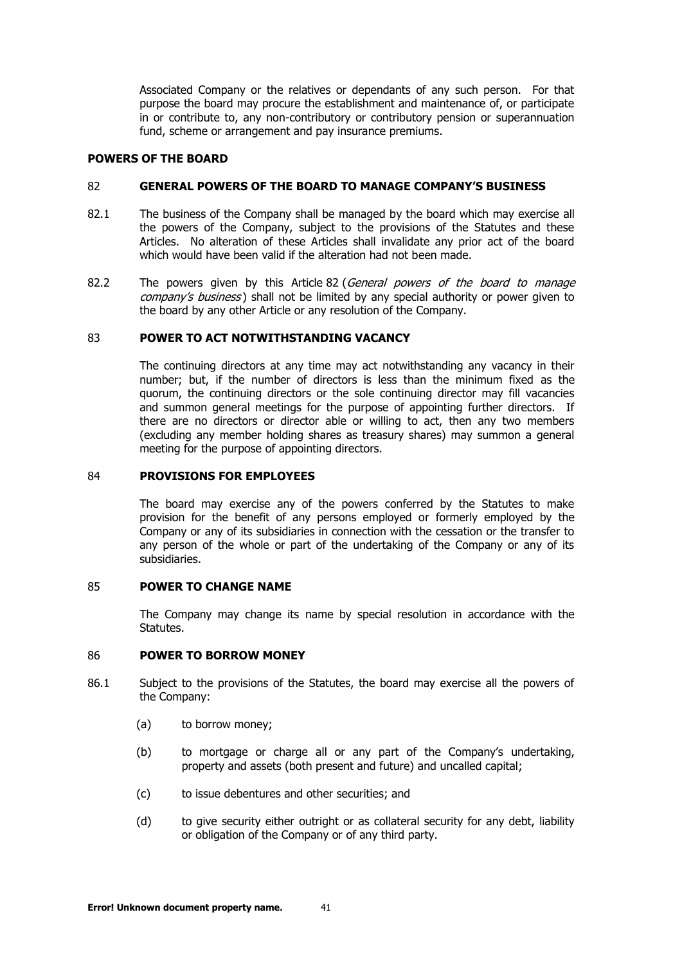Associated Company or the relatives or dependants of any such person. For that purpose the board may procure the establishment and maintenance of, or participate in or contribute to, any non-contributory or contributory pension or superannuation fund, scheme or arrangement and pay insurance premiums.

# <span id="page-40-0"></span>**POWERS OF THE BOARD**

## 82 **GENERAL POWERS OF THE BOARD TO MANAGE COMPANY'S BUSINESS**

- 82.1 The business of the Company shall be managed by the board which may exercise all the powers of the Company, subject to the provisions of the Statutes and these Articles. No alteration of these Articles shall invalidate any prior act of the board which would have been valid if the alteration had not been made.
- [82](#page-40-0).2 The powers given by this Article 82 (General powers of the board to manage company's [business](#page-40-0)) shall not be limited by any special authority or power given to the board by any other Article or any resolution of the Company.

#### <span id="page-40-1"></span>83 **POWER TO ACT NOTWITHSTANDING VACANCY**

The continuing directors at any time may act notwithstanding any vacancy in their number; but, if the number of directors is less than the minimum fixed as the quorum, the continuing directors or the sole continuing director may fill vacancies and summon general meetings for the purpose of appointing further directors. If there are no directors or director able or willing to act, then any two members (excluding any member holding shares as treasury shares) may summon a general meeting for the purpose of appointing directors.

#### <span id="page-40-2"></span>84 **PROVISIONS FOR EMPLOYEES**

The board may exercise any of the powers conferred by the Statutes to make provision for the benefit of any persons employed or formerly employed by the Company or any of its subsidiaries in connection with the cessation or the transfer to any person of the whole or part of the undertaking of the Company or any of its subsidiaries.

#### <span id="page-40-3"></span>85 **POWER TO CHANGE NAME**

The Company may change its name by special resolution in accordance with the Statutes.

#### <span id="page-40-4"></span>86 **POWER TO BORROW MONEY**

- 86.1 Subject to the provisions of the Statutes, the board may exercise all the powers of the Company:
	- (a) to borrow money;
	- (b) to mortgage or charge all or any part of the Company's undertaking, property and assets (both present and future) and uncalled capital;
	- (c) to issue debentures and other securities; and
	- (d) to give security either outright or as collateral security for any debt, liability or obligation of the Company or of any third party.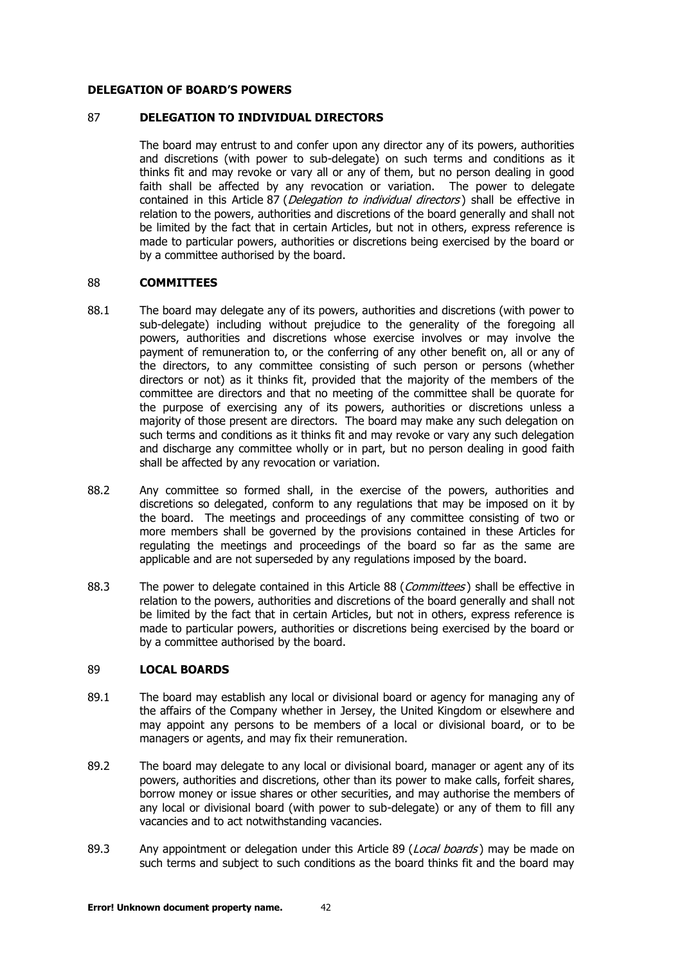#### <span id="page-41-0"></span>**DELEGATION OF BOARD'S POWERS**

#### 87 **DELEGATION TO INDIVIDUAL DIRECTORS**

The board may entrust to and confer upon any director any of its powers, authorities and discretions (with power to sub-delegate) on such terms and conditions as it thinks fit and may revoke or vary all or any of them, but no person dealing in good faith shall be affected by any revocation or variation. The power to delegate contained in this Article [87](#page-41-0) (*[Delegation to individual directors](#page-41-0)*) shall be effective in relation to the powers, authorities and discretions of the board generally and shall not be limited by the fact that in certain Articles, but not in others, express reference is made to particular powers, authorities or discretions being exercised by the board or by a committee authorised by the board.

#### <span id="page-41-1"></span>88 **COMMITTEES**

- 88.1 The board may delegate any of its powers, authorities and discretions (with power to sub-delegate) including without prejudice to the generality of the foregoing all powers, authorities and discretions whose exercise involves or may involve the payment of remuneration to, or the conferring of any other benefit on, all or any of the directors, to any committee consisting of such person or persons (whether directors or not) as it thinks fit, provided that the majority of the members of the committee are directors and that no meeting of the committee shall be quorate for the purpose of exercising any of its powers, authorities or discretions unless a majority of those present are directors. The board may make any such delegation on such terms and conditions as it thinks fit and may revoke or vary any such delegation and discharge any committee wholly or in part, but no person dealing in good faith shall be affected by any revocation or variation.
- 88.2 Any committee so formed shall, in the exercise of the powers, authorities and discretions so delegated, conform to any regulations that may be imposed on it by the board. The meetings and proceedings of any committee consisting of two or more members shall be governed by the provisions contained in these Articles for regulating the meetings and proceedings of the board so far as the same are applicable and are not superseded by any regulations imposed by the board.
- [88](#page-41-1).3 The power to delegate contained in this Article 88 ([Committees](#page-41-1)) shall be effective in relation to the powers, authorities and discretions of the board generally and shall not be limited by the fact that in certain Articles, but not in others, express reference is made to particular powers, authorities or discretions being exercised by the board or by a committee authorised by the board.

# <span id="page-41-2"></span>89 **LOCAL BOARDS**

- 89.1 The board may establish any local or divisional board or agency for managing any of the affairs of the Company whether in Jersey, the United Kingdom or elsewhere and may appoint any persons to be members of a local or divisional board, or to be managers or agents, and may fix their remuneration.
- 89.2 The board may delegate to any local or divisional board, manager or agent any of its powers, authorities and discretions, other than its power to make calls, forfeit shares, borrow money or issue shares or other securities, and may authorise the members of any local or divisional board (with power to sub-delegate) or any of them to fill any vacancies and to act notwithstanding vacancies.
- [89](#page-41-2).3 Any appointment or delegation under this Article 89 (*[Local boards](#page-41-2)*) may be made on such terms and subject to such conditions as the board thinks fit and the board may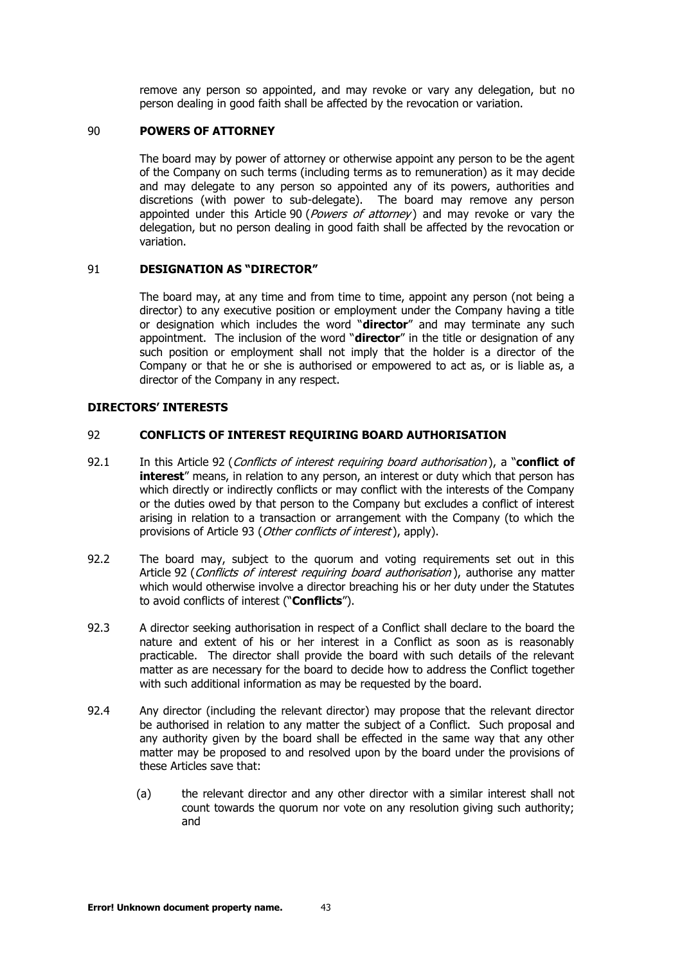remove any person so appointed, and may revoke or vary any delegation, but no person dealing in good faith shall be affected by the revocation or variation.

## <span id="page-42-0"></span>90 **POWERS OF ATTORNEY**

The board may by power of attorney or otherwise appoint any person to be the agent of the Company on such terms (including terms as to remuneration) as it may decide and may delegate to any person so appointed any of its powers, authorities and discretions (with power to sub-delegate). The board may remove any person appointed under this Article [90](#page-42-0) (*[Powers of attorney](#page-42-0)*) and may revoke or vary the delegation, but no person dealing in good faith shall be affected by the revocation or variation.

#### <span id="page-42-1"></span>91 **DESIGNATION AS "DIRECTOR"**

The board may, at any time and from time to time, appoint any person (not being a director) to any executive position or employment under the Company having a title or designation which includes the word "**director**" and may terminate any such appointment. The inclusion of the word "**director**" in the title or designation of any such position or employment shall not imply that the holder is a director of the Company or that he or she is authorised or empowered to act as, or is liable as, a director of the Company in any respect.

# **DIRECTORS' INTERESTS**

#### <span id="page-42-2"></span>92 **CONFLICTS OF INTEREST REQUIRING BOARD AUTHORISATION**

- 92.1 In this Article [92](#page-42-2) ([Conflicts of interest requiring board authorisation](#page-42-2) ), a "**conflict of interest**" means, in relation to any person, an interest or duty which that person has which directly or indirectly conflicts or may conflict with the interests of the Company or the duties owed by that person to the Company but excludes a conflict of interest arising in relation to a transaction or arrangement with the Company (to which the provisions of Article [93](#page-43-0) ([Other conflicts of interest](#page-43-0)), apply).
- 92.2 The board may, subject to the quorum and voting requirements set out in this Article [92](#page-42-2) ([Conflicts of interest requiring board authorisation](#page-42-2)), authorise any matter which would otherwise involve a director breaching his or her duty under the Statutes to avoid conflicts of interest ("**Conflicts**").
- 92.3 A director seeking authorisation in respect of a Conflict shall declare to the board the nature and extent of his or her interest in a Conflict as soon as is reasonably practicable. The director shall provide the board with such details of the relevant matter as are necessary for the board to decide how to address the Conflict together with such additional information as may be requested by the board.
- 92.4 Any director (including the relevant director) may propose that the relevant director be authorised in relation to any matter the subject of a Conflict. Such proposal and any authority given by the board shall be effected in the same way that any other matter may be proposed to and resolved upon by the board under the provisions of these Articles save that:
	- (a) the relevant director and any other director with a similar interest shall not count towards the quorum nor vote on any resolution giving such authority; and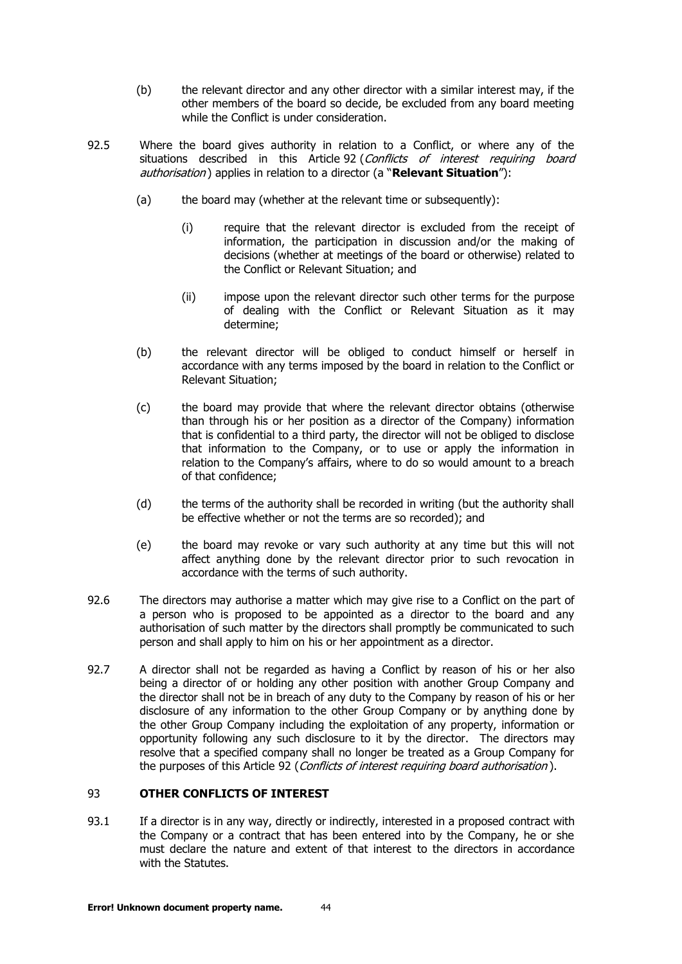- (b) the relevant director and any other director with a similar interest may, if the other members of the board so decide, be excluded from any board meeting while the Conflict is under consideration.
- 92.5 Where the board gives authority in relation to a Conflict, or where any of the situations described in this Article [92](#page-42-2) (Conflicts of interest requiring board [authorisation](#page-42-2) ) applies in relation to a director (a "**Relevant Situation**"):
	- (a) the board may (whether at the relevant time or subsequently):
		- (i) require that the relevant director is excluded from the receipt of information, the participation in discussion and/or the making of decisions (whether at meetings of the board or otherwise) related to the Conflict or Relevant Situation; and
		- (ii) impose upon the relevant director such other terms for the purpose of dealing with the Conflict or Relevant Situation as it may determine;
	- (b) the relevant director will be obliged to conduct himself or herself in accordance with any terms imposed by the board in relation to the Conflict or Relevant Situation;
	- (c) the board may provide that where the relevant director obtains (otherwise than through his or her position as a director of the Company) information that is confidential to a third party, the director will not be obliged to disclose that information to the Company, or to use or apply the information in relation to the Company's affairs, where to do so would amount to a breach of that confidence;
	- (d) the terms of the authority shall be recorded in writing (but the authority shall be effective whether or not the terms are so recorded); and
	- (e) the board may revoke or vary such authority at any time but this will not affect anything done by the relevant director prior to such revocation in accordance with the terms of such authority.
- 92.6 The directors may authorise a matter which may give rise to a Conflict on the part of a person who is proposed to be appointed as a director to the board and any authorisation of such matter by the directors shall promptly be communicated to such person and shall apply to him on his or her appointment as a director.
- 92.7 A director shall not be regarded as having a Conflict by reason of his or her also being a director of or holding any other position with another Group Company and the director shall not be in breach of any duty to the Company by reason of his or her disclosure of any information to the other Group Company or by anything done by the other Group Company including the exploitation of any property, information or opportunity following any such disclosure to it by the director. The directors may resolve that a specified company shall no longer be treated as a Group Company for the purposes of this Article [92](#page-42-2) ([Conflicts of interest requiring board authorisation](#page-42-2)).

# <span id="page-43-1"></span><span id="page-43-0"></span>93 **OTHER CONFLICTS OF INTEREST**

93.1 If a director is in any way, directly or indirectly, interested in a proposed contract with the Company or a contract that has been entered into by the Company, he or she must declare the nature and extent of that interest to the directors in accordance with the Statutes.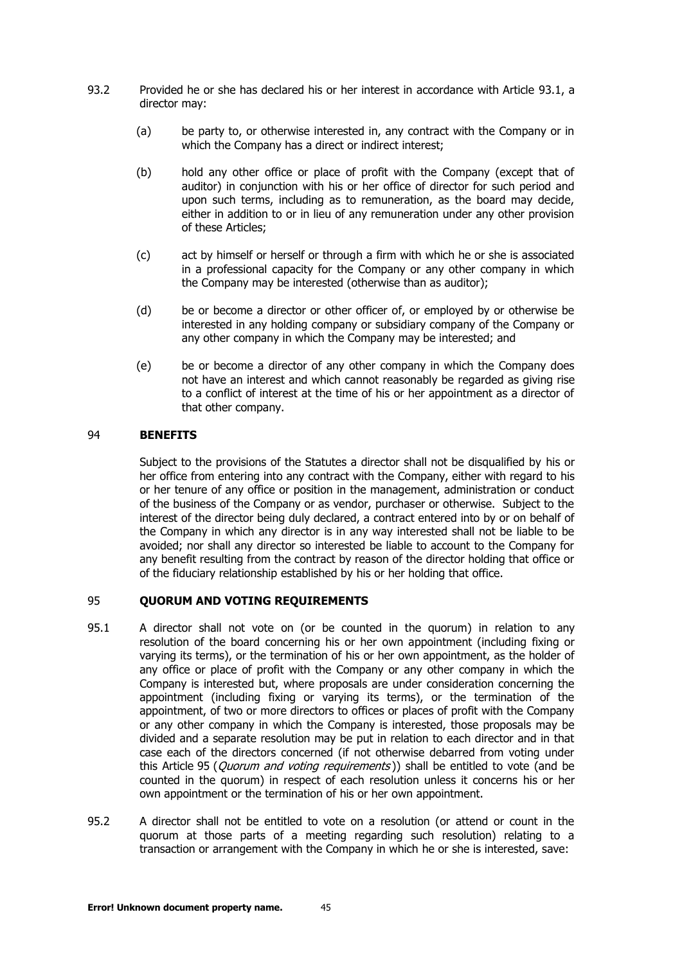- 93.2 Provided he or she has declared his or her interest in accordance with Article [93.1,](#page-43-1) a director may:
	- (a) be party to, or otherwise interested in, any contract with the Company or in which the Company has a direct or indirect interest;
	- (b) hold any other office or place of profit with the Company (except that of auditor) in conjunction with his or her office of director for such period and upon such terms, including as to remuneration, as the board may decide, either in addition to or in lieu of any remuneration under any other provision of these Articles;
	- (c) act by himself or herself or through a firm with which he or she is associated in a professional capacity for the Company or any other company in which the Company may be interested (otherwise than as auditor);
	- (d) be or become a director or other officer of, or employed by or otherwise be interested in any holding company or subsidiary company of the Company or any other company in which the Company may be interested; and
	- (e) be or become a director of any other company in which the Company does not have an interest and which cannot reasonably be regarded as giving rise to a conflict of interest at the time of his or her appointment as a director of that other company.

#### <span id="page-44-0"></span>94 **BENEFITS**

Subject to the provisions of the Statutes a director shall not be disqualified by his or her office from entering into any contract with the Company, either with regard to his or her tenure of any office or position in the management, administration or conduct of the business of the Company or as vendor, purchaser or otherwise. Subject to the interest of the director being duly declared, a contract entered into by or on behalf of the Company in which any director is in any way interested shall not be liable to be avoided; nor shall any director so interested be liable to account to the Company for any benefit resulting from the contract by reason of the director holding that office or of the fiduciary relationship established by his or her holding that office.

## <span id="page-44-1"></span>95 **QUORUM AND VOTING REQUIREMENTS**

- 95.1 A director shall not vote on (or be counted in the quorum) in relation to any resolution of the board concerning his or her own appointment (including fixing or varying its terms), or the termination of his or her own appointment, as the holder of any office or place of profit with the Company or any other company in which the Company is interested but, where proposals are under consideration concerning the appointment (including fixing or varying its terms), or the termination of the appointment, of two or more directors to offices or places of profit with the Company or any other company in which the Company is interested, those proposals may be divided and a separate resolution may be put in relation to each director and in that case each of the directors concerned (if not otherwise debarred from voting under this Article [95](#page-44-1) (*[Quorum and voting requirements](#page-44-1)*)) shall be entitled to vote (and be counted in the quorum) in respect of each resolution unless it concerns his or her own appointment or the termination of his or her own appointment.
- 95.2 A director shall not be entitled to vote on a resolution (or attend or count in the quorum at those parts of a meeting regarding such resolution) relating to a transaction or arrangement with the Company in which he or she is interested, save: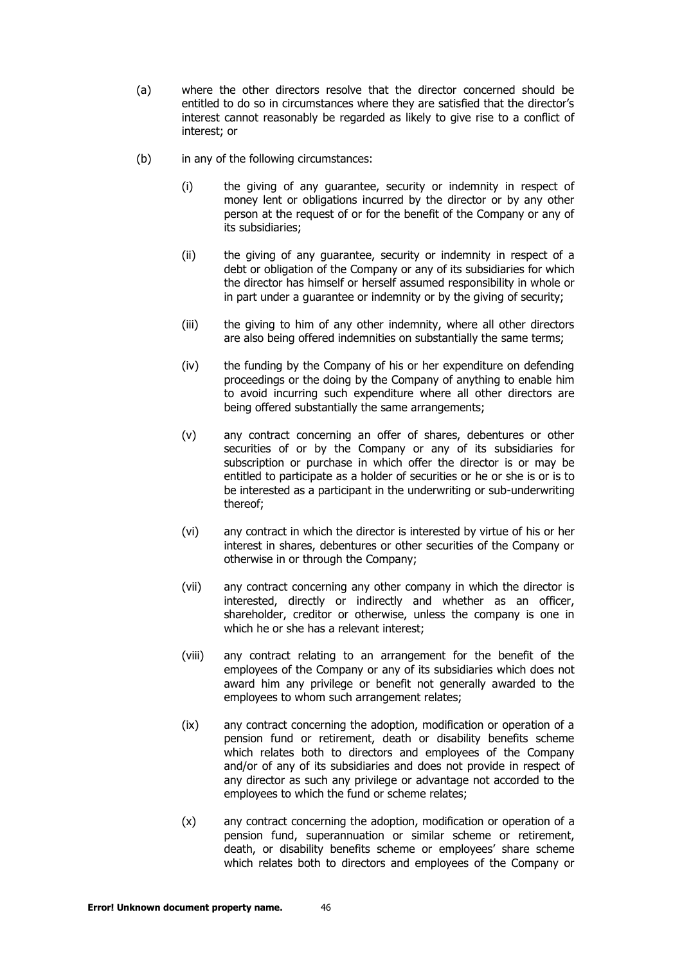- (a) where the other directors resolve that the director concerned should be entitled to do so in circumstances where they are satisfied that the director's interest cannot reasonably be regarded as likely to give rise to a conflict of interest; or
- (b) in any of the following circumstances:
	- (i) the giving of any guarantee, security or indemnity in respect of money lent or obligations incurred by the director or by any other person at the request of or for the benefit of the Company or any of its subsidiaries;
	- (ii) the giving of any guarantee, security or indemnity in respect of a debt or obligation of the Company or any of its subsidiaries for which the director has himself or herself assumed responsibility in whole or in part under a guarantee or indemnity or by the giving of security;
	- (iii) the giving to him of any other indemnity, where all other directors are also being offered indemnities on substantially the same terms;
	- (iv) the funding by the Company of his or her expenditure on defending proceedings or the doing by the Company of anything to enable him to avoid incurring such expenditure where all other directors are being offered substantially the same arrangements;
	- (v) any contract concerning an offer of shares, debentures or other securities of or by the Company or any of its subsidiaries for subscription or purchase in which offer the director is or may be entitled to participate as a holder of securities or he or she is or is to be interested as a participant in the underwriting or sub-underwriting thereof;
	- (vi) any contract in which the director is interested by virtue of his or her interest in shares, debentures or other securities of the Company or otherwise in or through the Company;
	- (vii) any contract concerning any other company in which the director is interested, directly or indirectly and whether as an officer, shareholder, creditor or otherwise, unless the company is one in which he or she has a relevant interest;
	- (viii) any contract relating to an arrangement for the benefit of the employees of the Company or any of its subsidiaries which does not award him any privilege or benefit not generally awarded to the employees to whom such arrangement relates;
	- (ix) any contract concerning the adoption, modification or operation of a pension fund or retirement, death or disability benefits scheme which relates both to directors and employees of the Company and/or of any of its subsidiaries and does not provide in respect of any director as such any privilege or advantage not accorded to the employees to which the fund or scheme relates;
	- (x) any contract concerning the adoption, modification or operation of a pension fund, superannuation or similar scheme or retirement, death, or disability benefits scheme or employees' share scheme which relates both to directors and employees of the Company or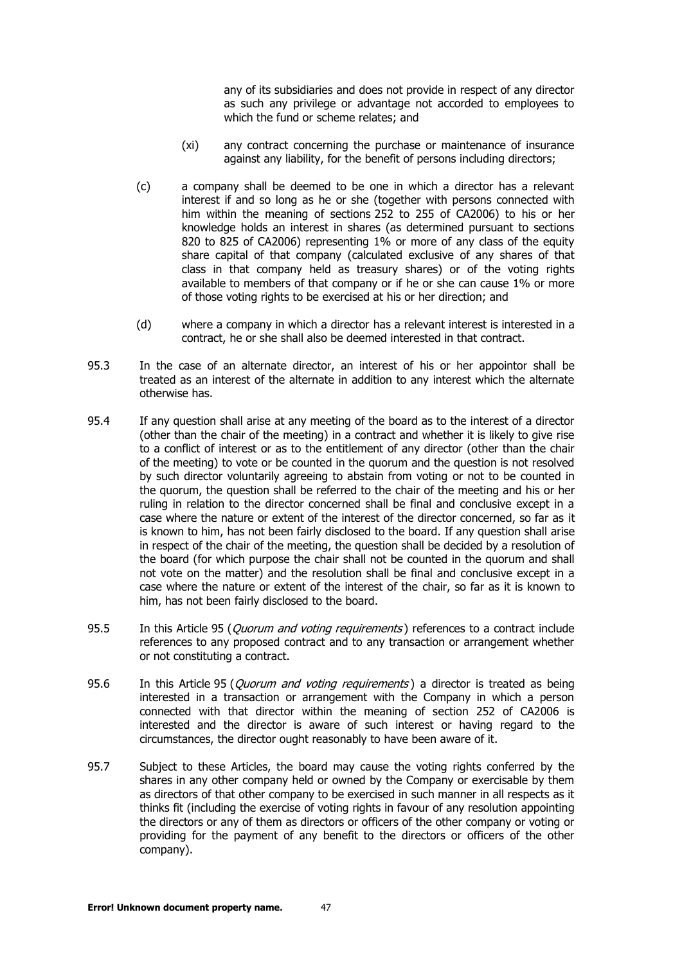any of its subsidiaries and does not provide in respect of any director as such any privilege or advantage not accorded to employees to which the fund or scheme relates; and

- (xi) any contract concerning the purchase or maintenance of insurance against any liability, for the benefit of persons including directors;
- (c) a company shall be deemed to be one in which a director has a relevant interest if and so long as he or she (together with persons connected with him within the meaning of sections 252 to 255 of CA2006) to his or her knowledge holds an interest in shares (as determined pursuant to sections 820 to 825 of CA2006) representing 1% or more of any class of the equity share capital of that company (calculated exclusive of any shares of that class in that company held as treasury shares) or of the voting rights available to members of that company or if he or she can cause 1% or more of those voting rights to be exercised at his or her direction; and
- (d) where a company in which a director has a relevant interest is interested in a contract, he or she shall also be deemed interested in that contract.
- 95.3 In the case of an alternate director, an interest of his or her appointor shall be treated as an interest of the alternate in addition to any interest which the alternate otherwise has.
- 95.4 If any question shall arise at any meeting of the board as to the interest of a director (other than the chair of the meeting) in a contract and whether it is likely to give rise to a conflict of interest or as to the entitlement of any director (other than the chair of the meeting) to vote or be counted in the quorum and the question is not resolved by such director voluntarily agreeing to abstain from voting or not to be counted in the quorum, the question shall be referred to the chair of the meeting and his or her ruling in relation to the director concerned shall be final and conclusive except in a case where the nature or extent of the interest of the director concerned, so far as it is known to him, has not been fairly disclosed to the board. If any question shall arise in respect of the chair of the meeting, the question shall be decided by a resolution of the board (for which purpose the chair shall not be counted in the quorum and shall not vote on the matter) and the resolution shall be final and conclusive except in a case where the nature or extent of the interest of the chair, so far as it is known to him, has not been fairly disclosed to the board.
- [95](#page-44-1).5 In this Article 95 (*[Quorum and voting requirements](#page-44-1)*) references to a contract include references to any proposed contract and to any transaction or arrangement whether or not constituting a contract.
- [95](#page-44-1).6 In this Article 95 (*[Quorum and voting requirements](#page-44-1)*) a director is treated as being interested in a transaction or arrangement with the Company in which a person connected with that director within the meaning of section 252 of CA2006 is interested and the director is aware of such interest or having regard to the circumstances, the director ought reasonably to have been aware of it.
- 95.7 Subject to these Articles, the board may cause the voting rights conferred by the shares in any other company held or owned by the Company or exercisable by them as directors of that other company to be exercised in such manner in all respects as it thinks fit (including the exercise of voting rights in favour of any resolution appointing the directors or any of them as directors or officers of the other company or voting or providing for the payment of any benefit to the directors or officers of the other company).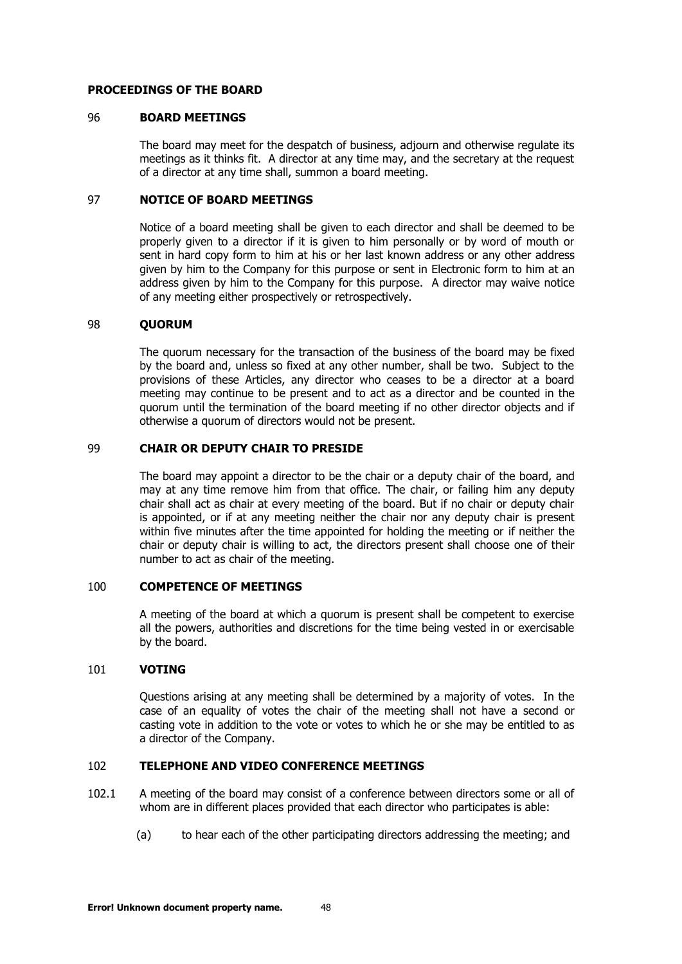#### <span id="page-47-0"></span>**PROCEEDINGS OF THE BOARD**

#### 96 **BOARD MEETINGS**

The board may meet for the despatch of business, adjourn and otherwise regulate its meetings as it thinks fit. A director at any time may, and the secretary at the request of a director at any time shall, summon a board meeting.

#### <span id="page-47-1"></span>97 **NOTICE OF BOARD MEETINGS**

Notice of a board meeting shall be given to each director and shall be deemed to be properly given to a director if it is given to him personally or by word of mouth or sent in hard copy form to him at his or her last known address or any other address given by him to the Company for this purpose or sent in Electronic form to him at an address given by him to the Company for this purpose. A director may waive notice of any meeting either prospectively or retrospectively.

#### <span id="page-47-2"></span>98 **QUORUM**

The quorum necessary for the transaction of the business of the board may be fixed by the board and, unless so fixed at any other number, shall be two. Subject to the provisions of these Articles, any director who ceases to be a director at a board meeting may continue to be present and to act as a director and be counted in the quorum until the termination of the board meeting if no other director objects and if otherwise a quorum of directors would not be present.

#### <span id="page-47-3"></span>99 **CHAIR OR DEPUTY CHAIR TO PRESIDE**

The board may appoint a director to be the chair or a deputy chair of the board, and may at any time remove him from that office. The chair, or failing him any deputy chair shall act as chair at every meeting of the board. But if no chair or deputy chair is appointed, or if at any meeting neither the chair nor any deputy chair is present within five minutes after the time appointed for holding the meeting or if neither the chair or deputy chair is willing to act, the directors present shall choose one of their number to act as chair of the meeting.

#### <span id="page-47-4"></span>100 **COMPETENCE OF MEETINGS**

A meeting of the board at which a quorum is present shall be competent to exercise all the powers, authorities and discretions for the time being vested in or exercisable by the board.

# <span id="page-47-5"></span>101 **VOTING**

Questions arising at any meeting shall be determined by a majority of votes. In the case of an equality of votes the chair of the meeting shall not have a second or casting vote in addition to the vote or votes to which he or she may be entitled to as a director of the Company.

## <span id="page-47-6"></span>102 **TELEPHONE AND VIDEO CONFERENCE MEETINGS**

- 102.1 A meeting of the board may consist of a conference between directors some or all of whom are in different places provided that each director who participates is able:
	- (a) to hear each of the other participating directors addressing the meeting; and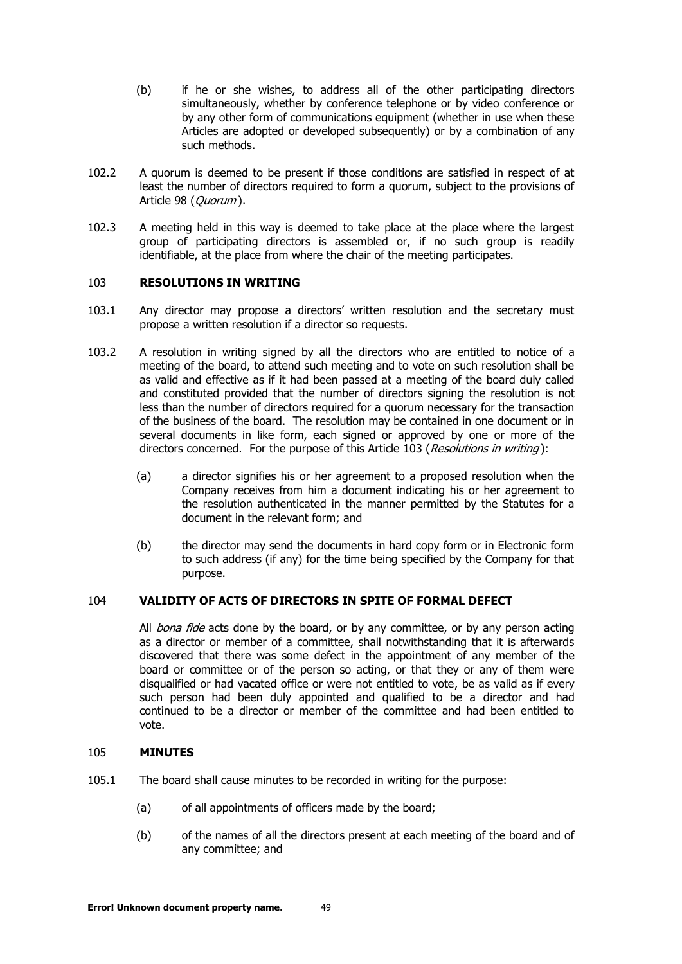- (b) if he or she wishes, to address all of the other participating directors simultaneously, whether by conference telephone or by video conference or by any other form of communications equipment (whether in use when these Articles are adopted or developed subsequently) or by a combination of any such methods.
- 102.2 A quorum is deemed to be present if those conditions are satisfied in respect of at least the number of directors required to form a quorum, subject to the provisions of Article [98](#page-47-2) (Ouorum).
- 102.3 A meeting held in this way is deemed to take place at the place where the largest group of participating directors is assembled or, if no such group is readily identifiable, at the place from where the chair of the meeting participates.

## <span id="page-48-0"></span>103 **RESOLUTIONS IN WRITING**

- 103.1 Any director may propose a directors' written resolution and the secretary must propose a written resolution if a director so requests.
- 103.2 A resolution in writing signed by all the directors who are entitled to notice of a meeting of the board, to attend such meeting and to vote on such resolution shall be as valid and effective as if it had been passed at a meeting of the board duly called and constituted provided that the number of directors signing the resolution is not less than the number of directors required for a quorum necessary for the transaction of the business of the board. The resolution may be contained in one document or in several documents in like form, each signed or approved by one or more of the directors concerned. For the purpose of this Article [103](#page-48-0) ([Resolutions in writing](#page-48-0)):
	- (a) a director signifies his or her agreement to a proposed resolution when the Company receives from him a document indicating his or her agreement to the resolution authenticated in the manner permitted by the Statutes for a document in the relevant form; and
	- (b) the director may send the documents in hard copy form or in Electronic form to such address (if any) for the time being specified by the Company for that purpose.

## <span id="page-48-1"></span>104 **VALIDITY OF ACTS OF DIRECTORS IN SPITE OF FORMAL DEFECT**

All *bona fide* acts done by the board, or by any committee, or by any person acting as a director or member of a committee, shall notwithstanding that it is afterwards discovered that there was some defect in the appointment of any member of the board or committee or of the person so acting, or that they or any of them were disqualified or had vacated office or were not entitled to vote, be as valid as if every such person had been duly appointed and qualified to be a director and had continued to be a director or member of the committee and had been entitled to vote.

#### <span id="page-48-2"></span>105 **MINUTES**

- 105.1 The board shall cause minutes to be recorded in writing for the purpose:
	- (a) of all appointments of officers made by the board;
	- (b) of the names of all the directors present at each meeting of the board and of any committee; and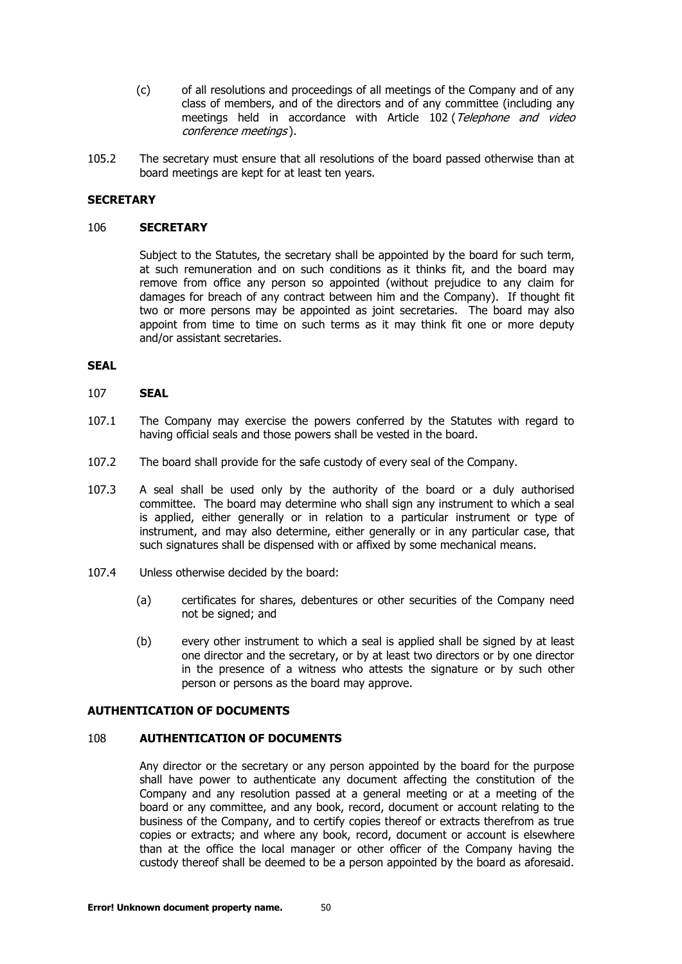- (c) of all resolutions and proceedings of all meetings of the Company and of any class of members, and of the directors and of any committee (including any meetings held in accordance with Article [102](#page-47-6) (Telephone and video [conference meetings](#page-47-6) ).
- 105.2 The secretary must ensure that all resolutions of the board passed otherwise than at board meetings are kept for at least ten years.

#### <span id="page-49-0"></span>**SECRETARY**

#### 106 **SECRETARY**

Subject to the Statutes, the secretary shall be appointed by the board for such term, at such remuneration and on such conditions as it thinks fit, and the board may remove from office any person so appointed (without prejudice to any claim for damages for breach of any contract between him and the Company). If thought fit two or more persons may be appointed as joint secretaries. The board may also appoint from time to time on such terms as it may think fit one or more deputy and/or assistant secretaries.

## <span id="page-49-1"></span>**SEAL**

#### 107 **SEAL**

- 107.1 The Company may exercise the powers conferred by the Statutes with regard to having official seals and those powers shall be vested in the board.
- 107.2 The board shall provide for the safe custody of every seal of the Company.
- 107.3 A seal shall be used only by the authority of the board or a duly authorised committee. The board may determine who shall sign any instrument to which a seal is applied, either generally or in relation to a particular instrument or type of instrument, and may also determine, either generally or in any particular case, that such signatures shall be dispensed with or affixed by some mechanical means.
- 107.4 Unless otherwise decided by the board:
	- (a) certificates for shares, debentures or other securities of the Company need not be signed; and
	- (b) every other instrument to which a seal is applied shall be signed by at least one director and the secretary, or by at least two directors or by one director in the presence of a witness who attests the signature or by such other person or persons as the board may approve.

#### <span id="page-49-2"></span>**AUTHENTICATION OF DOCUMENTS**

#### 108 **AUTHENTICATION OF DOCUMENTS**

Any director or the secretary or any person appointed by the board for the purpose shall have power to authenticate any document affecting the constitution of the Company and any resolution passed at a general meeting or at a meeting of the board or any committee, and any book, record, document or account relating to the business of the Company, and to certify copies thereof or extracts therefrom as true copies or extracts; and where any book, record, document or account is elsewhere than at the office the local manager or other officer of the Company having the custody thereof shall be deemed to be a person appointed by the board as aforesaid.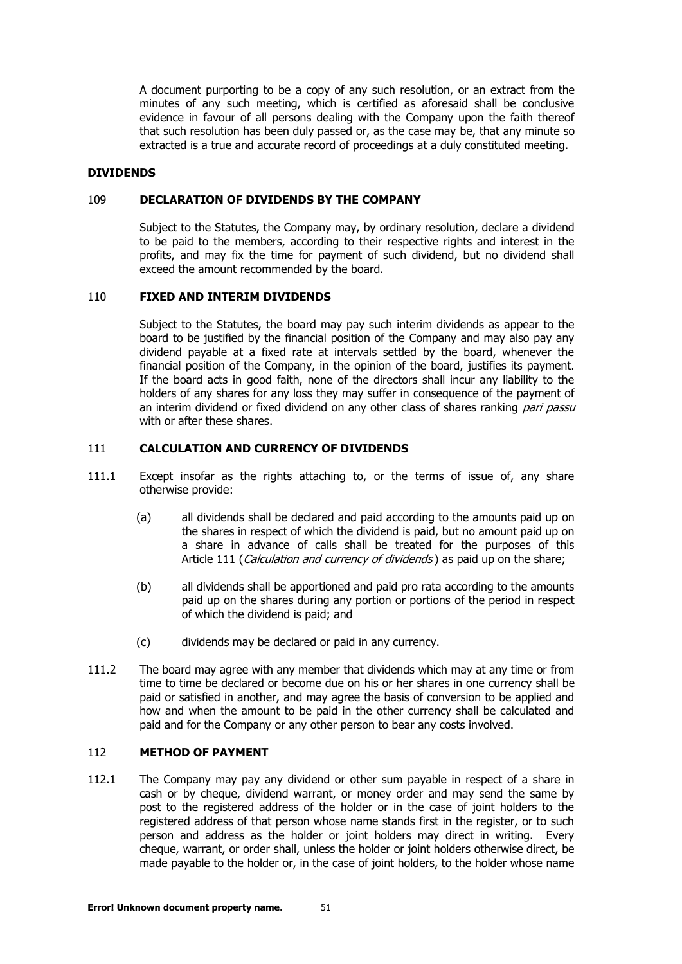A document purporting to be a copy of any such resolution, or an extract from the minutes of any such meeting, which is certified as aforesaid shall be conclusive evidence in favour of all persons dealing with the Company upon the faith thereof that such resolution has been duly passed or, as the case may be, that any minute so extracted is a true and accurate record of proceedings at a duly constituted meeting.

#### <span id="page-50-0"></span>**DIVIDENDS**

#### 109 **DECLARATION OF DIVIDENDS BY THE COMPANY**

Subject to the Statutes, the Company may, by ordinary resolution, declare a dividend to be paid to the members, according to their respective rights and interest in the profits, and may fix the time for payment of such dividend, but no dividend shall exceed the amount recommended by the board.

## <span id="page-50-1"></span>110 **FIXED AND INTERIM DIVIDENDS**

Subject to the Statutes, the board may pay such interim dividends as appear to the board to be justified by the financial position of the Company and may also pay any dividend payable at a fixed rate at intervals settled by the board, whenever the financial position of the Company, in the opinion of the board, justifies its payment. If the board acts in good faith, none of the directors shall incur any liability to the holders of any shares for any loss they may suffer in consequence of the payment of an interim dividend or fixed dividend on any other class of shares ranking pari passu with or after these shares.

#### <span id="page-50-2"></span>111 **CALCULATION AND CURRENCY OF DIVIDENDS**

- 111.1 Except insofar as the rights attaching to, or the terms of issue of, any share otherwise provide:
	- (a) all dividends shall be declared and paid according to the amounts paid up on the shares in respect of which the dividend is paid, but no amount paid up on a share in advance of calls shall be treated for the purposes of this Article [111](#page-50-2) ([Calculation and currency of dividends](#page-50-2)) as paid up on the share:
	- (b) all dividends shall be apportioned and paid pro rata according to the amounts paid up on the shares during any portion or portions of the period in respect of which the dividend is paid; and
	- (c) dividends may be declared or paid in any currency.
- 111.2 The board may agree with any member that dividends which may at any time or from time to time be declared or become due on his or her shares in one currency shall be paid or satisfied in another, and may agree the basis of conversion to be applied and how and when the amount to be paid in the other currency shall be calculated and paid and for the Company or any other person to bear any costs involved.

# <span id="page-50-3"></span>112 **METHOD OF PAYMENT**

112.1 The Company may pay any dividend or other sum payable in respect of a share in cash or by cheque, dividend warrant, or money order and may send the same by post to the registered address of the holder or in the case of joint holders to the registered address of that person whose name stands first in the register, or to such person and address as the holder or joint holders may direct in writing. Every cheque, warrant, or order shall, unless the holder or joint holders otherwise direct, be made payable to the holder or, in the case of joint holders, to the holder whose name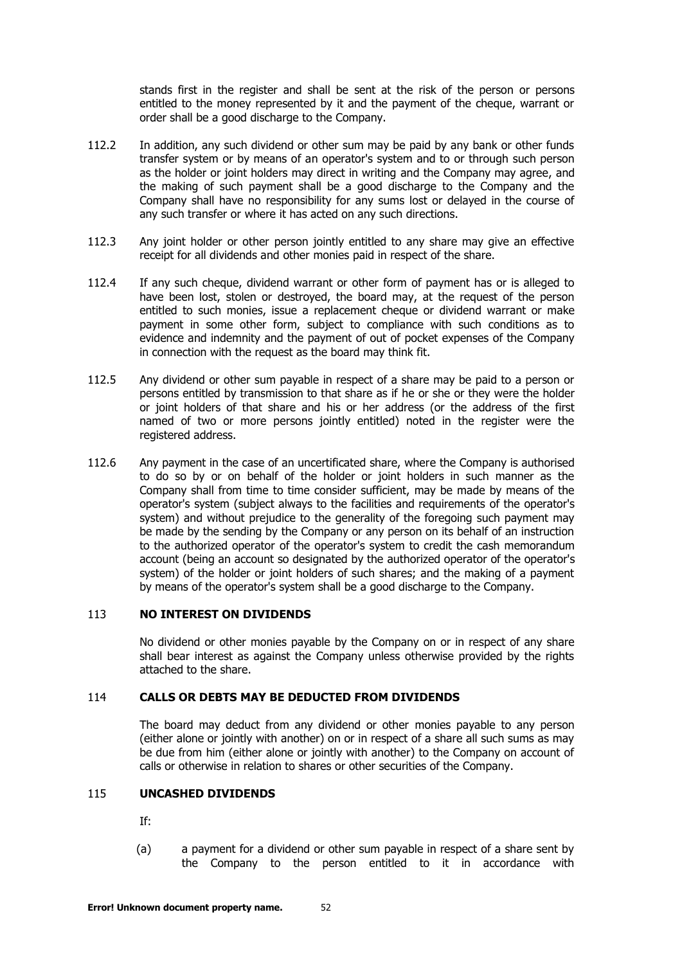stands first in the register and shall be sent at the risk of the person or persons entitled to the money represented by it and the payment of the cheque, warrant or order shall be a good discharge to the Company.

- 112.2 In addition, any such dividend or other sum may be paid by any bank or other funds transfer system or by means of an operator's system and to or through such person as the holder or joint holders may direct in writing and the Company may agree, and the making of such payment shall be a good discharge to the Company and the Company shall have no responsibility for any sums lost or delayed in the course of any such transfer or where it has acted on any such directions.
- 112.3 Any joint holder or other person jointly entitled to any share may give an effective receipt for all dividends and other monies paid in respect of the share.
- 112.4 If any such cheque, dividend warrant or other form of payment has or is alleged to have been lost, stolen or destroyed, the board may, at the request of the person entitled to such monies, issue a replacement cheque or dividend warrant or make payment in some other form, subject to compliance with such conditions as to evidence and indemnity and the payment of out of pocket expenses of the Company in connection with the request as the board may think fit.
- 112.5 Any dividend or other sum payable in respect of a share may be paid to a person or persons entitled by transmission to that share as if he or she or they were the holder or joint holders of that share and his or her address (or the address of the first named of two or more persons jointly entitled) noted in the register were the registered address.
- 112.6 Any payment in the case of an uncertificated share, where the Company is authorised to do so by or on behalf of the holder or joint holders in such manner as the Company shall from time to time consider sufficient, may be made by means of the operator's system (subject always to the facilities and requirements of the operator's system) and without prejudice to the generality of the foregoing such payment may be made by the sending by the Company or any person on its behalf of an instruction to the authorized operator of the operator's system to credit the cash memorandum account (being an account so designated by the authorized operator of the operator's system) of the holder or joint holders of such shares; and the making of a payment by means of the operator's system shall be a good discharge to the Company.

## <span id="page-51-0"></span>113 **NO INTEREST ON DIVIDENDS**

No dividend or other monies payable by the Company on or in respect of any share shall bear interest as against the Company unless otherwise provided by the rights attached to the share.

# <span id="page-51-1"></span>114 **CALLS OR DEBTS MAY BE DEDUCTED FROM DIVIDENDS**

The board may deduct from any dividend or other monies payable to any person (either alone or jointly with another) on or in respect of a share all such sums as may be due from him (either alone or jointly with another) to the Company on account of calls or otherwise in relation to shares or other securities of the Company.

# <span id="page-51-2"></span>115 **UNCASHED DIVIDENDS**

If:

(a) a payment for a dividend or other sum payable in respect of a share sent by the Company to the person entitled to it in accordance with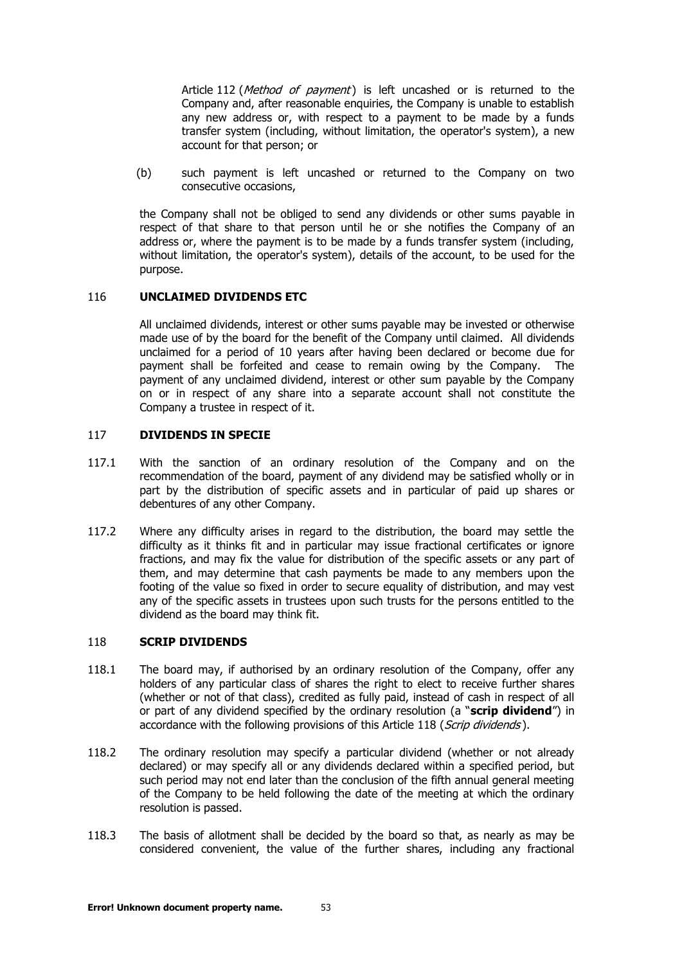Article [112](#page-50-3) (*[Method of payment](#page-50-3)*) is left uncashed or is returned to the Company and, after reasonable enquiries, the Company is unable to establish any new address or, with respect to a payment to be made by a funds transfer system (including, without limitation, the operator's system), a new account for that person; or

(b) such payment is left uncashed or returned to the Company on two consecutive occasions,

the Company shall not be obliged to send any dividends or other sums payable in respect of that share to that person until he or she notifies the Company of an address or, where the payment is to be made by a funds transfer system (including, without limitation, the operator's system), details of the account, to be used for the purpose.

## <span id="page-52-0"></span>116 **UNCLAIMED DIVIDENDS ETC**

All unclaimed dividends, interest or other sums payable may be invested or otherwise made use of by the board for the benefit of the Company until claimed. All dividends unclaimed for a period of 10 years after having been declared or become due for payment shall be forfeited and cease to remain owing by the Company. The payment of any unclaimed dividend, interest or other sum payable by the Company on or in respect of any share into a separate account shall not constitute the Company a trustee in respect of it.

# <span id="page-52-1"></span>117 **DIVIDENDS IN SPECIE**

- 117.1 With the sanction of an ordinary resolution of the Company and on the recommendation of the board, payment of any dividend may be satisfied wholly or in part by the distribution of specific assets and in particular of paid up shares or debentures of any other Company.
- 117.2 Where any difficulty arises in regard to the distribution, the board may settle the difficulty as it thinks fit and in particular may issue fractional certificates or ignore fractions, and may fix the value for distribution of the specific assets or any part of them, and may determine that cash payments be made to any members upon the footing of the value so fixed in order to secure equality of distribution, and may vest any of the specific assets in trustees upon such trusts for the persons entitled to the dividend as the board may think fit.

## <span id="page-52-2"></span>118 **SCRIP DIVIDENDS**

- 118.1 The board may, if authorised by an ordinary resolution of the Company, offer any holders of any particular class of shares the right to elect to receive further shares (whether or not of that class), credited as fully paid, instead of cash in respect of all or part of any dividend specified by the ordinary resolution (a "**scrip dividend**") in accordance with the following provisions of this Article [118](#page-52-2) ([Scrip dividends](#page-52-2)).
- 118.2 The ordinary resolution may specify a particular dividend (whether or not already declared) or may specify all or any dividends declared within a specified period, but such period may not end later than the conclusion of the fifth annual general meeting of the Company to be held following the date of the meeting at which the ordinary resolution is passed.
- <span id="page-52-3"></span>118.3 The basis of allotment shall be decided by the board so that, as nearly as may be considered convenient, the value of the further shares, including any fractional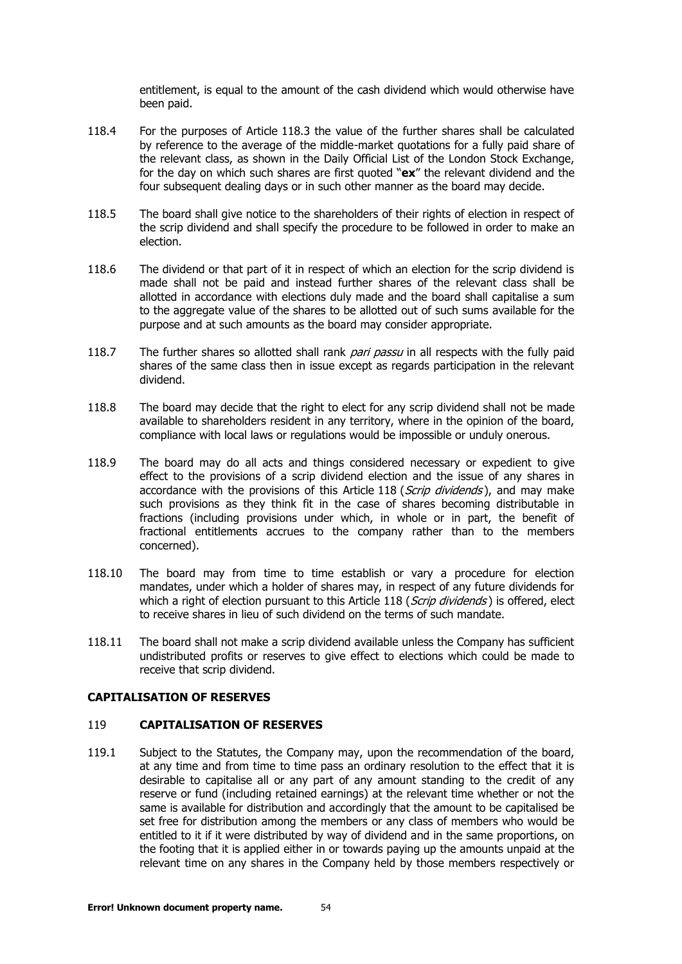entitlement, is equal to the amount of the cash dividend which would otherwise have been paid.

- 118.4 For the purposes of Article [118.3](#page-52-3) the value of the further shares shall be calculated by reference to the average of the middle-market quotations for a fully paid share of the relevant class, as shown in the Daily Official List of the London Stock Exchange, for the day on which such shares are first quoted "**ex**" the relevant dividend and the four subsequent dealing days or in such other manner as the board may decide.
- 118.5 The board shall give notice to the shareholders of their rights of election in respect of the scrip dividend and shall specify the procedure to be followed in order to make an election.
- 118.6 The dividend or that part of it in respect of which an election for the scrip dividend is made shall not be paid and instead further shares of the relevant class shall be allotted in accordance with elections duly made and the board shall capitalise a sum to the aggregate value of the shares to be allotted out of such sums available for the purpose and at such amounts as the board may consider appropriate.
- 118.7 The further shares so allotted shall rank pari passu in all respects with the fully paid shares of the same class then in issue except as regards participation in the relevant dividend.
- 118.8 The board may decide that the right to elect for any scrip dividend shall not be made available to shareholders resident in any territory, where in the opinion of the board, compliance with local laws or regulations would be impossible or unduly onerous.
- 118.9 The board may do all acts and things considered necessary or expedient to give effect to the provisions of a scrip dividend election and the issue of any shares in accordance with the provisions of this Article [118](#page-52-2) ([Scrip dividends](#page-52-2)), and may make such provisions as they think fit in the case of shares becoming distributable in fractions (including provisions under which, in whole or in part, the benefit of fractional entitlements accrues to the company rather than to the members concerned).
- 118.10 The board may from time to time establish or vary a procedure for election mandates, under which a holder of shares may, in respect of any future dividends for which a right of election pursuant to this Article [118](#page-52-2) (*[Scrip dividends](#page-52-2)*) is offered, elect to receive shares in lieu of such dividend on the terms of such mandate.
- 118.11 The board shall not make a scrip dividend available unless the Company has sufficient undistributed profits or reserves to give effect to elections which could be made to receive that scrip dividend.

## <span id="page-53-0"></span>**CAPITALISATION OF RESERVES**

#### 119 **CAPITALISATION OF RESERVES**

119.1 Subject to the Statutes, the Company may, upon the recommendation of the board, at any time and from time to time pass an ordinary resolution to the effect that it is desirable to capitalise all or any part of any amount standing to the credit of any reserve or fund (including retained earnings) at the relevant time whether or not the same is available for distribution and accordingly that the amount to be capitalised be set free for distribution among the members or any class of members who would be entitled to it if it were distributed by way of dividend and in the same proportions, on the footing that it is applied either in or towards paying up the amounts unpaid at the relevant time on any shares in the Company held by those members respectively or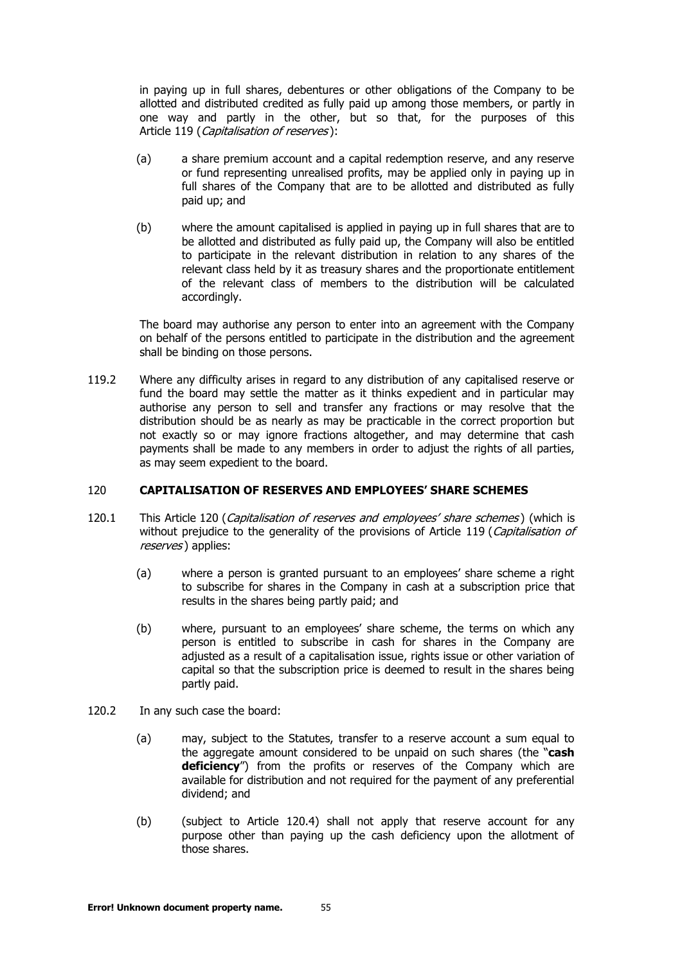in paying up in full shares, debentures or other obligations of the Company to be allotted and distributed credited as fully paid up among those members, or partly in one way and partly in the other, but so that, for the purposes of this Article [119](#page-53-0) ([Capitalisation of reserves](#page-53-0)):

- (a) a share premium account and a capital redemption reserve, and any reserve or fund representing unrealised profits, may be applied only in paying up in full shares of the Company that are to be allotted and distributed as fully paid up; and
- (b) where the amount capitalised is applied in paying up in full shares that are to be allotted and distributed as fully paid up, the Company will also be entitled to participate in the relevant distribution in relation to any shares of the relevant class held by it as treasury shares and the proportionate entitlement of the relevant class of members to the distribution will be calculated accordingly.

The board may authorise any person to enter into an agreement with the Company on behalf of the persons entitled to participate in the distribution and the agreement shall be binding on those persons.

119.2 Where any difficulty arises in regard to any distribution of any capitalised reserve or fund the board may settle the matter as it thinks expedient and in particular may authorise any person to sell and transfer any fractions or may resolve that the distribution should be as nearly as may be practicable in the correct proportion but not exactly so or may ignore fractions altogether, and may determine that cash payments shall be made to any members in order to adjust the rights of all parties, as may seem expedient to the board.

## <span id="page-54-0"></span>120 **CAPITALISATION OF RESERVES AND EMPLOYEES' SHARE SCHEMES**

- <span id="page-54-2"></span><span id="page-54-1"></span>[120](#page-54-0).1 This Article 120 ([Capitalisation of reserves and e](#page-54-0)mployees' share schemes) (which is without prejudice to the generality of the provisions of Article [119](#page-53-0) (Capitalisation of [reserves](#page-53-0)) applies:
	- (a) where a person is granted pursuant to an employees' share scheme a right to subscribe for shares in the Company in cash at a subscription price that results in the shares being partly paid; and
	- (b) where, pursuant to an employees' share scheme, the terms on which any person is entitled to subscribe in cash for shares in the Company are adjusted as a result of a capitalisation issue, rights issue or other variation of capital so that the subscription price is deemed to result in the shares being partly paid.
- 120.2 In any such case the board:
	- (a) may, subject to the Statutes, transfer to a reserve account a sum equal to the aggregate amount considered to be unpaid on such shares (the "**cash deficiency**") from the profits or reserves of the Company which are available for distribution and not required for the payment of any preferential dividend; and
	- (b) (subject to Article [120.4\)](#page-55-3) shall not apply that reserve account for any purpose other than paying up the cash deficiency upon the allotment of those shares.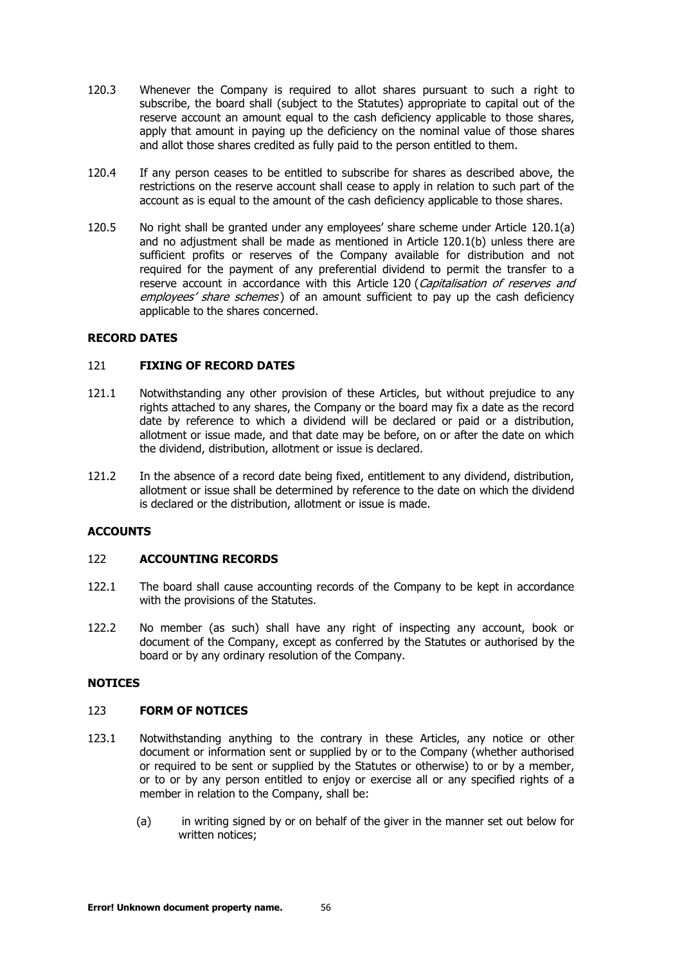- 120.3 Whenever the Company is required to allot shares pursuant to such a right to subscribe, the board shall (subject to the Statutes) appropriate to capital out of the reserve account an amount equal to the cash deficiency applicable to those shares, apply that amount in paying up the deficiency on the nominal value of those shares and allot those shares credited as fully paid to the person entitled to them.
- <span id="page-55-3"></span>120.4 If any person ceases to be entitled to subscribe for shares as described above, the restrictions on the reserve account shall cease to apply in relation to such part of the account as is equal to the amount of the cash deficiency applicable to those shares.
- 120.5 No right shall be granted under any employees' share scheme under Article [120.1\(a\)](#page-54-1) and no adjustment shall be made as mentioned in Article [120.1\(b\)](#page-54-2) unless there are sufficient profits or reserves of the Company available for distribution and not required for the payment of any preferential dividend to permit the transfer to a reserve account in accordance with this Article [120](#page-54-0) (Capitalisation of reserves and employees' [share schemes](#page-54-0)) of an amount sufficient to pay up the cash deficiency applicable to the shares concerned.

# <span id="page-55-0"></span>**RECORD DATES**

## 121 **FIXING OF RECORD DATES**

- 121.1 Notwithstanding any other provision of these Articles, but without prejudice to any rights attached to any shares, the Company or the board may fix a date as the record date by reference to which a dividend will be declared or paid or a distribution, allotment or issue made, and that date may be before, on or after the date on which the dividend, distribution, allotment or issue is declared.
- 121.2 In the absence of a record date being fixed, entitlement to any dividend, distribution, allotment or issue shall be determined by reference to the date on which the dividend is declared or the distribution, allotment or issue is made.

## <span id="page-55-1"></span>**ACCOUNTS**

## 122 **ACCOUNTING RECORDS**

- 122.1 The board shall cause accounting records of the Company to be kept in accordance with the provisions of the Statutes.
- 122.2 No member (as such) shall have any right of inspecting any account, book or document of the Company, except as conferred by the Statutes or authorised by the board or by any ordinary resolution of the Company.

## <span id="page-55-2"></span>**NOTICES**

# 123 **FORM OF NOTICES**

- 123.1 Notwithstanding anything to the contrary in these Articles, any notice or other document or information sent or supplied by or to the Company (whether authorised or required to be sent or supplied by the Statutes or otherwise) to or by a member, or to or by any person entitled to enjoy or exercise all or any specified rights of a member in relation to the Company, shall be:
	- (a) in writing signed by or on behalf of the giver in the manner set out below for written notices;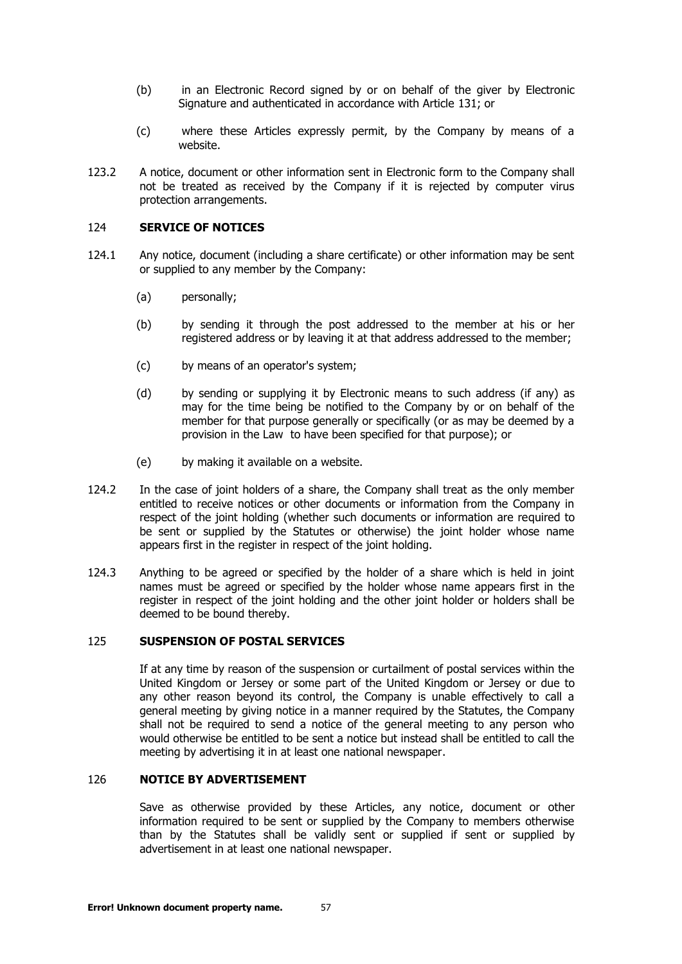- (b) in an Electronic Record signed by or on behalf of the giver by Electronic Signature and authenticated in accordance with Article [131;](#page-59-0) or
- (c) where these Articles expressly permit, by the Company by means of a website.
- 123.2 A notice, document or other information sent in Electronic form to the Company shall not be treated as received by the Company if it is rejected by computer virus protection arrangements.

## <span id="page-56-0"></span>124 **SERVICE OF NOTICES**

- 124.1 Any notice, document (including a share certificate) or other information may be sent or supplied to any member by the Company:
	- (a) personally;
	- (b) by sending it through the post addressed to the member at his or her registered address or by leaving it at that address addressed to the member;
	- (c) by means of an operator's system;
	- (d) by sending or supplying it by Electronic means to such address (if any) as may for the time being be notified to the Company by or on behalf of the member for that purpose generally or specifically (or as may be deemed by a provision in the Law to have been specified for that purpose); or
	- (e) by making it available on a website.
- 124.2 In the case of joint holders of a share, the Company shall treat as the only member entitled to receive notices or other documents or information from the Company in respect of the joint holding (whether such documents or information are required to be sent or supplied by the Statutes or otherwise) the joint holder whose name appears first in the register in respect of the joint holding.
- 124.3 Anything to be agreed or specified by the holder of a share which is held in joint names must be agreed or specified by the holder whose name appears first in the register in respect of the joint holding and the other joint holder or holders shall be deemed to be bound thereby.

## <span id="page-56-1"></span>125 **SUSPENSION OF POSTAL SERVICES**

If at any time by reason of the suspension or curtailment of postal services within the United Kingdom or Jersey or some part of the United Kingdom or Jersey or due to any other reason beyond its control, the Company is unable effectively to call a general meeting by giving notice in a manner required by the Statutes, the Company shall not be required to send a notice of the general meeting to any person who would otherwise be entitled to be sent a notice but instead shall be entitled to call the meeting by advertising it in at least one national newspaper.

## <span id="page-56-2"></span>126 **NOTICE BY ADVERTISEMENT**

Save as otherwise provided by these Articles, any notice, document or other information required to be sent or supplied by the Company to members otherwise than by the Statutes shall be validly sent or supplied if sent or supplied by advertisement in at least one national newspaper.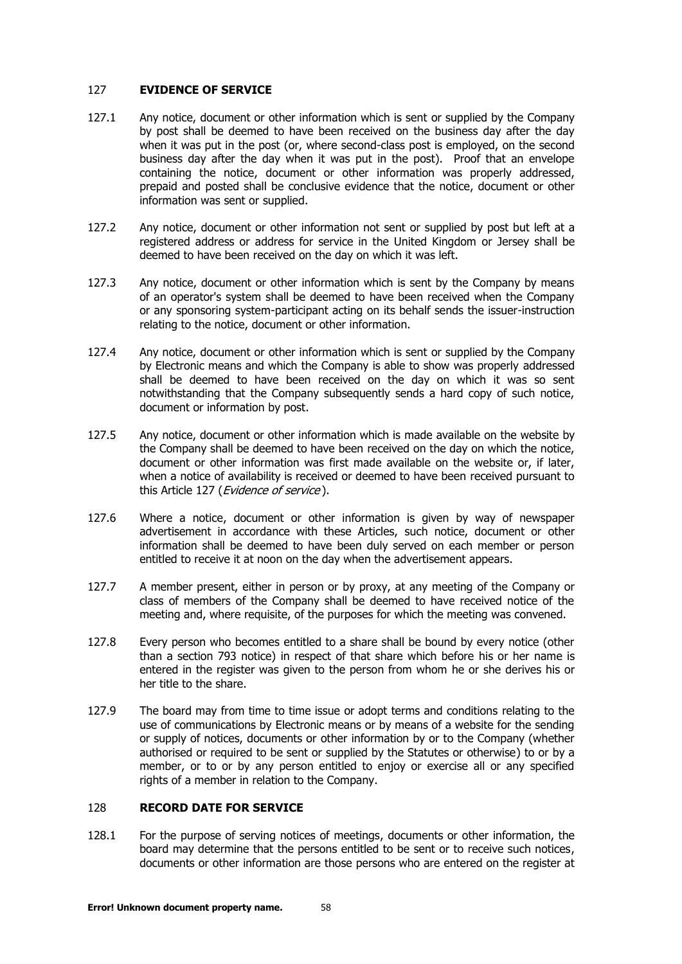#### <span id="page-57-0"></span>127 **EVIDENCE OF SERVICE**

- 127.1 Any notice, document or other information which is sent or supplied by the Company by post shall be deemed to have been received on the business day after the day when it was put in the post (or, where second-class post is employed, on the second business day after the day when it was put in the post). Proof that an envelope containing the notice, document or other information was properly addressed, prepaid and posted shall be conclusive evidence that the notice, document or other information was sent or supplied.
- 127.2 Any notice, document or other information not sent or supplied by post but left at a registered address or address for service in the United Kingdom or Jersey shall be deemed to have been received on the day on which it was left.
- 127.3 Any notice, document or other information which is sent by the Company by means of an operator's system shall be deemed to have been received when the Company or any sponsoring system-participant acting on its behalf sends the issuer-instruction relating to the notice, document or other information.
- 127.4 Any notice, document or other information which is sent or supplied by the Company by Electronic means and which the Company is able to show was properly addressed shall be deemed to have been received on the day on which it was so sent notwithstanding that the Company subsequently sends a hard copy of such notice, document or information by post.
- 127.5 Any notice, document or other information which is made available on the website by the Company shall be deemed to have been received on the day on which the notice, document or other information was first made available on the website or, if later, when a notice of availability is received or deemed to have been received pursuant to this Article [127](#page-57-0) (*[Evidence of service](#page-57-0)*).
- 127.6 Where a notice, document or other information is given by way of newspaper advertisement in accordance with these Articles, such notice, document or other information shall be deemed to have been duly served on each member or person entitled to receive it at noon on the day when the advertisement appears.
- 127.7 A member present, either in person or by proxy, at any meeting of the Company or class of members of the Company shall be deemed to have received notice of the meeting and, where requisite, of the purposes for which the meeting was convened.
- 127.8 Every person who becomes entitled to a share shall be bound by every notice (other than a section 793 notice) in respect of that share which before his or her name is entered in the register was given to the person from whom he or she derives his or her title to the share.
- 127.9 The board may from time to time issue or adopt terms and conditions relating to the use of communications by Electronic means or by means of a website for the sending or supply of notices, documents or other information by or to the Company (whether authorised or required to be sent or supplied by the Statutes or otherwise) to or by a member, or to or by any person entitled to enjoy or exercise all or any specified rights of a member in relation to the Company.

# <span id="page-57-2"></span><span id="page-57-1"></span>128 **RECORD DATE FOR SERVICE**

128.1 For the purpose of serving notices of meetings, documents or other information, the board may determine that the persons entitled to be sent or to receive such notices, documents or other information are those persons who are entered on the register at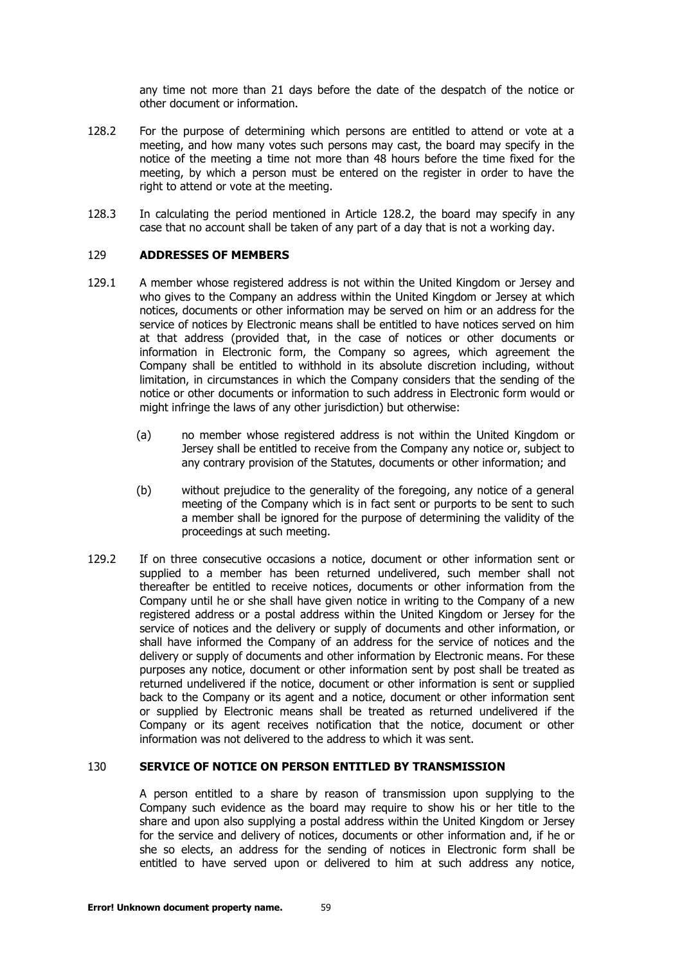any time not more than 21 days before the date of the despatch of the notice or other document or information.

- <span id="page-58-2"></span>128.2 For the purpose of determining which persons are entitled to attend or vote at a meeting, and how many votes such persons may cast, the board may specify in the notice of the meeting a time not more than 48 hours before the time fixed for the meeting, by which a person must be entered on the register in order to have the right to attend or vote at the meeting.
- 128.3 In calculating the period mentioned in Article [128.2,](#page-58-2) the board may specify in any case that no account shall be taken of any part of a day that is not a working day.

#### <span id="page-58-0"></span>129 **ADDRESSES OF MEMBERS**

- 129.1 A member whose registered address is not within the United Kingdom or Jersey and who gives to the Company an address within the United Kingdom or Jersey at which notices, documents or other information may be served on him or an address for the service of notices by Electronic means shall be entitled to have notices served on him at that address (provided that, in the case of notices or other documents or information in Electronic form, the Company so agrees, which agreement the Company shall be entitled to withhold in its absolute discretion including, without limitation, in circumstances in which the Company considers that the sending of the notice or other documents or information to such address in Electronic form would or might infringe the laws of any other jurisdiction) but otherwise:
	- (a) no member whose registered address is not within the United Kingdom or Jersey shall be entitled to receive from the Company any notice or, subject to any contrary provision of the Statutes, documents or other information; and
	- (b) without prejudice to the generality of the foregoing, any notice of a general meeting of the Company which is in fact sent or purports to be sent to such a member shall be ignored for the purpose of determining the validity of the proceedings at such meeting.
- 129.2 If on three consecutive occasions a notice, document or other information sent or supplied to a member has been returned undelivered, such member shall not thereafter be entitled to receive notices, documents or other information from the Company until he or she shall have given notice in writing to the Company of a new registered address or a postal address within the United Kingdom or Jersey for the service of notices and the delivery or supply of documents and other information, or shall have informed the Company of an address for the service of notices and the delivery or supply of documents and other information by Electronic means. For these purposes any notice, document or other information sent by post shall be treated as returned undelivered if the notice, document or other information is sent or supplied back to the Company or its agent and a notice, document or other information sent or supplied by Electronic means shall be treated as returned undelivered if the Company or its agent receives notification that the notice, document or other information was not delivered to the address to which it was sent.

#### <span id="page-58-1"></span>130 **SERVICE OF NOTICE ON PERSON ENTITLED BY TRANSMISSION**

A person entitled to a share by reason of transmission upon supplying to the Company such evidence as the board may require to show his or her title to the share and upon also supplying a postal address within the United Kingdom or Jersey for the service and delivery of notices, documents or other information and, if he or she so elects, an address for the sending of notices in Electronic form shall be entitled to have served upon or delivered to him at such address any notice,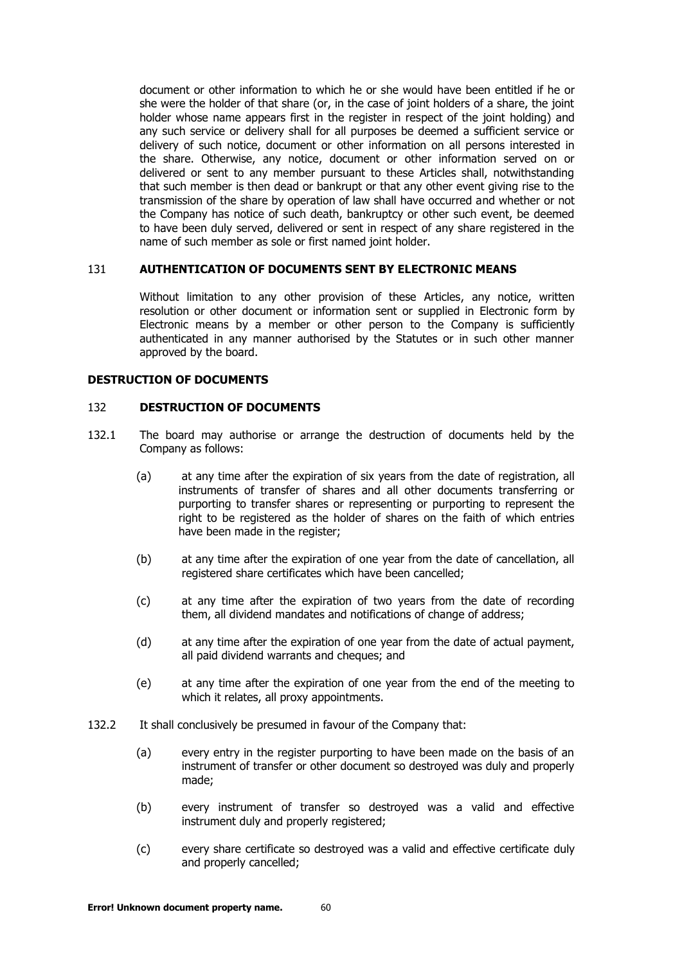document or other information to which he or she would have been entitled if he or she were the holder of that share (or, in the case of joint holders of a share, the joint holder whose name appears first in the register in respect of the joint holding) and any such service or delivery shall for all purposes be deemed a sufficient service or delivery of such notice, document or other information on all persons interested in the share. Otherwise, any notice, document or other information served on or delivered or sent to any member pursuant to these Articles shall, notwithstanding that such member is then dead or bankrupt or that any other event giving rise to the transmission of the share by operation of law shall have occurred and whether or not the Company has notice of such death, bankruptcy or other such event, be deemed to have been duly served, delivered or sent in respect of any share registered in the name of such member as sole or first named joint holder.

#### <span id="page-59-0"></span>131 **AUTHENTICATION OF DOCUMENTS SENT BY ELECTRONIC MEANS**

Without limitation to any other provision of these Articles, any notice, written resolution or other document or information sent or supplied in Electronic form by Electronic means by a member or other person to the Company is sufficiently authenticated in any manner authorised by the Statutes or in such other manner approved by the board.

#### <span id="page-59-1"></span>**DESTRUCTION OF DOCUMENTS**

#### <span id="page-59-2"></span>132 **DESTRUCTION OF DOCUMENTS**

- 132.1 The board may authorise or arrange the destruction of documents held by the Company as follows:
	- (a) at any time after the expiration of six years from the date of registration, all instruments of transfer of shares and all other documents transferring or purporting to transfer shares or representing or purporting to represent the right to be registered as the holder of shares on the faith of which entries have been made in the register;
	- (b) at any time after the expiration of one year from the date of cancellation, all registered share certificates which have been cancelled;
	- (c) at any time after the expiration of two years from the date of recording them, all dividend mandates and notifications of change of address;
	- (d) at any time after the expiration of one year from the date of actual payment, all paid dividend warrants and cheques; and
	- (e) at any time after the expiration of one year from the end of the meeting to which it relates, all proxy appointments.
- <span id="page-59-3"></span>132.2 It shall conclusively be presumed in favour of the Company that:
	- (a) every entry in the register purporting to have been made on the basis of an instrument of transfer or other document so destroyed was duly and properly made;
	- (b) every instrument of transfer so destroyed was a valid and effective instrument duly and properly registered;
	- (c) every share certificate so destroyed was a valid and effective certificate duly and properly cancelled;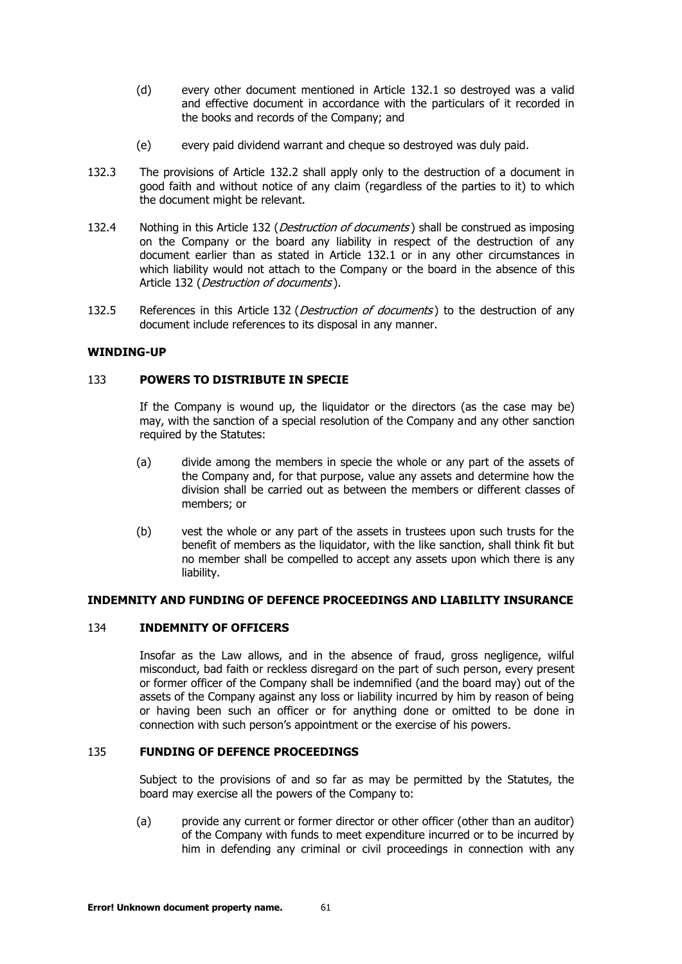- (d) every other document mentioned in Article 132.1 so destroyed was a valid and effective document in accordance with [the pa](#page-59-2)rticulars of it recorded in the books and records of the Company; and
- (e) every paid dividend warrant and cheque so destroyed was duly paid.
- 132.3 The provisions of Article [132.2](#page-59-3) shall apply only to the destruction of a document in good faith and without notice of any claim (regardless of the parties to it) to which the document might be relevant.
- [132](#page-59-1).4 Nothing in this Article 132 (*[Destruction of documents](#page-59-1)*) shall be construed as imposing on the Company or the board any liability in respect of the destruction of any document earlier than as stated in Article [132.1](#page-59-2) or in any other circumstances in which liability would not attach to the Company or the board in the absence of this Article [132](#page-59-1) ([Destruction of documents](#page-59-1)).
- [132](#page-59-1).5 References in this Article 132 (*[Destruction of documents](#page-59-1)*) to the destruction of any document include references to its disposal in any manner.

# <span id="page-60-0"></span>**WINDING-UP**

## 133 **POWERS TO DISTRIBUTE IN SPECIE**

If the Company is wound up, the liquidator or the directors (as the case may be) may, with the sanction of a special resolution of the Company and any other sanction required by the Statutes:

- (a) divide among the members in specie the whole or any part of the assets of the Company and, for that purpose, value any assets and determine how the division shall be carried out as between the members or different classes of members; or
- (b) vest the whole or any part of the assets in trustees upon such trusts for the benefit of members as the liquidator, with the like sanction, shall think fit but no member shall be compelled to accept any assets upon which there is any liability.

# **INDEMNITY AND FUNDING OF DEFENCE PROCEEDINGS AND LIABILITY INSURANCE**

# <span id="page-60-1"></span>134 **INDEMNITY OF OFFICERS**

Insofar as the Law allows, and in the absence of fraud, gross negligence, wilful misconduct, bad faith or reckless disregard on the part of such person, every present or former officer of the Company shall be indemnified (and the board may) out of the assets of the Company against any loss or liability incurred by him by reason of being or having been such an officer or for anything done or omitted to be done in connection with such person's appointment or the exercise of his powers.

# <span id="page-60-2"></span>135 **FUNDING OF DEFENCE PROCEEDINGS**

Subject to the provisions of and so far as may be permitted by the Statutes, the board may exercise all the powers of the Company to:

(a) provide any current or former director or other officer (other than an auditor) of the Company with funds to meet expenditure incurred or to be incurred by him in defending any criminal or civil proceedings in connection with any